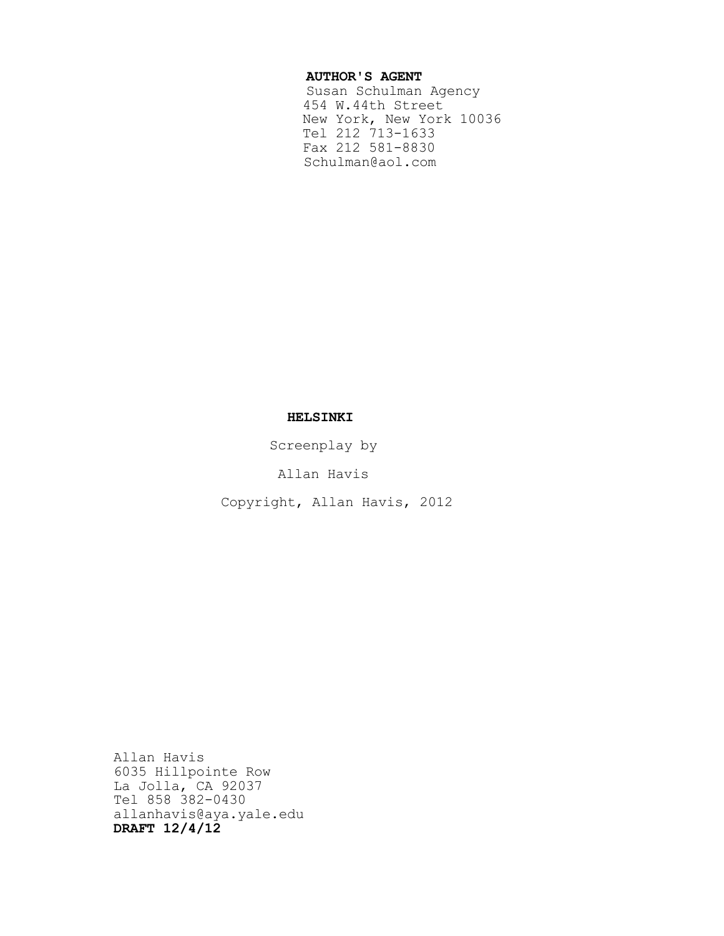## **AUTHOR'S AGENT**

 Susan Schulman Agency 454 W.44th Street New York, New York 10036 Tel 212 713-1633 Fax 212 581-8830 Schulman@aol.com

# **HELSINKI**

Screenplay by

Allan Havis

Copyright, Allan Havis, 2012

Allan Havis 6035 Hillpointe Row La Jolla, CA 92037 Tel 858 382-0430 allanhavis@aya.yale.edu **DRAFT 12/4/12**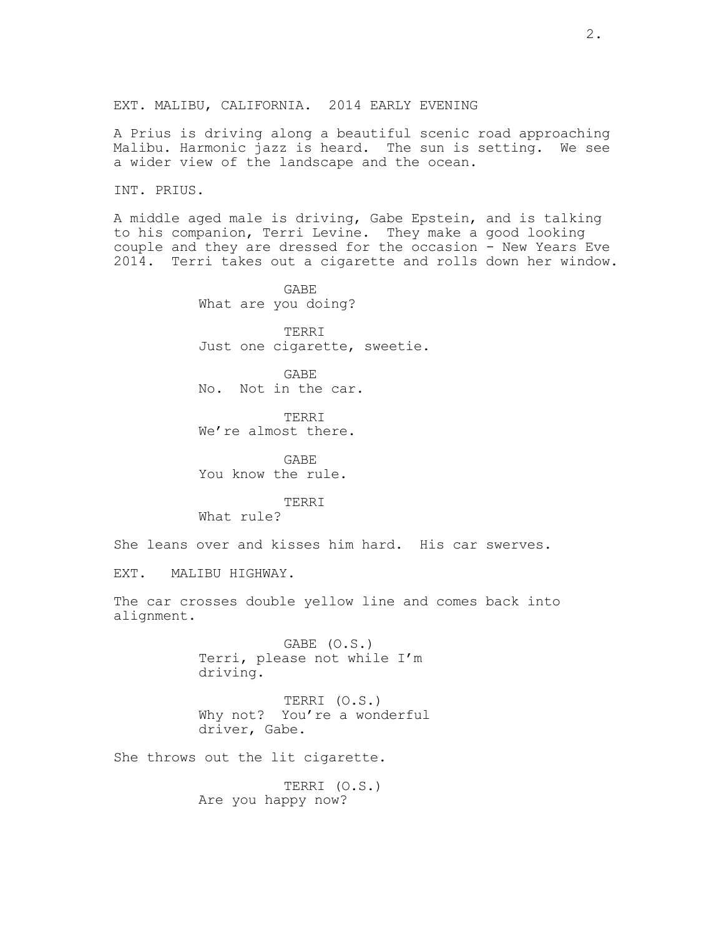A Prius is driving along a beautiful scenic road approaching Malibu. Harmonic jazz is heard. The sun is setting. We see a wider view of the landscape and the ocean.

INT. PRIUS.

A middle aged male is driving, Gabe Epstein, and is talking to his companion, Terri Levine. They make a good looking couple and they are dressed for the occasion - New Years Eve 2014. Terri takes out a cigarette and rolls down her window.

> GABE What are you doing? TERRI

Just one cigarette, sweetie.

GABE No. Not in the car.

TERRI We're almost there.

GABE You know the rule.

TERRI What rule?

She leans over and kisses him hard. His car swerves.

EXT. MALIBU HIGHWAY.

The car crosses double yellow line and comes back into alignment.

> GABE (O.S.) Terri, please not while I'm driving.

TERRI (O.S.) Why not? You're a wonderful driver, Gabe.

She throws out the lit cigarette.

TERRI (O.S.) Are you happy now?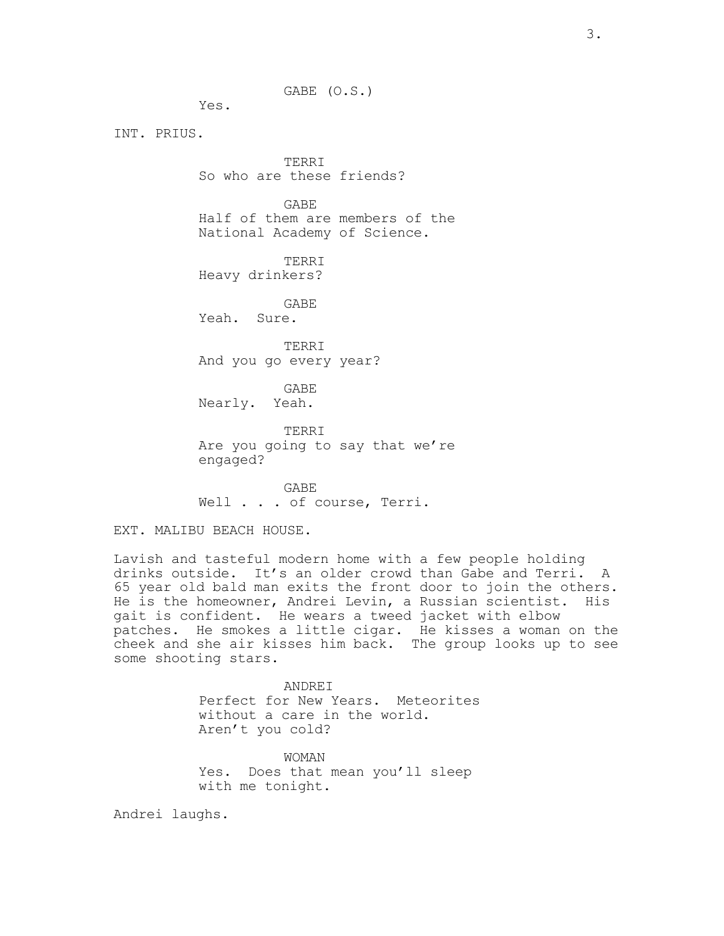GABE (O.S.)

Yes.

INT. PRIUS.

TERRI So who are these friends?

GABE Half of them are members of the National Academy of Science.

TERRI Heavy drinkers?

GABE Yeah. Sure.

TERRI And you go every year?

GABE Nearly. Yeah.

TERRI Are you going to say that we're engaged?

GABE Well . . . of course, Terri.

EXT. MALIBU BEACH HOUSE.

Lavish and tasteful modern home with a few people holding drinks outside. It's an older crowd than Gabe and Terri. A 65 year old bald man exits the front door to join the others. He is the homeowner, Andrei Levin, a Russian scientist. His gait is confident. He wears a tweed jacket with elbow patches. He smokes a little cigar. He kisses a woman on the cheek and she air kisses him back. The group looks up to see some shooting stars.

> ANDREI Perfect for New Years. Meteorites without a care in the world. Aren't you cold?

WOMAN Yes. Does that mean you'll sleep with me tonight.

Andrei laughs.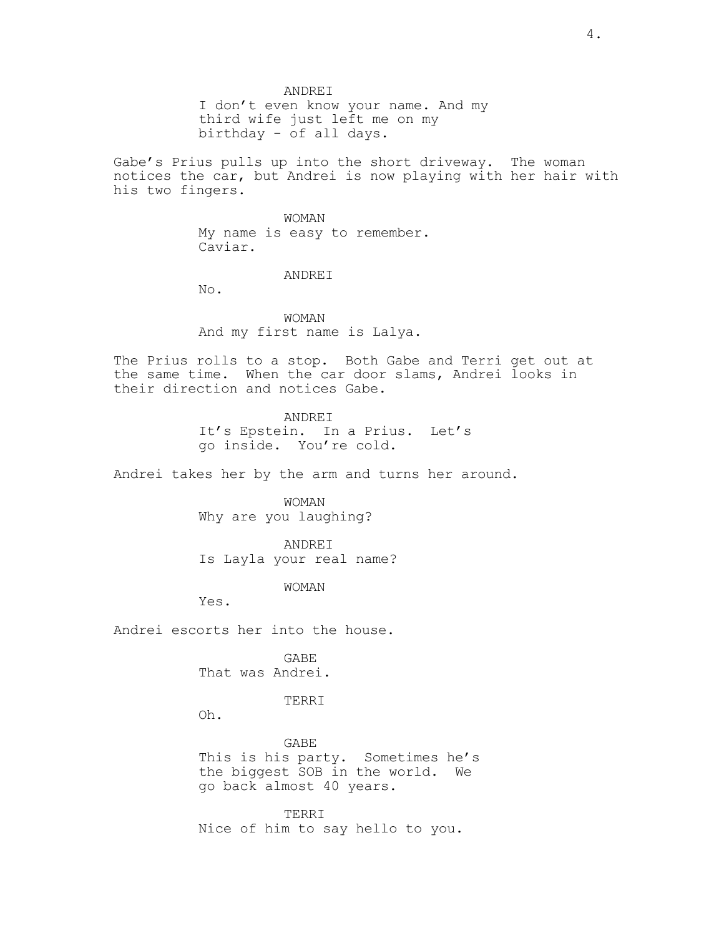ANDREI I don't even know your name. And my third wife just left me on my birthday - of all days.

Gabe's Prius pulls up into the short driveway. The woman notices the car, but Andrei is now playing with her hair with his two fingers.

> WOMAN My name is easy to remember. Caviar.

### ANDREI

No.

WOMAN And my first name is Lalya.

The Prius rolls to a stop. Both Gabe and Terri get out at the same time. When the car door slams, Andrei looks in their direction and notices Gabe.

> ANDREI It's Epstein. In a Prius. Let's go inside. You're cold.

Andrei takes her by the arm and turns her around.

WOMAN Why are you laughing?

ANDREI Is Layla your real name?

WOMAN

Yes.

Andrei escorts her into the house.

GABE That was Andrei.

TERRI

Oh.

GABE This is his party. Sometimes he's the biggest SOB in the world. We go back almost 40 years.

TERRI Nice of him to say hello to you.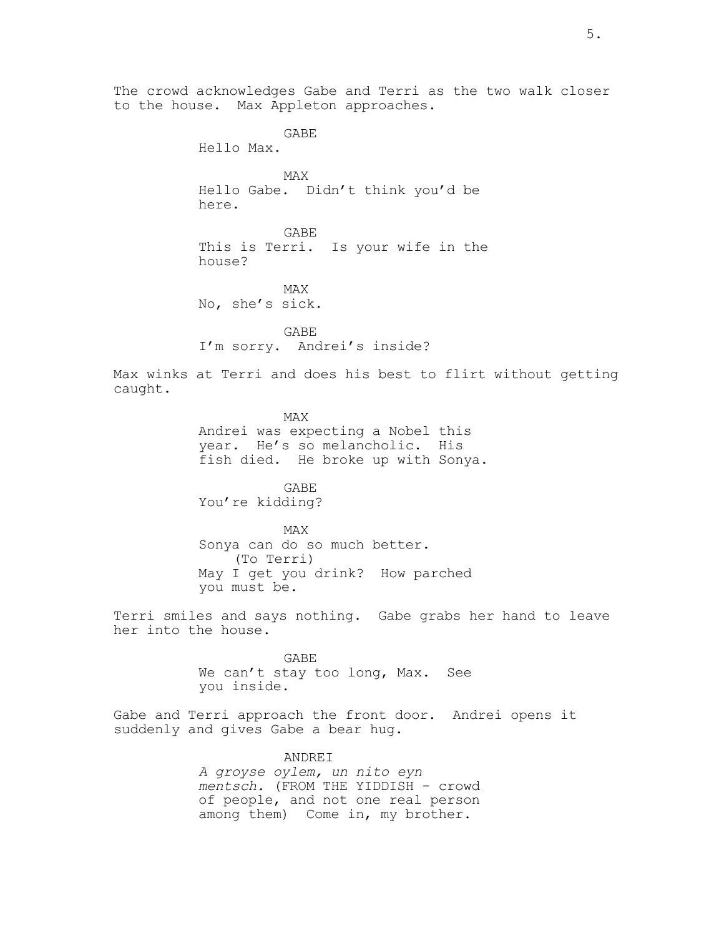The crowd acknowledges Gabe and Terri as the two walk closer to the house. Max Appleton approaches.

> Hello Max. MAX Hello Gabe. Didn't think you'd be here.

GABE

GABE This is Terri. Is your wife in the house?

MAX No, she's sick.

GABE I'm sorry. Andrei's inside?

Max winks at Terri and does his best to flirt without getting caught.

> MAX Andrei was expecting a Nobel this year. He's so melancholic. His fish died. He broke up with Sonya.

GABE You're kidding?

MAX Sonya can do so much better. (To Terri) May I get you drink? How parched you must be.

Terri smiles and says nothing. Gabe grabs her hand to leave her into the house.

> GABE We can't stay too long, Max. See you inside.

Gabe and Terri approach the front door. Andrei opens it suddenly and gives Gabe a bear hug.

ANDREI

*A groyse oylem, un nito eyn mentsch.* (FROM THE YIDDISH - crowd of people, and not one real person among them) Come in, my brother.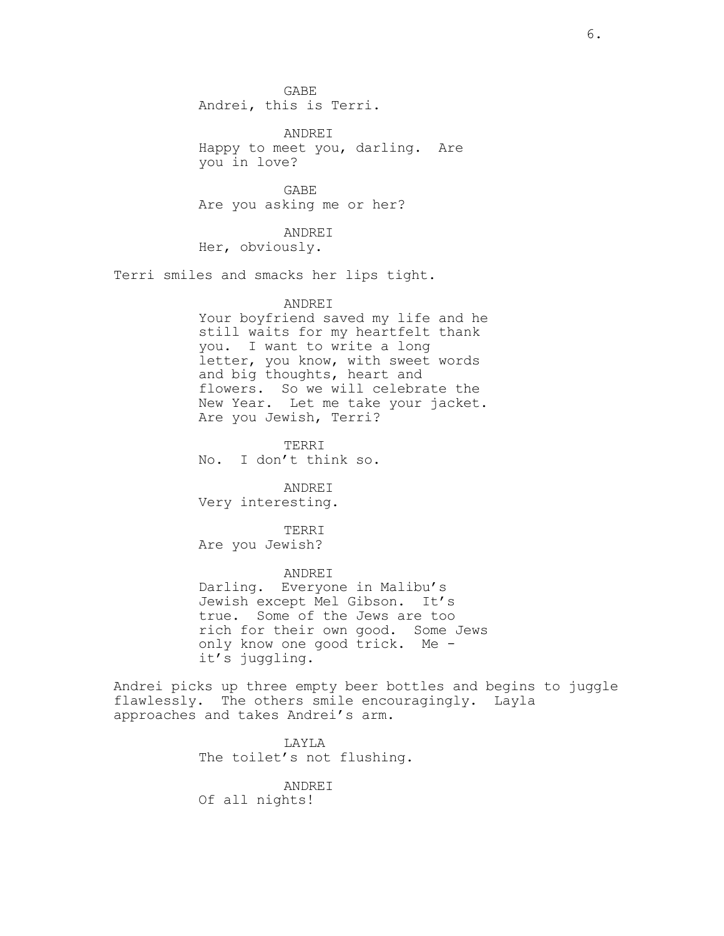GABE Andrei, this is Terri.

ANDREI Happy to meet you, darling. Are you in love?

GABE Are you asking me or her?

ANDREI Her, obviously.

Terri smiles and smacks her lips tight.

### ANDREI

Your boyfriend saved my life and he still waits for my heartfelt thank you. I want to write a long letter, you know, with sweet words and big thoughts, heart and flowers. So we will celebrate the New Year. Let me take your jacket. Are you Jewish, Terri?

TERRI No. I don't think so.

ANDREI Very interesting.

TERRI Are you Jewish?

ANDREI Darling. Everyone in Malibu's Jewish except Mel Gibson. It's true. Some of the Jews are too rich for their own good. Some Jews only know one good trick. Me it's juggling.

Andrei picks up three empty beer bottles and begins to juggle flawlessly. The others smile encouragingly. Layla approaches and takes Andrei's arm.

> LAYLA The toilet's not flushing.

ANDREI Of all nights!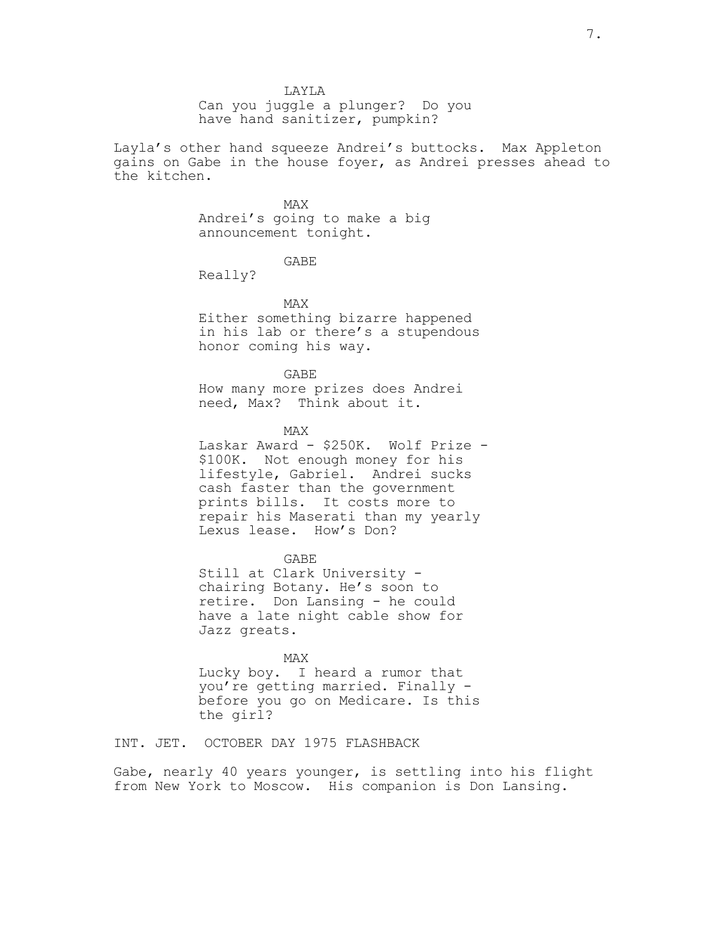Can you juggle a plunger? Do you have hand sanitizer, pumpkin?

Layla's other hand squeeze Andrei's buttocks. Max Appleton gains on Gabe in the house foyer, as Andrei presses ahead to the kitchen.

## MAX

Andrei's going to make a big announcement tonight.

GABE

Really?

MAX

Either something bizarre happened in his lab or there's a stupendous honor coming his way.

GABE How many more prizes does Andrei need, Max? Think about it.

MAX

Laskar Award - \$250K. Wolf Prize - \$100K. Not enough money for his lifestyle, Gabriel. Andrei sucks cash faster than the government prints bills. It costs more to repair his Maserati than my yearly Lexus lease. How's Don?

GABE

Still at Clark University chairing Botany. He's soon to retire. Don Lansing - he could have a late night cable show for Jazz greats.

MAX Lucky boy. I heard a rumor that you're getting married. Finally before you go on Medicare. Is this the girl?

INT. JET. OCTOBER DAY 1975 FLASHBACK

Gabe, nearly 40 years younger, is settling into his flight from New York to Moscow. His companion is Don Lansing.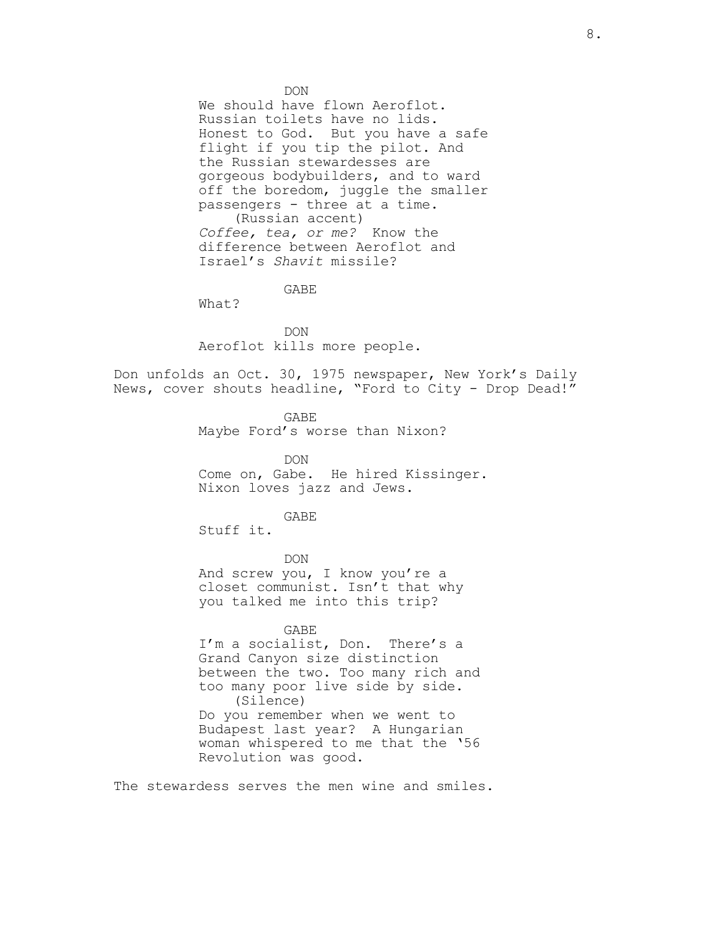DON

We should have flown Aeroflot. Russian toilets have no lids. Honest to God. But you have a safe flight if you tip the pilot. And the Russian stewardesses are gorgeous bodybuilders, and to ward off the boredom, juggle the smaller passengers - three at a time. (Russian accent) *Coffee, tea, or me?* Know the difference between Aeroflot and Israel's *Shavit* missile?

GABE

What?

DON Aeroflot kills more people.

Don unfolds an Oct. 30, 1975 newspaper, New York's Daily News, cover shouts headline, "Ford to City - Drop Dead!"

> GABE Maybe Ford's worse than Nixon?

DON Come on, Gabe. He hired Kissinger. Nixon loves jazz and Jews.

GABE

Stuff it.

DON

And screw you, I know you're a closet communist. Isn't that why you talked me into this trip?

GABE I'm a socialist, Don. There's a Grand Canyon size distinction between the two. Too many rich and too many poor live side by side. (Silence)

Do you remember when we went to Budapest last year? A Hungarian woman whispered to me that the '56 Revolution was good.

The stewardess serves the men wine and smiles.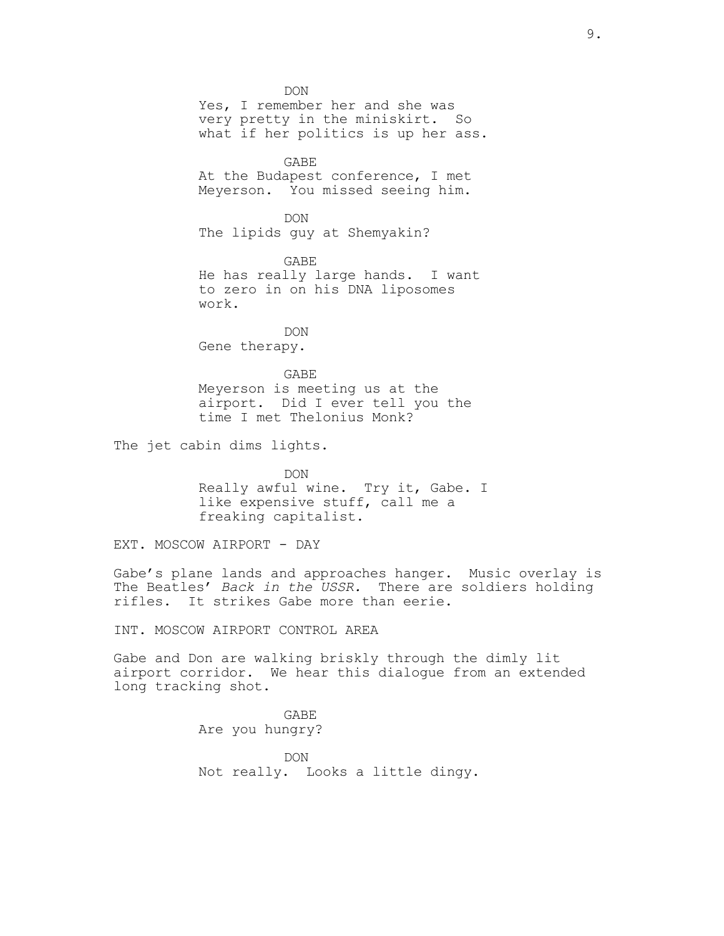DON Yes, I remember her and she was very pretty in the miniskirt. So what if her politics is up her ass. GABE At the Budapest conference, I met Meyerson. You missed seeing him. DON The lipids guy at Shemyakin? GABE He has really large hands. I want to zero in on his DNA liposomes work. DON Gene therapy. GABE Meyerson is meeting us at the airport. Did I ever tell you the time I met Thelonius Monk?

The jet cabin dims lights.

DON Really awful wine. Try it, Gabe. I like expensive stuff, call me a freaking capitalist.

EXT. MOSCOW AIRPORT - DAY

Gabe's plane lands and approaches hanger. Music overlay is The Beatles' *Back in the USSR.* There are soldiers holding rifles. It strikes Gabe more than eerie.

INT. MOSCOW AIRPORT CONTROL AREA

Gabe and Don are walking briskly through the dimly lit airport corridor. We hear this dialogue from an extended long tracking shot.

> GABE Are you hungry?

DON Not really. Looks a little dingy.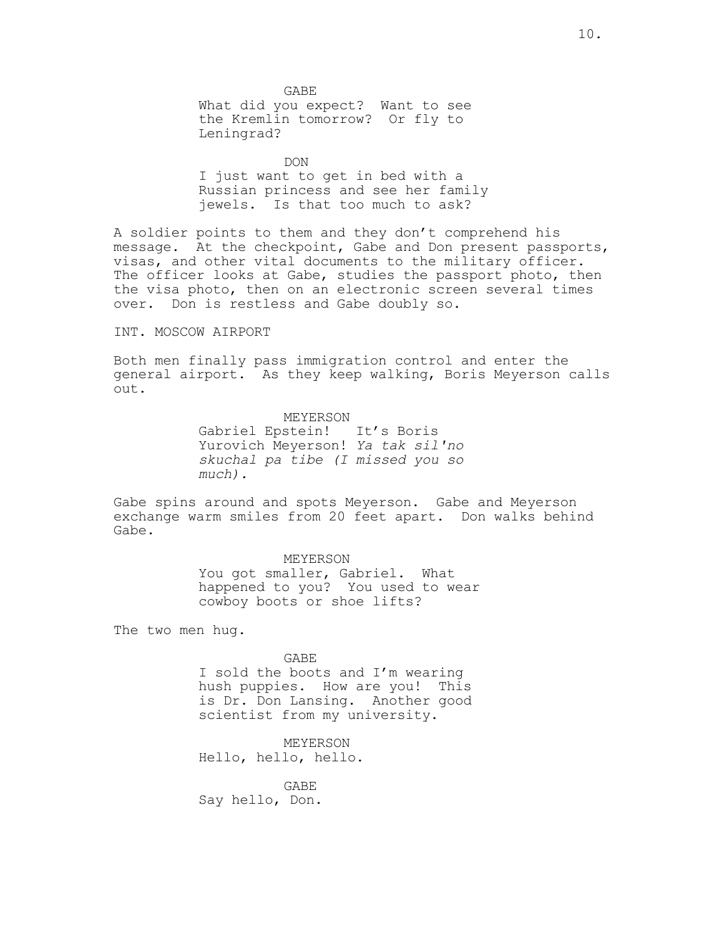GABE What did you expect? Want to see the Kremlin tomorrow? Or fly to Leningrad?

DON I just want to get in bed with a Russian princess and see her family jewels. Is that too much to ask?

A soldier points to them and they don't comprehend his message. At the checkpoint, Gabe and Don present passports, visas, and other vital documents to the military officer. The officer looks at Gabe, studies the passport photo, then the visa photo, then on an electronic screen several times over. Don is restless and Gabe doubly so.

## INT. MOSCOW AIRPORT

Both men finally pass immigration control and enter the general airport. As they keep walking, Boris Meyerson calls out.

> MEYERSON Gabriel Epstein! It's Boris Yurovich Meyerson! *Ya tak sil'no skuchal pa tibe (I missed you so much).*

Gabe spins around and spots Meyerson. Gabe and Meyerson exchange warm smiles from 20 feet apart. Don walks behind Gabe.

### MEYERSON

You got smaller, Gabriel. What happened to you? You used to wear cowboy boots or shoe lifts?

The two men hug.

GABE

I sold the boots and I'm wearing hush puppies. How are you! This is Dr. Don Lansing. Another good scientist from my university.

MEYERSON Hello, hello, hello.

GABE Say hello, Don.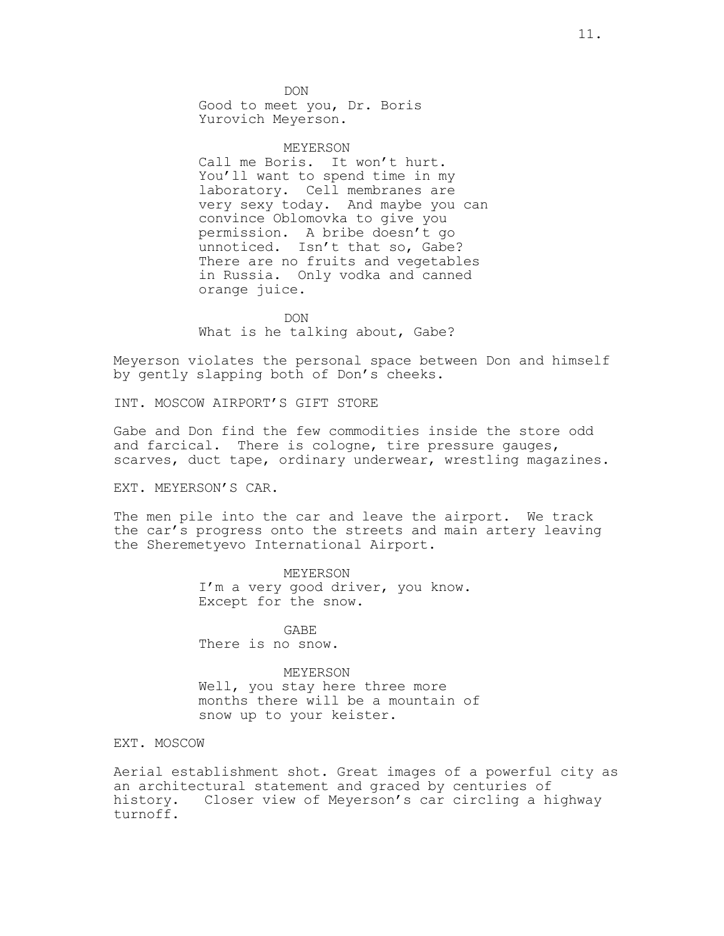**DON** Good to meet you, Dr. Boris Yurovich Meyerson.

MEYERSON Call me Boris. It won't hurt. You'll want to spend time in my laboratory. Cell membranes are very sexy today. And maybe you can convince Oblomovka to give you permission. A bribe doesn't go unnoticed. Isn't that so, Gabe? There are no fruits and vegetables in Russia. Only vodka and canned orange juice.

DON What is he talking about, Gabe?

Meyerson violates the personal space between Don and himself by gently slapping both of Don's cheeks.

INT. MOSCOW AIRPORT'S GIFT STORE

Gabe and Don find the few commodities inside the store odd and farcical. There is cologne, tire pressure gauges, scarves, duct tape, ordinary underwear, wrestling magazines.

EXT. MEYERSON'S CAR.

The men pile into the car and leave the airport. We track the car's progress onto the streets and main artery leaving the Sheremetyevo International Airport.

> MEYERSON I'm a very good driver, you know. Except for the snow.

GABE There is no snow.

MEYERSON Well, you stay here three more months there will be a mountain of snow up to your keister.

EXT. MOSCOW

Aerial establishment shot. Great images of a powerful city as an architectural statement and graced by centuries of history. Closer view of Meyerson's car circling a highway turnoff.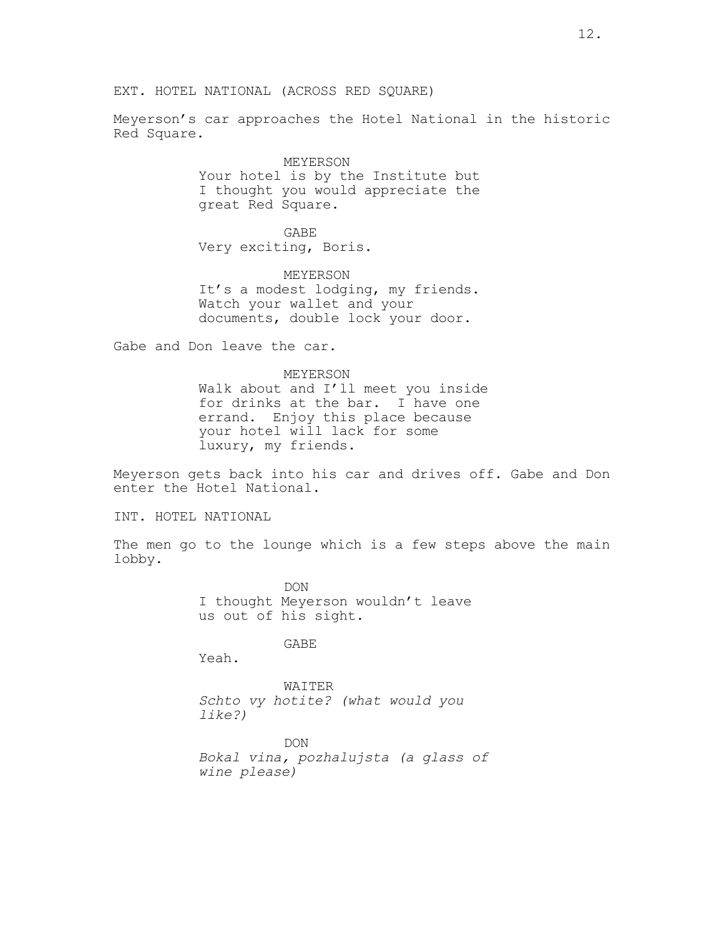Meyerson's car approaches the Hotel National in the historic Red Square.

> MEYERSON Your hotel is by the Institute but I thought you would appreciate the great Red Square.

GABE Very exciting, Boris.

MEYERSON It's a modest lodging, my friends. Watch your wallet and your documents, double lock your door.

Gabe and Don leave the car.

MEYERSON Walk about and I'll meet you inside for drinks at the bar. I have one errand. Enjoy this place because your hotel will lack for some luxury, my friends.

Meyerson gets back into his car and drives off. Gabe and Don enter the Hotel National.

INT. HOTEL NATIONAL

The men go to the lounge which is a few steps above the main lobby.

> DON I thought Meyerson wouldn't leave us out of his sight.

> > GABE

Yeah.

WAITER *Schto vy hotite? (what would you like?)*

DON *Bokal vina, pozhalujsta (a glass of wine please)*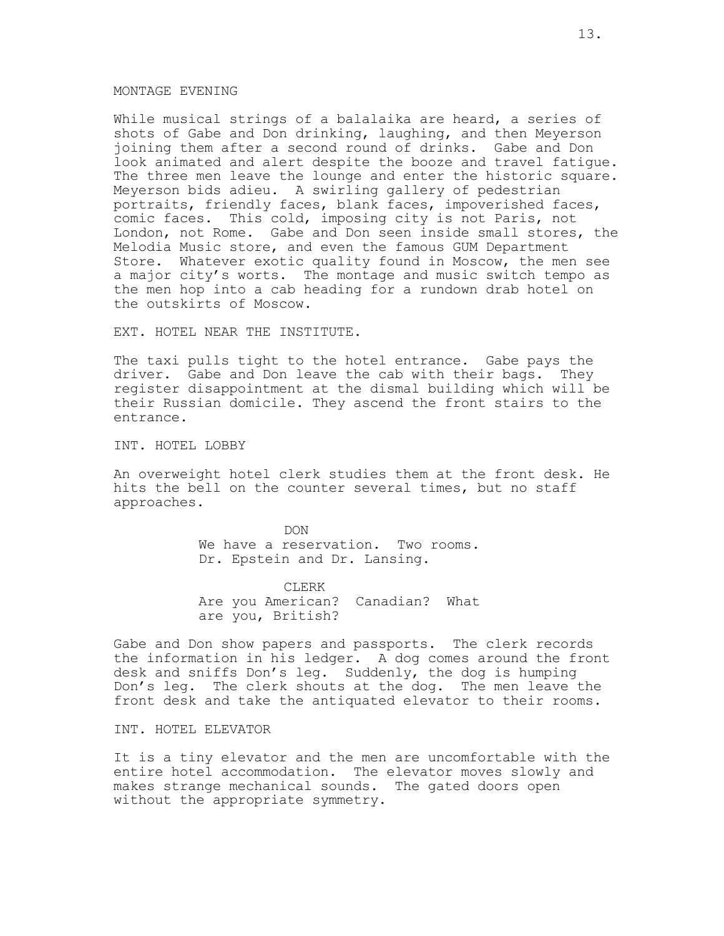### MONTAGE EVENING

While musical strings of a balalaika are heard, a series of shots of Gabe and Don drinking, laughing, and then Meyerson joining them after a second round of drinks. Gabe and Don look animated and alert despite the booze and travel fatigue. The three men leave the lounge and enter the historic square. Meyerson bids adieu. A swirling gallery of pedestrian portraits, friendly faces, blank faces, impoverished faces, comic faces. This cold, imposing city is not Paris, not London, not Rome. Gabe and Don seen inside small stores, the Melodia Music store, and even the famous GUM Department Store. Whatever exotic quality found in Moscow, the men see a major city's worts. The montage and music switch tempo as the men hop into a cab heading for a rundown drab hotel on the outskirts of Moscow.

EXT. HOTEL NEAR THE INSTITUTE.

The taxi pulls tight to the hotel entrance. Gabe pays the driver. Gabe and Don leave the cab with their bags. They register disappointment at the dismal building which will be their Russian domicile. They ascend the front stairs to the entrance.

INT. HOTEL LOBBY

An overweight hotel clerk studies them at the front desk. He hits the bell on the counter several times, but no staff approaches.

> DON We have a reservation. Two rooms. Dr. Epstein and Dr. Lansing.

> CLERK Are you American? Canadian? What are you, British?

Gabe and Don show papers and passports. The clerk records the information in his ledger. A dog comes around the front desk and sniffs Don's leg. Suddenly, the dog is humping Don's leg. The clerk shouts at the dog. The men leave the front desk and take the antiquated elevator to their rooms.

INT. HOTEL ELEVATOR

It is a tiny elevator and the men are uncomfortable with the entire hotel accommodation. The elevator moves slowly and makes strange mechanical sounds. The gated doors open without the appropriate symmetry.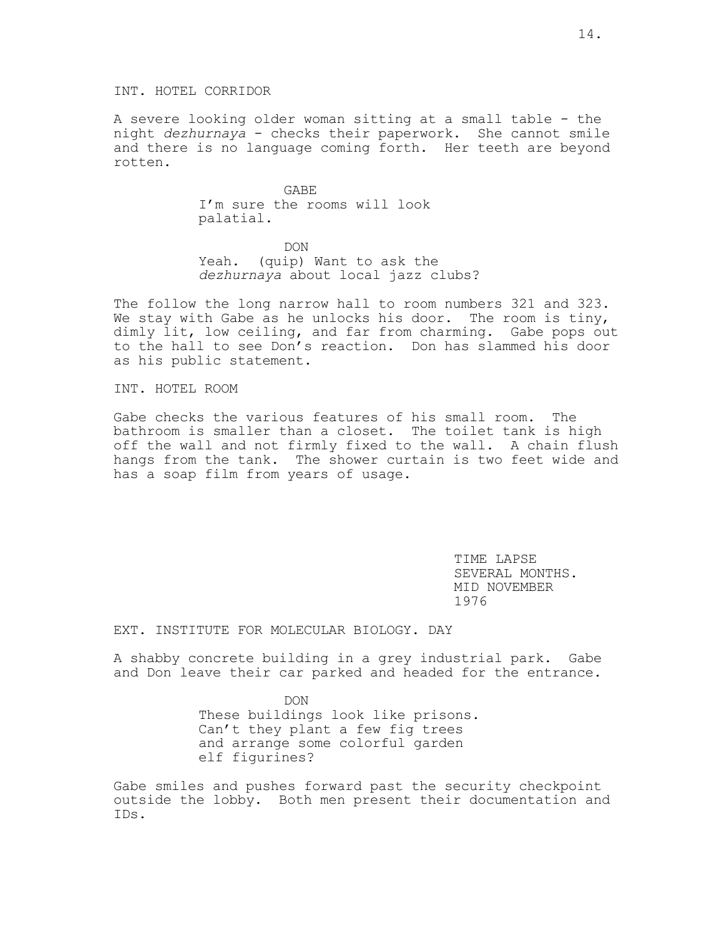A severe looking older woman sitting at a small table - the night *dezhurnaya* - checks their paperwork. She cannot smile and there is no language coming forth. Her teeth are beyond rotten.

> GABE I'm sure the rooms will look palatial.

DON Yeah. (quip) Want to ask the *dezhurnaya* about local jazz clubs?

The follow the long narrow hall to room numbers 321 and 323. We stay with Gabe as he unlocks his door. The room is tiny, dimly lit, low ceiling, and far from charming. Gabe pops out to the hall to see Don's reaction. Don has slammed his door as his public statement.

INT. HOTEL ROOM

Gabe checks the various features of his small room. The bathroom is smaller than a closet. The toilet tank is high off the wall and not firmly fixed to the wall. A chain flush hangs from the tank. The shower curtain is two feet wide and has a soap film from years of usage.

> TIME LAPSE SEVERAL MONTHS. MID NOVEMBER 1976

EXT. INSTITUTE FOR MOLECULAR BIOLOGY. DAY

A shabby concrete building in a grey industrial park. Gabe and Don leave their car parked and headed for the entrance.

> DON These buildings look like prisons. Can't they plant a few fig trees and arrange some colorful garden elf figurines?

Gabe smiles and pushes forward past the security checkpoint outside the lobby. Both men present their documentation and IDs.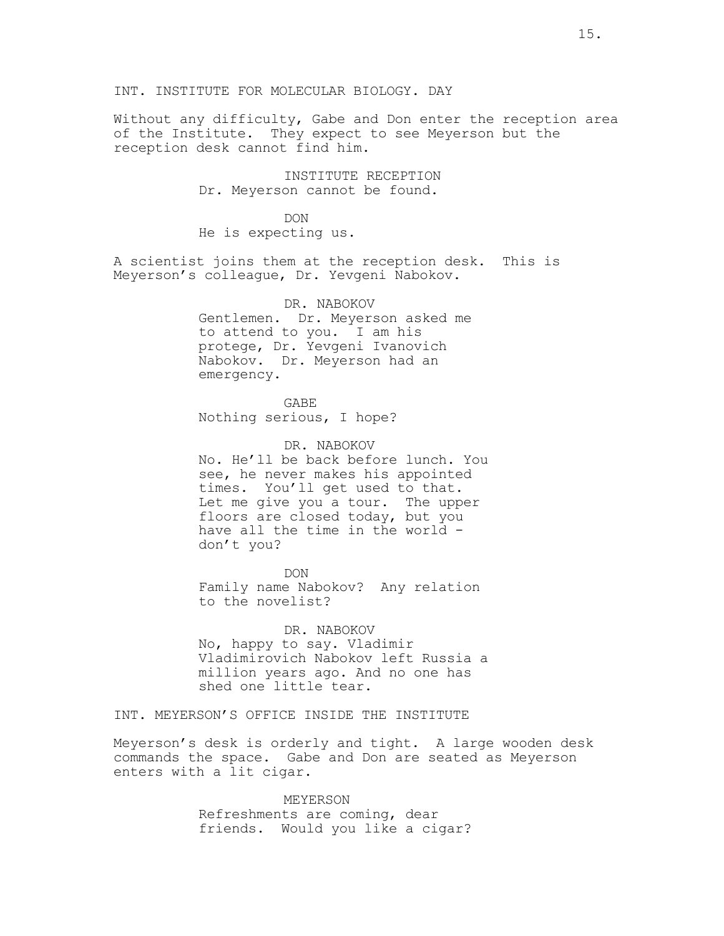## INT. INSTITUTE FOR MOLECULAR BIOLOGY. DAY

Without any difficulty, Gabe and Don enter the reception area of the Institute. They expect to see Meyerson but the reception desk cannot find him.

> INSTITUTE RECEPTION Dr. Meyerson cannot be found.

DON He is expecting us.

A scientist joins them at the reception desk. This is Meyerson's colleague, Dr. Yevgeni Nabokov.

> DR. NABOKOV Gentlemen. Dr. Meyerson asked me to attend to you. I am his protege, Dr. Yevgeni Ivanovich Nabokov. Dr. Meyerson had an emergency.

GABE Nothing serious, I hope?

DR. NABOKOV No. He'll be back before lunch. You see, he never makes his appointed times. You'll get used to that. Let me give you a tour. The upper floors are closed today, but you have all the time in the world don't you?

DON Family name Nabokov? Any relation to the novelist?

DR. NABOKOV No, happy to say. Vladimir Vladimirovich Nabokov left Russia a million years ago. And no one has shed one little tear.

INT. MEYERSON'S OFFICE INSIDE THE INSTITUTE

Meyerson's desk is orderly and tight. A large wooden desk commands the space. Gabe and Don are seated as Meyerson enters with a lit cigar.

> MEYERSON Refreshments are coming, dear friends. Would you like a cigar?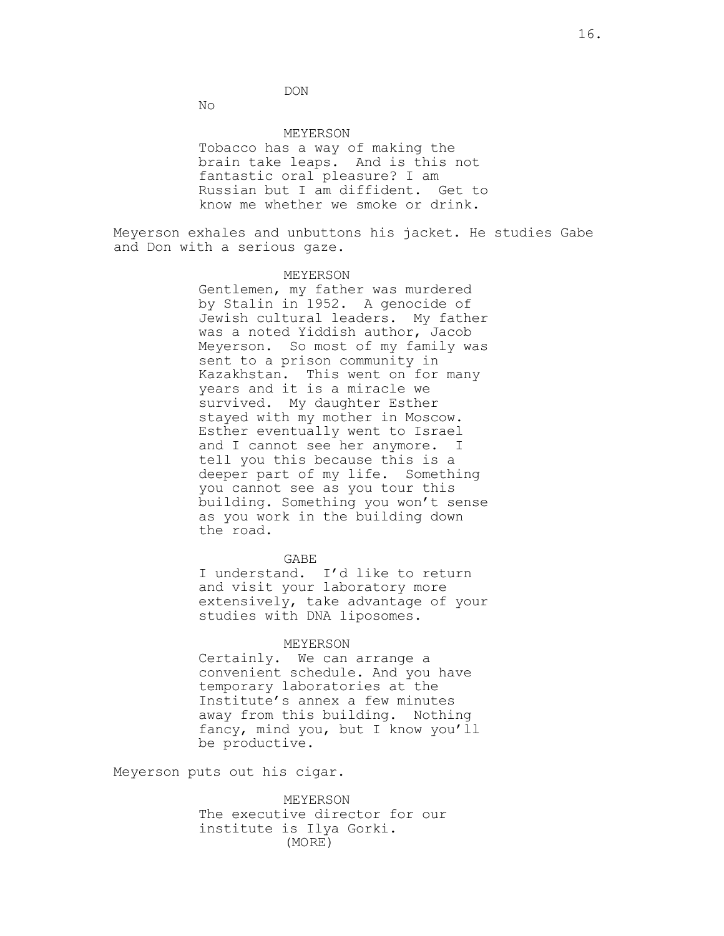DON

No

#### MEYERSON

Tobacco has a way of making the brain take leaps. And is this not fantastic oral pleasure? I am Russian but I am diffident. Get to know me whether we smoke or drink.

Meyerson exhales and unbuttons his jacket. He studies Gabe and Don with a serious gaze.

### MEYERSON

Gentlemen, my father was murdered by Stalin in 1952. A genocide of Jewish cultural leaders. My father was a noted Yiddish author, Jacob Meyerson. So most of my family was sent to a prison community in Kazakhstan. This went on for many years and it is a miracle we survived. My daughter Esther stayed with my mother in Moscow. Esther eventually went to Israel and I cannot see her anymore. I tell you this because this is a deeper part of my life. Something you cannot see as you tour this building. Something you won't sense as you work in the building down the road.

### GABE

I understand. I'd like to return and visit your laboratory more extensively, take advantage of your studies with DNA liposomes.

#### MEYERSON

Certainly. We can arrange a convenient schedule. And you have temporary laboratories at the Institute's annex a few minutes away from this building. Nothing fancy, mind you, but I know you'll be productive.

Meyerson puts out his cigar.

MEYERSON The executive director for our institute is Ilya Gorki. (MORE)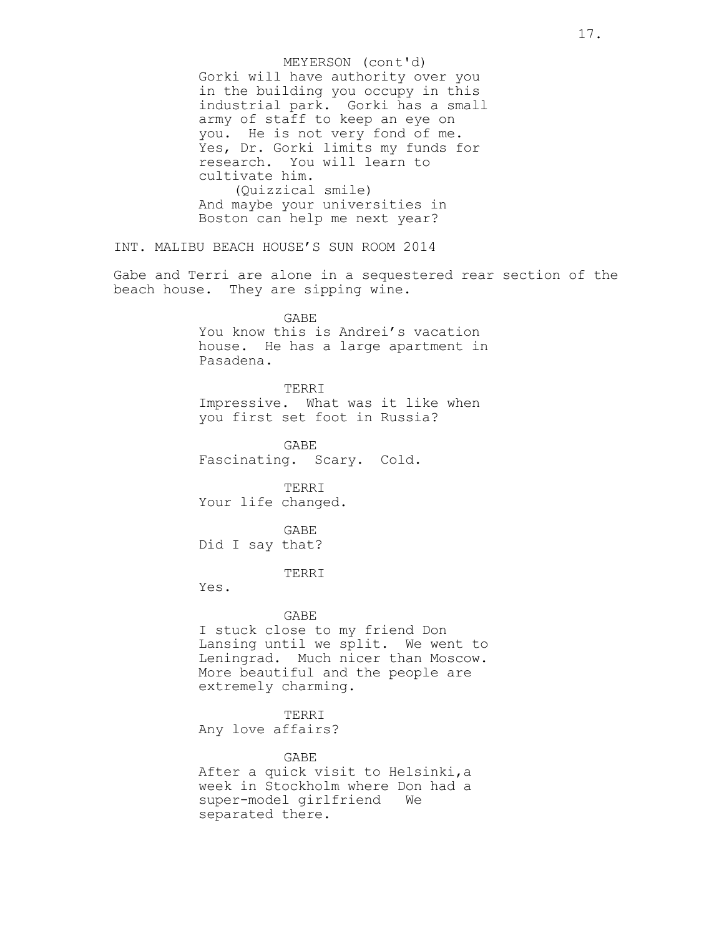Gorki will have authority over you in the building you occupy in this industrial park. Gorki has a small army of staff to keep an eye on you. He is not very fond of me. Yes, Dr. Gorki limits my funds for research. You will learn to cultivate him. (Quizzical smile) And maybe your universities in Boston can help me next year? INT. MALIBU BEACH HOUSE'S SUN ROOM 2014 Gabe and Terri are alone in a sequestered rear section of the beach house. They are sipping wine. GABE You know this is Andrei's vacation house. He has a large apartment in Pasadena. TERRI Impressive. What was it like when you first set foot in Russia? GABE Fascinating. Scary. Cold. TERRI Your life changed. GABE Did I say that? TERRI Yes. GABE I stuck close to my friend Don Lansing until we split. We went to Leningrad. Much nicer than Moscow. More beautiful and the people are extremely charming. TERRI Any love affairs? GABE After a quick visit to Helsinki,a week in Stockholm where Don had a super-model girlfriend We separated there. MEYERSON (cont'd)

17.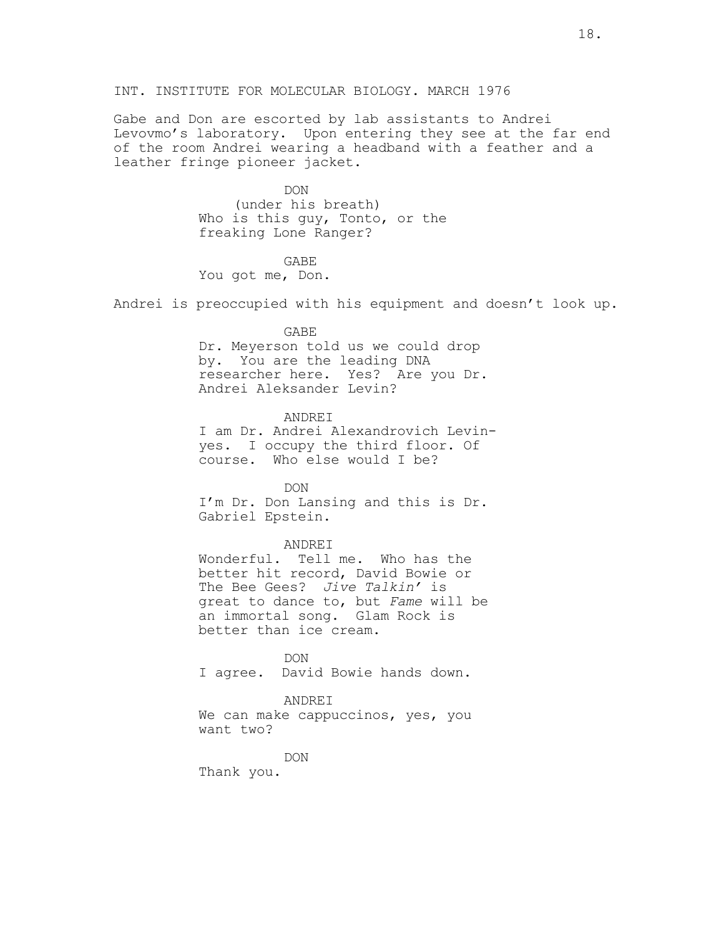Gabe and Don are escorted by lab assistants to Andrei Levovmo's laboratory. Upon entering they see at the far end of the room Andrei wearing a headband with a feather and a leather fringe pioneer jacket.

> DON (under his breath) Who is this guy, Tonto, or the freaking Lone Ranger?

GABE You got me, Don.

Andrei is preoccupied with his equipment and doesn't look up.

## GABE

Dr. Meyerson told us we could drop by. You are the leading DNA researcher here. Yes? Are you Dr. Andrei Aleksander Levin?

ANDREI

I am Dr. Andrei Alexandrovich Levinyes. I occupy the third floor. Of course. Who else would I be?

**DON** I'm Dr. Don Lansing and this is Dr. Gabriel Epstein.

### ANDREI

Wonderful. Tell me. Who has the better hit record, David Bowie or The Bee Gees? *Jive Talkin'* is great to dance to, but *Fame* will be an immortal song. Glam Rock is better than ice cream.

DON I agree. David Bowie hands down.

### ANDREI

We can make cappuccinos, yes, you want two?

DON

Thank you.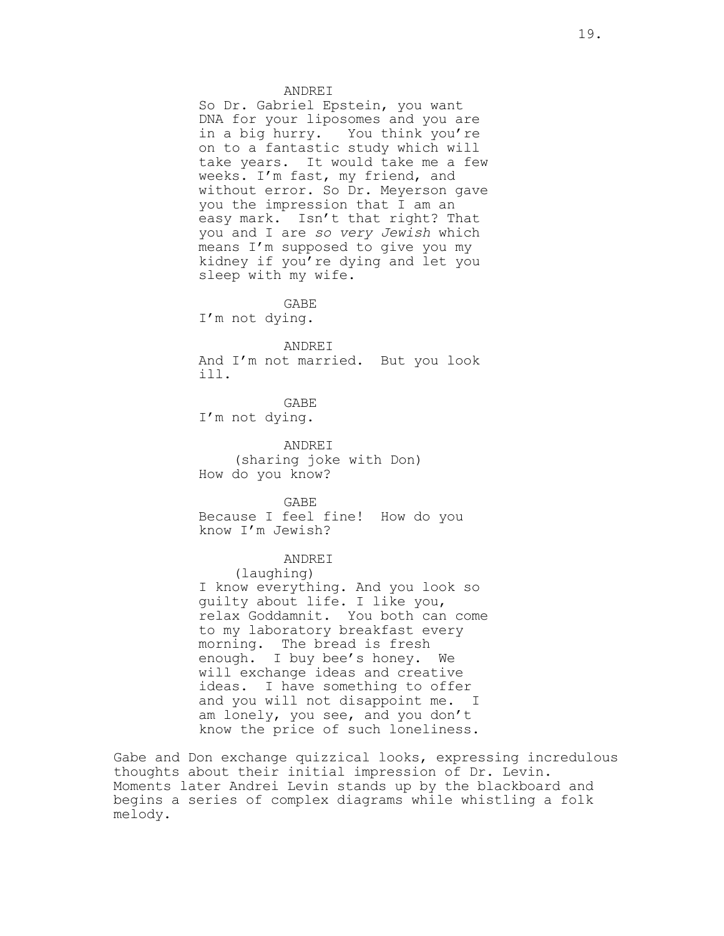#### ANDREI

So Dr. Gabriel Epstein, you want DNA for your liposomes and you are in a big hurry. You think you're on to a fantastic study which will take years. It would take me a few weeks. I'm fast, my friend, and without error. So Dr. Meyerson gave you the impression that I am an easy mark. Isn't that right? That you and I are *so very Jewish* which means I'm supposed to give you my kidney if you're dying and let you sleep with my wife.

GABE I'm not dying.

#### ANDREI

And I'm not married. But you look ill.

GABE I'm not dying.

ANDREI (sharing joke with Don) How do you know?

GABE Because I feel fine! How do you know I'm Jewish?

## ANDREI

(laughing) I know everything. And you look so guilty about life. I like you, relax Goddamnit. You both can come to my laboratory breakfast every morning. The bread is fresh enough. I buy bee's honey. We will exchange ideas and creative ideas. I have something to offer and you will not disappoint me. I am lonely, you see, and you don't know the price of such loneliness.

Gabe and Don exchange quizzical looks, expressing incredulous thoughts about their initial impression of Dr. Levin. Moments later Andrei Levin stands up by the blackboard and begins a series of complex diagrams while whistling a folk melody.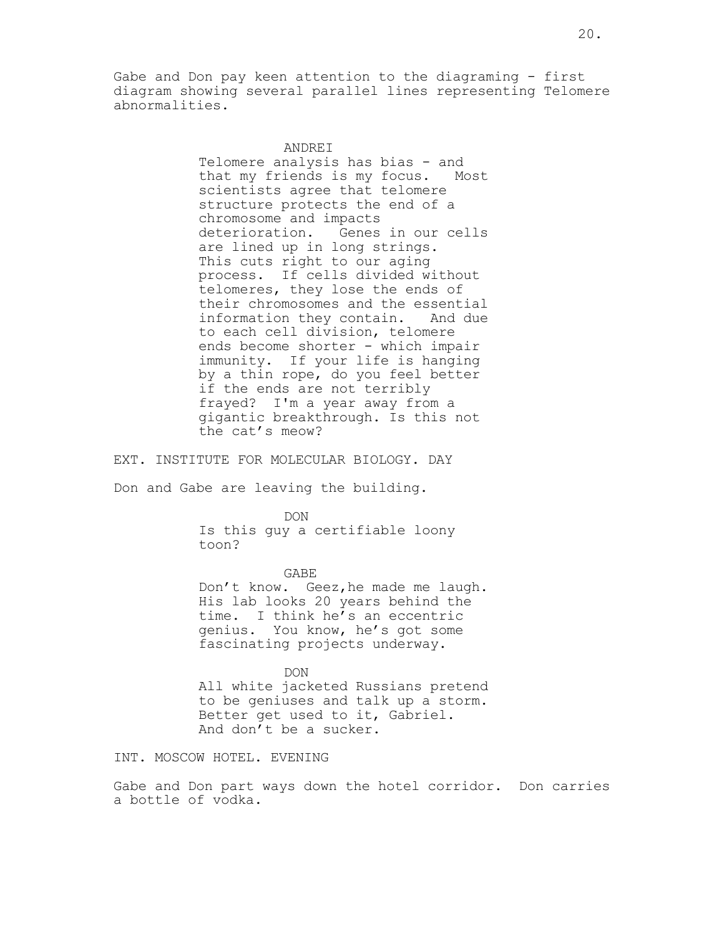Gabe and Don pay keen attention to the diagraming - first diagram showing several parallel lines representing Telomere abnormalities.

> ANDREI Telomere analysis has bias - and that my friends is my focus. Most scientists agree that telomere structure protects the end of a chromosome and impacts deterioration. Genes in our cells are lined up in long strings. This cuts right to our aging process. If cells divided without telomeres, they lose the ends of their chromosomes and the essential information they contain. And due to each cell division, telomere ends become shorter - which impair immunity. If your life is hanging by a thin rope, do you feel better if the ends are not terribly frayed? I'm a year away from a gigantic breakthrough. Is this not the cat's meow?

EXT. INSTITUTE FOR MOLECULAR BIOLOGY. DAY

Don and Gabe are leaving the building.

DON

Is this guy a certifiable loony toon?

GABE Don't know. Geez, he made me laugh. His lab looks 20 years behind the time. I think he's an eccentric genius. You know, he's got some fascinating projects underway.

DON All white jacketed Russians pretend to be geniuses and talk up a storm. Better get used to it, Gabriel. And don't be a sucker.

INT. MOSCOW HOTEL. EVENING

Gabe and Don part ways down the hotel corridor. Don carries a bottle of vodka.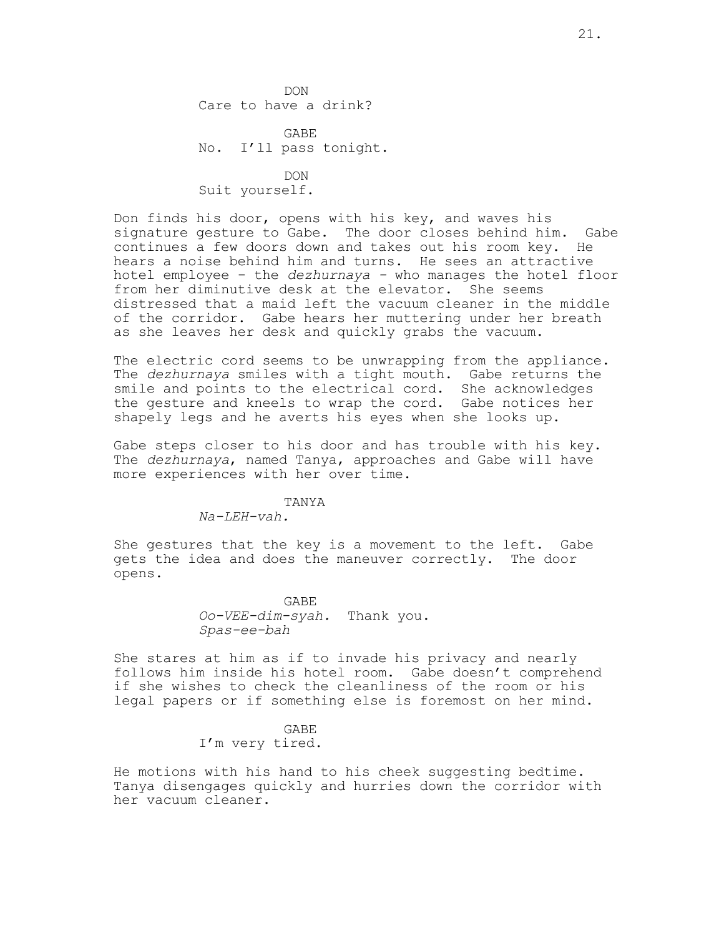**DON** Care to have a drink?

GABE No. I'll pass tonight.

**DON** Suit yourself.

Don finds his door, opens with his key, and waves his signature gesture to Gabe. The door closes behind him. Gabe continues a few doors down and takes out his room key. He hears a noise behind him and turns. He sees an attractive hotel employee - the *dezhurnaya -* who manages the hotel floor from her diminutive desk at the elevator. She seems distressed that a maid left the vacuum cleaner in the middle of the corridor. Gabe hears her muttering under her breath as she leaves her desk and quickly grabs the vacuum.

The electric cord seems to be unwrapping from the appliance. The *dezhurnaya* smiles with a tight mouth. Gabe returns the smile and points to the electrical cord. She acknowledges the gesture and kneels to wrap the cord. Gabe notices her shapely legs and he averts his eyes when she looks up.

Gabe steps closer to his door and has trouble with his key. The *dezhurnaya*, named Tanya, approaches and Gabe will have more experiences with her over time.

#### TANYA

*Na-LEH-vah.*

She gestures that the key is a movement to the left. Gabe gets the idea and does the maneuver correctly. The door opens.

> GABE *Oo-VEE-dim-syah.* Thank you. *Spas-ee-bah*

She stares at him as if to invade his privacy and nearly follows him inside his hotel room. Gabe doesn't comprehend if she wishes to check the cleanliness of the room or his legal papers or if something else is foremost on her mind.

> GABE I'm very tired.

He motions with his hand to his cheek suggesting bedtime. Tanya disengages quickly and hurries down the corridor with her vacuum cleaner.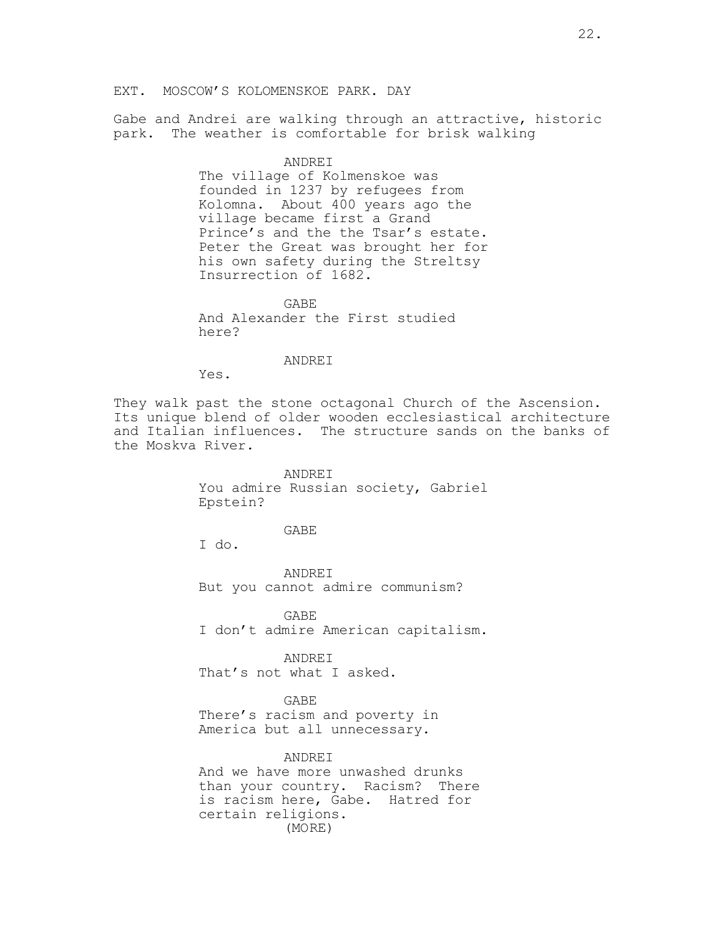## EXT. MOSCOW'S KOLOMENSKOE PARK. DAY

Gabe and Andrei are walking through an attractive, historic park. The weather is comfortable for brisk walking

### ANDREI

The village of Kolmenskoe was founded in 1237 by refugees from Kolomna. About 400 years ago the village became first a Grand Prince's and the the Tsar's estate. Peter the Great was brought her for his own safety during the Streltsy Insurrection of 1682.

GABE And Alexander the First studied here?

### ANDREI

Yes.

They walk past the stone octagonal Church of the Ascension. Its unique blend of older wooden ecclesiastical architecture and Italian influences. The structure sands on the banks of the Moskva River.

> ANDREI You admire Russian society, Gabriel Epstein?

### GABE

I do.

ANDREI But you cannot admire communism?

GABE I don't admire American capitalism.

ANDREI That's not what I asked.

GABE

There's racism and poverty in America but all unnecessary.

#### ANDREI

And we have more unwashed drunks than your country. Racism? There is racism here, Gabe. Hatred for certain religions. (MORE)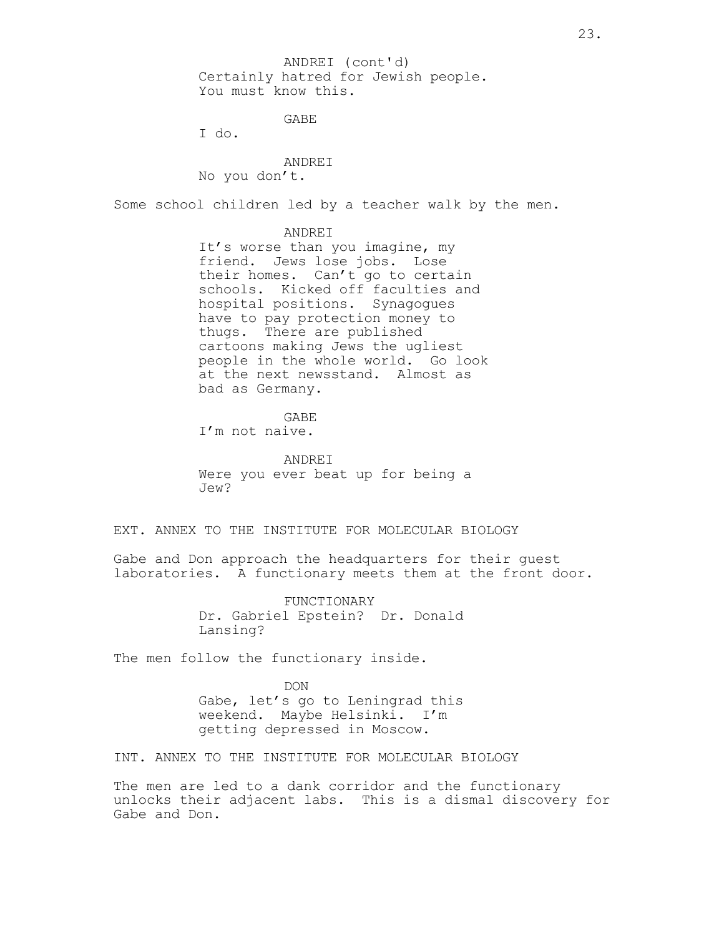Certainly hatred for Jewish people. You must know this. ANDREI (cont'd)

GABE

I do.

## ANDREI

No you don't.

Some school children led by a teacher walk by the men.

### ANDREI

It's worse than you imagine, my friend. Jews lose jobs. Lose their homes. Can't go to certain schools. Kicked off faculties and hospital positions. Synagogues have to pay protection money to thugs. There are published cartoons making Jews the ugliest people in the whole world. Go look at the next newsstand. Almost as bad as Germany.

GABE

I'm not naive.

ANDREI Were you ever beat up for being a Jew?

## EXT. ANNEX TO THE INSTITUTE FOR MOLECULAR BIOLOGY

Gabe and Don approach the headquarters for their guest laboratories. A functionary meets them at the front door.

> FUNCTIONARY Dr. Gabriel Epstein? Dr. Donald Lansing?

The men follow the functionary inside.

DON Gabe, let's go to Leningrad this weekend. Maybe Helsinki. I'm getting depressed in Moscow.

INT. ANNEX TO THE INSTITUTE FOR MOLECULAR BIOLOGY

The men are led to a dank corridor and the functionary unlocks their adjacent labs. This is a dismal discovery for Gabe and Don.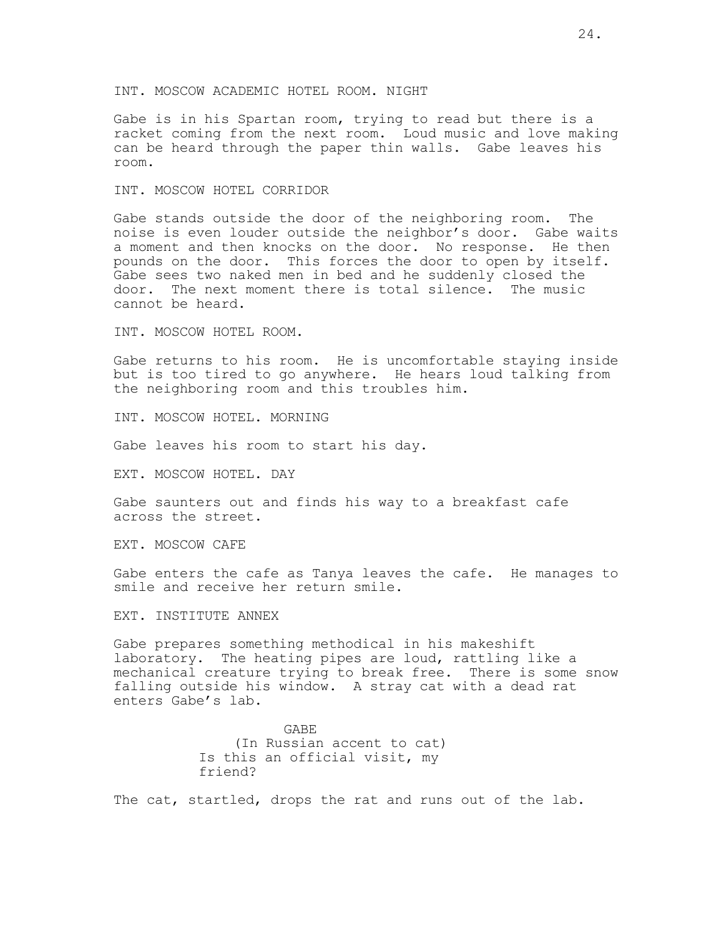### INT. MOSCOW ACADEMIC HOTEL ROOM. NIGHT

Gabe is in his Spartan room, trying to read but there is a racket coming from the next room. Loud music and love making can be heard through the paper thin walls. Gabe leaves his room.

### INT. MOSCOW HOTEL CORRIDOR

Gabe stands outside the door of the neighboring room. The noise is even louder outside the neighbor's door. Gabe waits a moment and then knocks on the door. No response. He then pounds on the door. This forces the door to open by itself. Gabe sees two naked men in bed and he suddenly closed the door. The next moment there is total silence. The music cannot be heard.

INT. MOSCOW HOTEL ROOM.

Gabe returns to his room. He is uncomfortable staying inside but is too tired to go anywhere. He hears loud talking from the neighboring room and this troubles him.

INT. MOSCOW HOTEL. MORNING

Gabe leaves his room to start his day.

EXT. MOSCOW HOTEL. DAY

Gabe saunters out and finds his way to a breakfast cafe across the street.

EXT. MOSCOW CAFE

Gabe enters the cafe as Tanya leaves the cafe. He manages to smile and receive her return smile.

EXT. INSTITUTE ANNEX

Gabe prepares something methodical in his makeshift laboratory. The heating pipes are loud, rattling like a mechanical creature trying to break free. There is some snow falling outside his window. A stray cat with a dead rat enters Gabe's lab.

> GABE (In Russian accent to cat) Is this an official visit, my friend?

The cat, startled, drops the rat and runs out of the lab.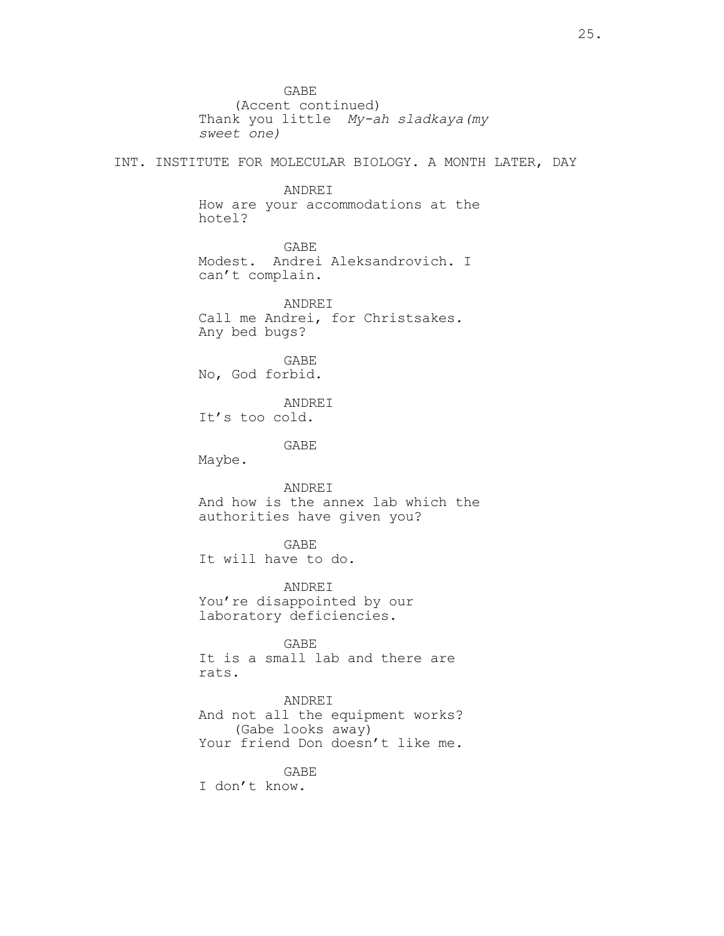GABE (Accent continued) Thank you little *My-ah sladkaya(my sweet one)* INT. INSTITUTE FOR MOLECULAR BIOLOGY. A MONTH LATER, DAY ANDREI How are your accommodations at the hotel? GABE Modest. Andrei Aleksandrovich. I can't complain. ANDREI Call me Andrei, for Christsakes. Any bed bugs? GABE No, God forbid. ANDREI It's too cold. GABE Maybe. ANDREI And how is the annex lab which the authorities have given you? GABE It will have to do. ANDREI You're disappointed by our laboratory deficiencies. GABE It is a small lab and there are rats. ANDREI And not all the equipment works? (Gabe looks away) Your friend Don doesn't like me. GABE I don't know.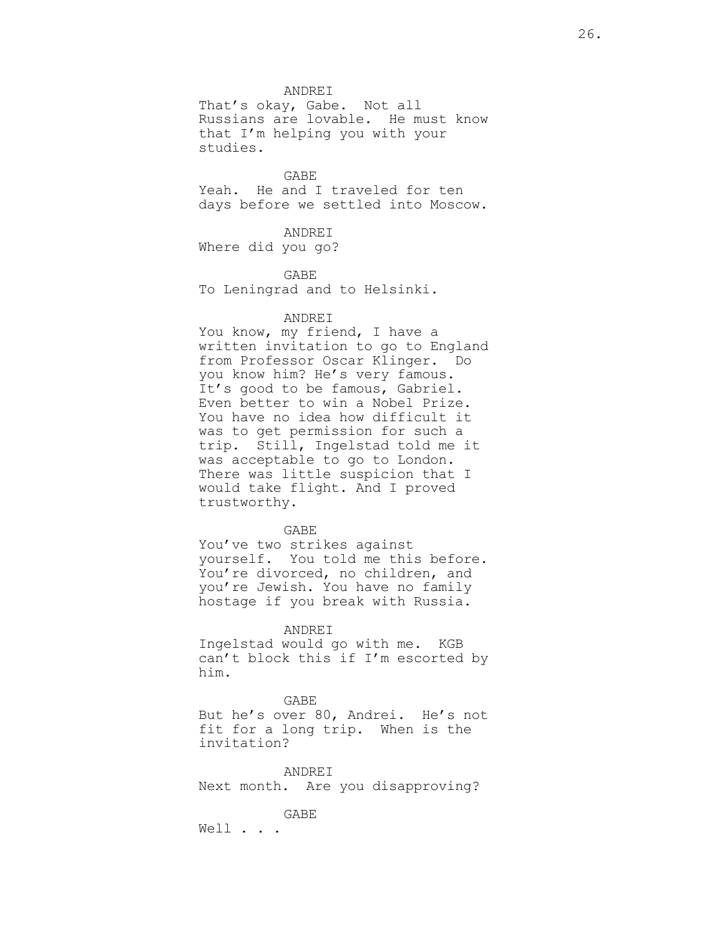ANDREI

That's okay, Gabe. Not all Russians are lovable. He must know that I'm helping you with your studies.

GABE

Yeah. He and I traveled for ten days before we settled into Moscow.

ANDREI

Where did you go?

GABE To Leningrad and to Helsinki.

## ANDREI

You know, my friend, I have a written invitation to go to England from Professor Oscar Klinger. Do you know him? He's very famous. It's good to be famous, Gabriel. Even better to win a Nobel Prize. You have no idea how difficult it was to get permission for such a trip. Still, Ingelstad told me it was acceptable to go to London. There was little suspicion that I would take flight. And I proved trustworthy.

GABE

You've two strikes against yourself. You told me this before. You're divorced, no children, and you're Jewish. You have no family hostage if you break with Russia.

### ANDREI

Ingelstad would go with me. KGB can't block this if I'm escorted by him.

#### GABE

But he's over 80, Andrei. He's not fit for a long trip. When is the invitation?

ANDREI Next month. Are you disapproving?

GABE

Well . . .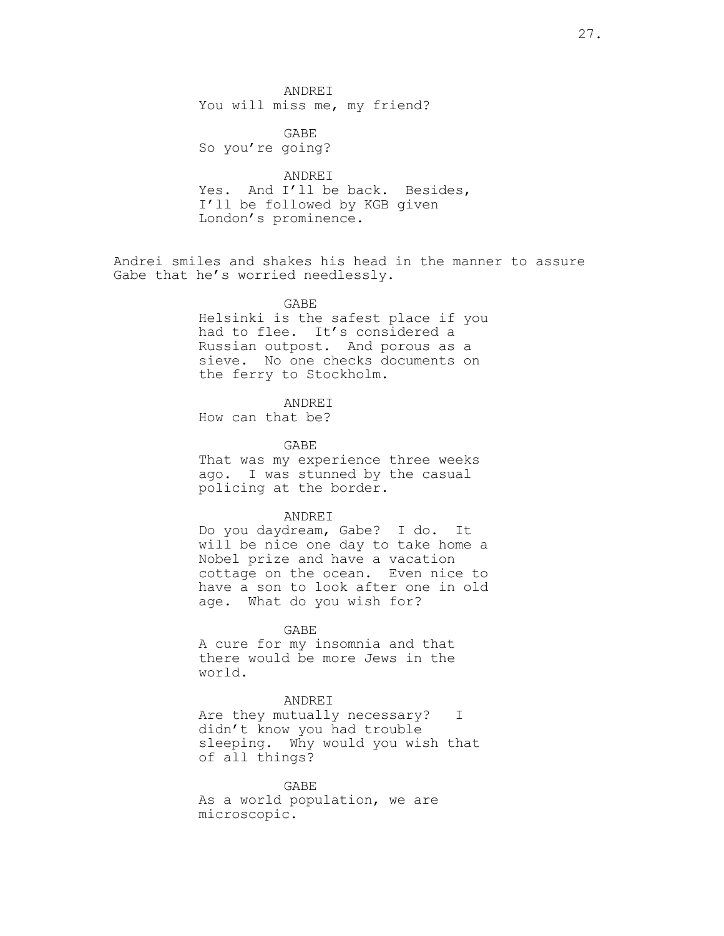ANDREI You will miss me, my friend?

GABE So you're going?

ANDREI Yes. And I'll be back. Besides, I'll be followed by KGB given London's prominence.

Andrei smiles and shakes his head in the manner to assure Gabe that he's worried needlessly.

> GABE Helsinki is the safest place if you had to flee. It's considered a Russian outpost. And porous as a sieve. No one checks documents on the ferry to Stockholm.

> > ANDREI

How can that be?

GABE

That was my experience three weeks ago. I was stunned by the casual policing at the border.

#### ANDREI

Do you daydream, Gabe? I do. It will be nice one day to take home a Nobel prize and have a vacation cottage on the ocean. Even nice to have a son to look after one in old age. What do you wish for?

GABE A cure for my insomnia and that there would be more Jews in the world.

## ANDREI

Are they mutually necessary? I didn't know you had trouble sleeping. Why would you wish that of all things?

GABE As a world population, we are microscopic.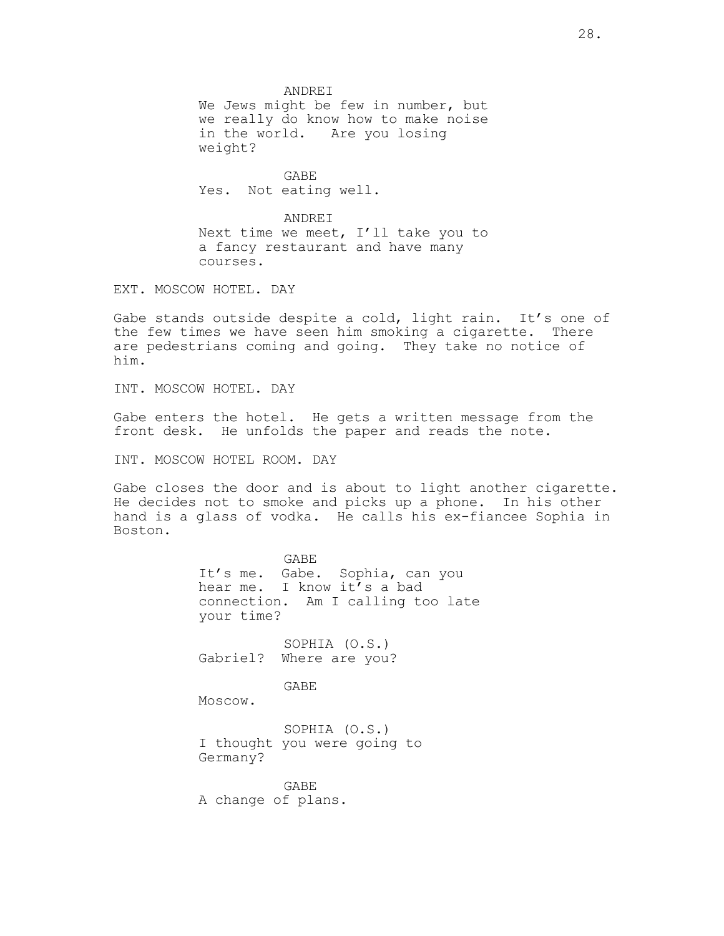ANDREI We Jews might be few in number, but we really do know how to make noise in the world. Are you losing weight?

GABE Yes. Not eating well.

ANDREI Next time we meet, I'll take you to a fancy restaurant and have many courses.

EXT. MOSCOW HOTEL. DAY

Gabe stands outside despite a cold, light rain. It's one of the few times we have seen him smoking a cigarette. There are pedestrians coming and going. They take no notice of him.

INT. MOSCOW HOTEL. DAY

Gabe enters the hotel. He gets a written message from the front desk. He unfolds the paper and reads the note.

INT. MOSCOW HOTEL ROOM. DAY

Gabe closes the door and is about to light another cigarette. He decides not to smoke and picks up a phone. In his other hand is a glass of vodka. He calls his ex-fiancee Sophia in Boston.

> GABE It's me. Gabe. Sophia, can you hear me. I know it's a bad connection. Am I calling too late your time? SOPHIA (O.S.) Gabriel? Where are you? GABE Moscow. SOPHIA (O.S.) I thought you were going to Germany?

GABE A change of plans.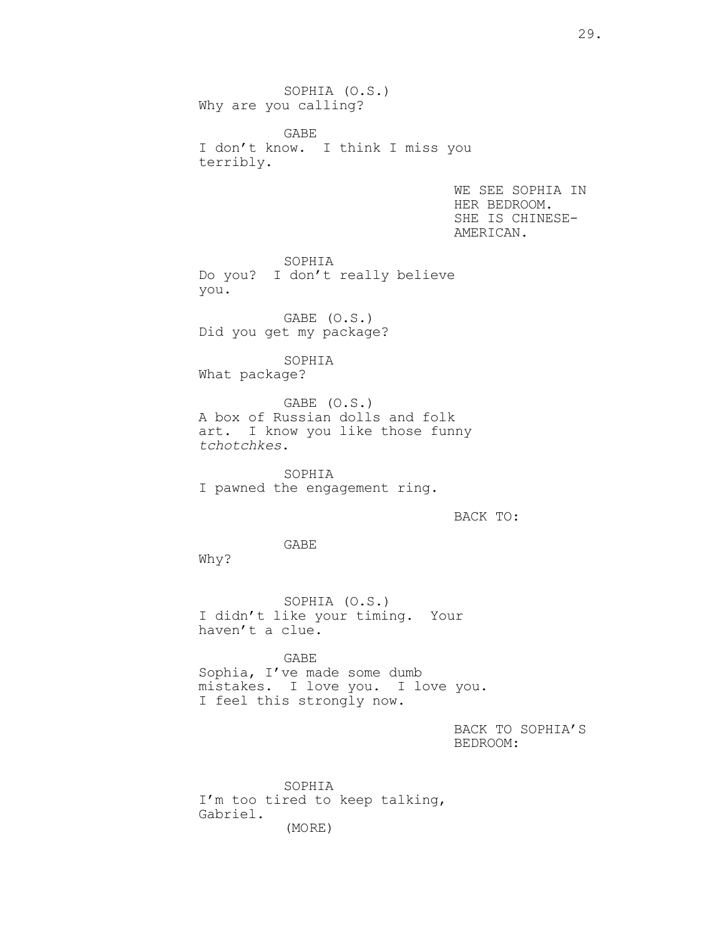SOPHIA (O.S.) Why are you calling?

GABE I don't know. I think I miss you terribly.

> WE SEE SOPHIA IN HER BEDROOM. SHE IS CHINESE-AMERICAN.

SOPHIA Do you? I don't really believe you.

GABE (O.S.) Did you get my package?

SOPHIA What package?

GABE (O.S.) A box of Russian dolls and folk art. I know you like those funny *tchotchkes*.

SOPHIA I pawned the engagement ring.

BACK TO:

GABE

Why?

SOPHIA (O.S.) I didn't like your timing. Your haven't a clue.

GABE Sophia, I've made some dumb mistakes. I love you. I love you. I feel this strongly now.

> BACK TO SOPHIA'S BEDROOM:

SOPHIA I'm too tired to keep talking, Gabriel. (MORE)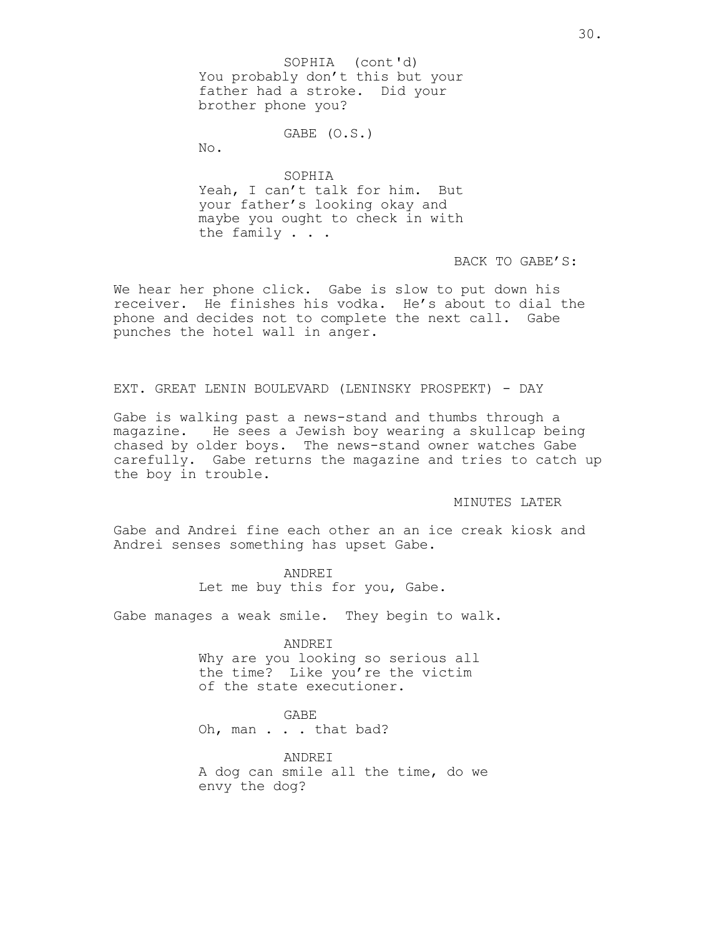You probably don't this but your father had a stroke. Did your brother phone you? SOPHIA (cont'd)

### GABE (O.S.)

No.

SOPHIA Yeah, I can't talk for him. But your father's looking okay and maybe you ought to check in with the family . . .

BACK TO GABE'S:

We hear her phone click. Gabe is slow to put down his receiver. He finishes his vodka. He's about to dial the phone and decides not to complete the next call. Gabe punches the hotel wall in anger.

## EXT. GREAT LENIN BOULEVARD (LENINSKY PROSPEKT) - DAY

Gabe is walking past a news-stand and thumbs through a magazine. He sees a Jewish boy wearing a skullcap being chased by older boys. The news-stand owner watches Gabe carefully. Gabe returns the magazine and tries to catch up the boy in trouble.

MINUTES LATER

Gabe and Andrei fine each other an an ice creak kiosk and Andrei senses something has upset Gabe.

> ANDREI Let me buy this for you, Gabe.

Gabe manages a weak smile. They begin to walk.

ANDREI

Why are you looking so serious all the time? Like you're the victim of the state executioner.

GABE

Oh, man . . . that bad?

ANDREI A dog can smile all the time, do we envy the dog?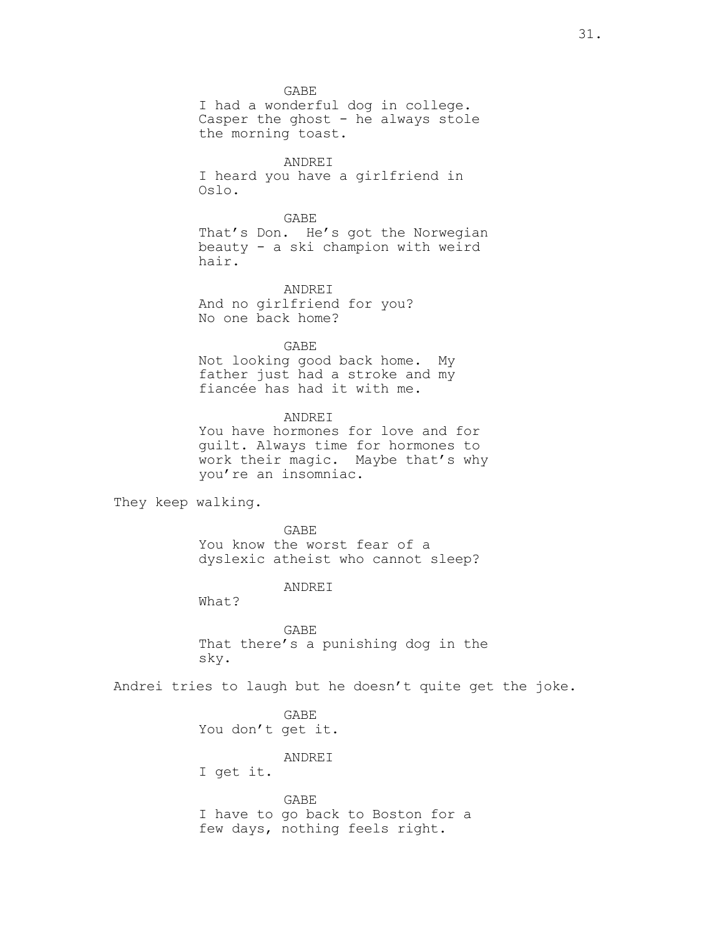GABE I had a wonderful dog in college. Casper the ghost - he always stole the morning toast.

ANDREI I heard you have a girlfriend in Oslo.

GABE That's Don. He's got the Norwegian beauty - a ski champion with weird hair.

ANDREI And no girlfriend for you? No one back home?

GABE Not looking good back home. My father just had a stroke and my fiancée has had it with me.

ANDREI You have hormones for love and for guilt. Always time for hormones to work their magic. Maybe that's why you're an insomniac.

They keep walking.

GABE You know the worst fear of a dyslexic atheist who cannot sleep?

ANDREI

What?

GABE That there's a punishing dog in the sky.

Andrei tries to laugh but he doesn't quite get the joke.

GABE You don't get it.

ANDREI

I get it.

GABE I have to go back to Boston for a few days, nothing feels right.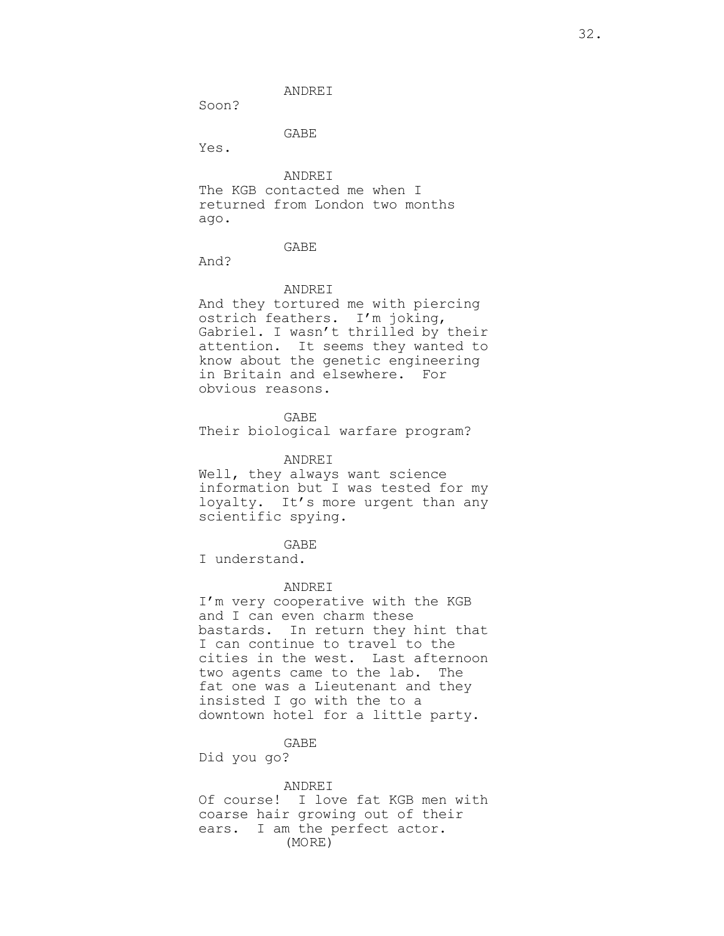Soon?

GABE

Yes.

ANDREI The KGB contacted me when I returned from London two months ago.

GABE

And?

#### ANDREI

And they tortured me with piercing ostrich feathers. I'm joking, Gabriel. I wasn't thrilled by their attention. It seems they wanted to know about the genetic engineering in Britain and elsewhere. For obvious reasons.

GABE Their biological warfare program?

### ANDREI

Well, they always want science information but I was tested for my loyalty. It's more urgent than any scientific spying.

GABE

I understand.

#### ANDREI

I'm very cooperative with the KGB and I can even charm these bastards. In return they hint that I can continue to travel to the cities in the west. Last afternoon two agents came to the lab. The fat one was a Lieutenant and they insisted I go with the to a downtown hotel for a little party.

GABE

Did you go?

# ANDREI

Of course! I love fat KGB men with coarse hair growing out of their ears. I am the perfect actor. (MORE)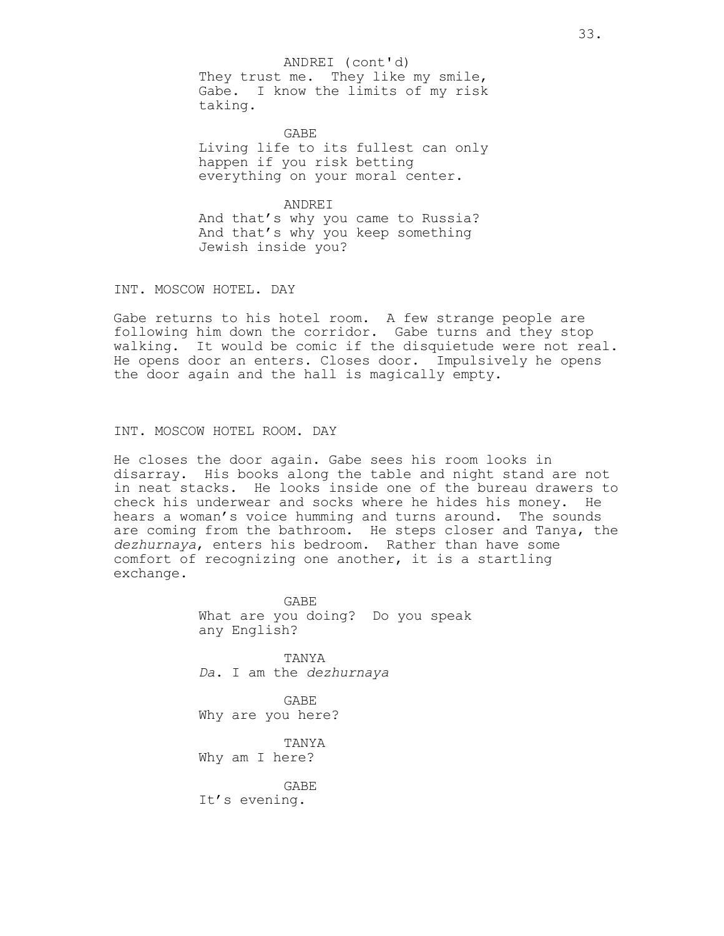ANDREI (cont'd)

They trust me. They like my smile, Gabe. I know the limits of my risk taking.

GABE Living life to its fullest can only happen if you risk betting everything on your moral center.

ANDREI And that's why you came to Russia? And that's why you keep something Jewish inside you?

INT. MOSCOW HOTEL. DAY

Gabe returns to his hotel room. A few strange people are following him down the corridor. Gabe turns and they stop walking. It would be comic if the disquietude were not real. He opens door an enters. Closes door. Impulsively he opens the door again and the hall is magically empty.

INT. MOSCOW HOTEL ROOM. DAY

He closes the door again. Gabe sees his room looks in disarray. His books along the table and night stand are not in neat stacks. He looks inside one of the bureau drawers to check his underwear and socks where he hides his money. He hears a woman's voice humming and turns around. The sounds are coming from the bathroom. He steps closer and Tanya, the *dezhurnaya*, enters his bedroom. Rather than have some comfort of recognizing one another, it is a startling exchange.

> GABE What are you doing? Do you speak any English?

TANYA *Da*. I am the *dezhurnaya*

GABE Why are you here?

TANYA Why am I here?

GABE It's evening.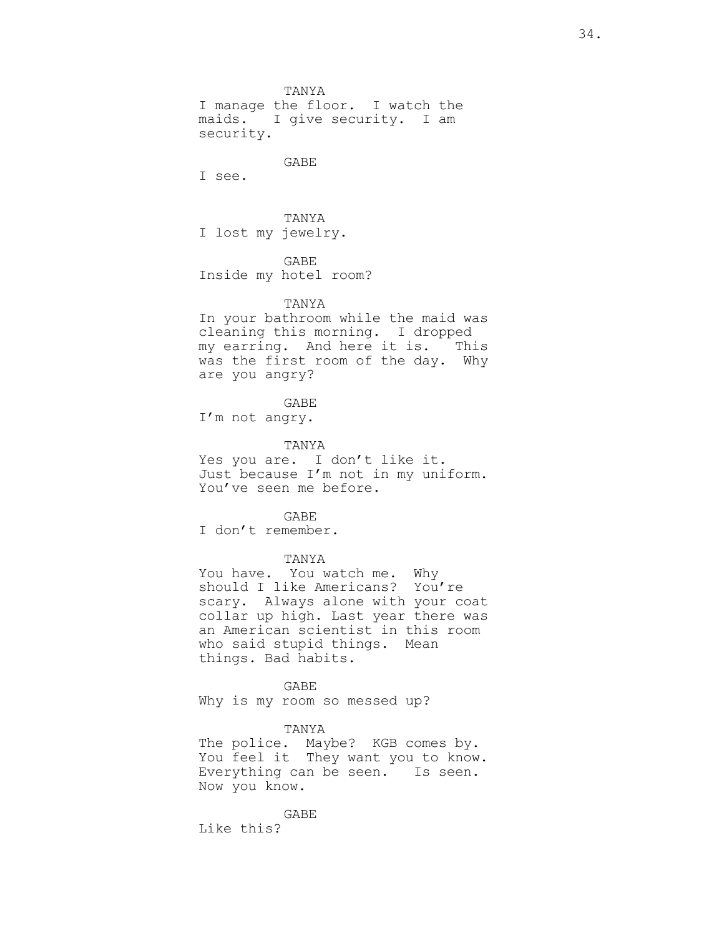TANYA I manage the floor. I watch the maids. I give security. I am security.

GABE

I see.

TANYA I lost my jewelry.

GABE Inside my hotel room?

#### TANYA

In your bathroom while the maid was cleaning this morning. I dropped my earring. And here it is. This was the first room of the day. Why are you angry?

GABE

I'm not angry.

TANYA

Yes you are. I don't like it. Just because I'm not in my uniform. You've seen me before.

GABE

I don't remember.

TANYA

You have. You watch me. Why should I like Americans? You're scary. Always alone with your coat collar up high. Last year there was an American scientist in this room who said stupid things. Mean things. Bad habits.

GABE Why is my room so messed up?

TANYA

The police. Maybe? KGB comes by. You feel it They want you to know. Everything can be seen. Is seen. Now you know.

GABE Like this?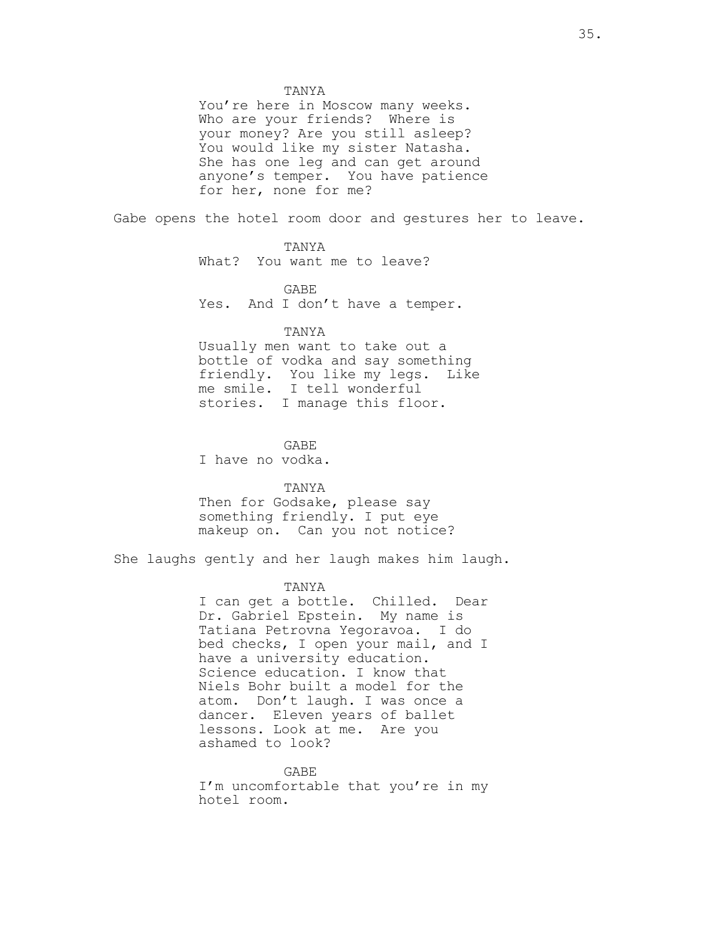You're here in Moscow many weeks. Who are your friends? Where is your money? Are you still asleep? You would like my sister Natasha. She has one leg and can get around anyone's temper. You have patience for her, none for me?

Gabe opens the hotel room door and gestures her to leave.

## TANYA

What? You want me to leave?

GABE Yes. And I don't have a temper.

### TANYA

Usually men want to take out a bottle of vodka and say something friendly. You like my legs. Like me smile. I tell wonderful stories. I manage this floor.

#### GABE

I have no vodka.

# TANYA Then for Godsake, please say something friendly. I put eye makeup on. Can you not notice?

She laughs gently and her laugh makes him laugh.

## TANYA

I can get a bottle. Chilled. Dear Dr. Gabriel Epstein. My name is Tatiana Petrovna Yegoravoa. I do bed checks, I open your mail, and I have a university education. Science education. I know that Niels Bohr built a model for the atom. Don't laugh. I was once a dancer. Eleven years of ballet lessons. Look at me. Are you ashamed to look?

GABE I'm uncomfortable that you're in my hotel room.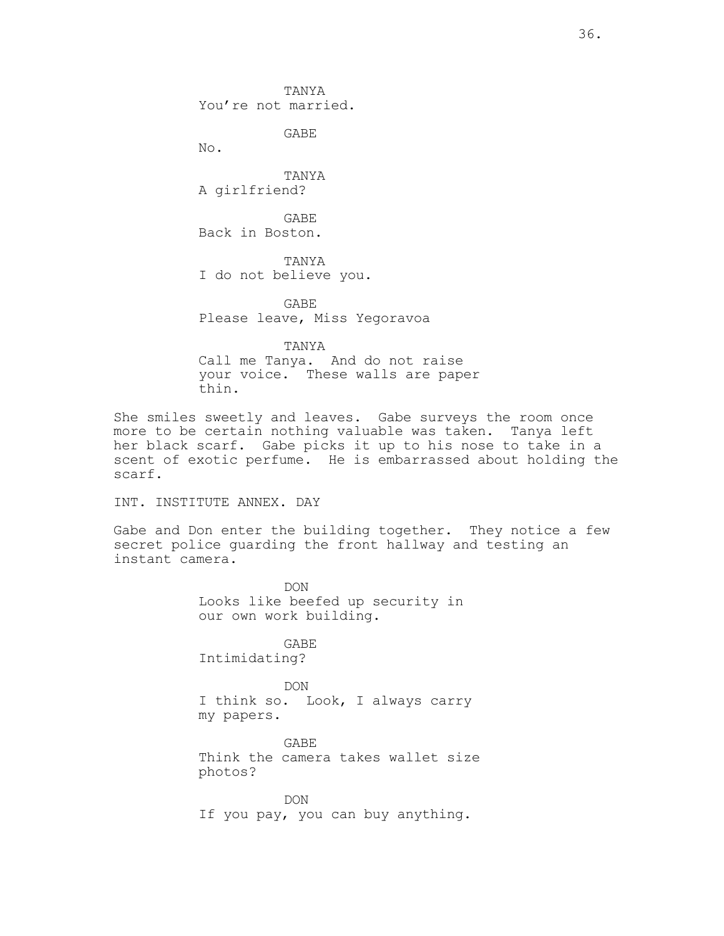TANYA You're not married.

GABE

No.

TANYA A girlfriend?

GABE Back in Boston.

TANYA I do not believe you.

GABE Please leave, Miss Yegoravoa

TANYA

Call me Tanya. And do not raise your voice. These walls are paper thin.

She smiles sweetly and leaves. Gabe surveys the room once more to be certain nothing valuable was taken. Tanya left her black scarf. Gabe picks it up to his nose to take in a scent of exotic perfume. He is embarrassed about holding the scarf.

INT. INSTITUTE ANNEX. DAY

Gabe and Don enter the building together. They notice a few secret police guarding the front hallway and testing an instant camera.

> DON Looks like beefed up security in our own work building.

GABE Intimidating?

DON I think so. Look, I always carry my papers.

GABE Think the camera takes wallet size photos?

DON If you pay, you can buy anything.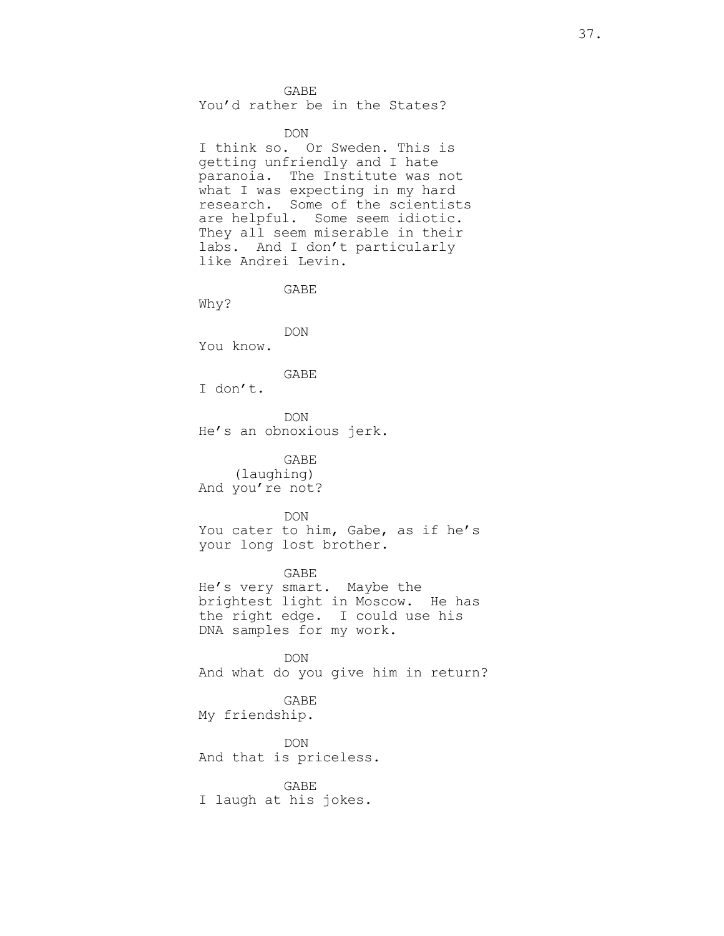GABE You'd rather be in the States?

DON

I think so. Or Sweden. This is getting unfriendly and I hate paranoia. The Institute was not what I was expecting in my hard research. Some of the scientists are helpful. Some seem idiotic. They all seem miserable in their labs. And I don't particularly like Andrei Levin.

GABE

Why?

DON You know.

GABE

I don't.

DON He's an obnoxious jerk.

GABE (laughing) And you're not?

DON

You cater to him, Gabe, as if he's your long lost brother.

GABE He's very smart. Maybe the brightest light in Moscow. He has the right edge. I could use his DNA samples for my work.

DON And what do you give him in return?

GABE My friendship.

DON And that is priceless.

GABE I laugh at his jokes.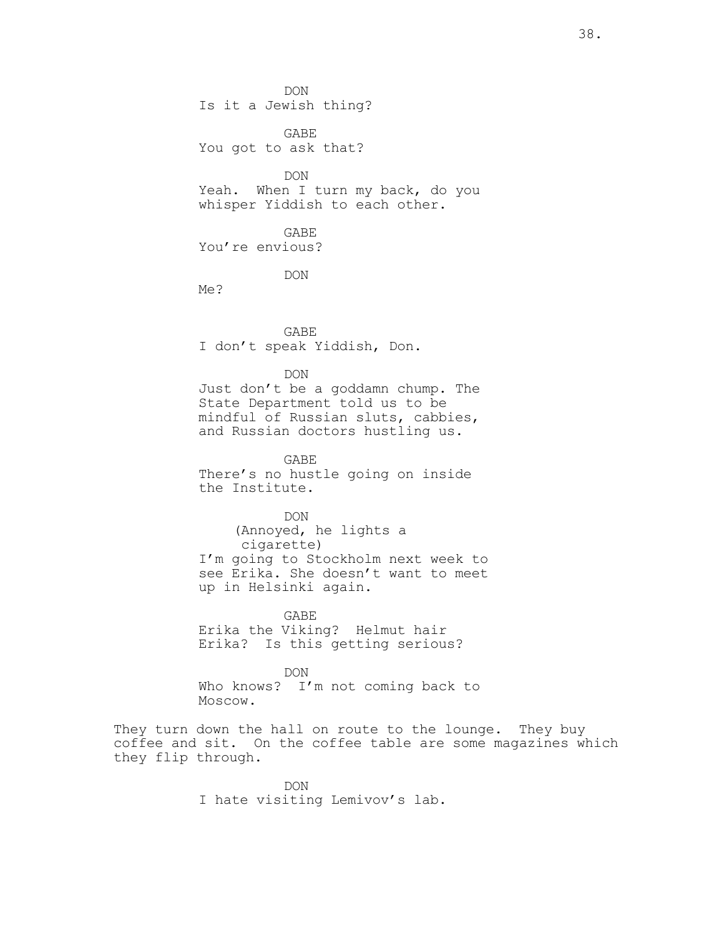DON Is it a Jewish thing?

GABE You got to ask that?

DON Yeah. When I turn my back, do you whisper Yiddish to each other.

GABE You're envious?

DON

Me?

GABE I don't speak Yiddish, Don.

DON

Just don't be a goddamn chump. The State Department told us to be mindful of Russian sluts, cabbies, and Russian doctors hustling us.

GABE There's no hustle going on inside the Institute.

DON (Annoyed, he lights a cigarette) I'm going to Stockholm next week to see Erika. She doesn't want to meet up in Helsinki again.

GABE Erika the Viking? Helmut hair Erika? Is this getting serious?

DON Who knows? I'm not coming back to Moscow.

They turn down the hall on route to the lounge. They buy coffee and sit. On the coffee table are some magazines which they flip through.

> DON I hate visiting Lemivov's lab.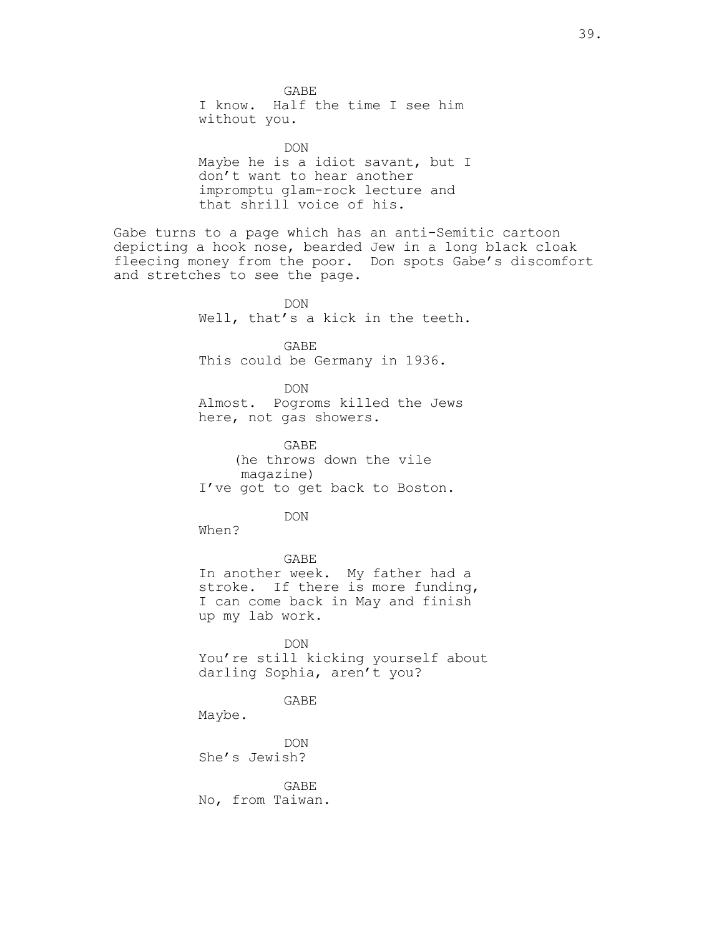GABE I know. Half the time I see him without you. DON Maybe he is a idiot savant, but I don't want to hear another impromptu glam-rock lecture and that shrill voice of his. Gabe turns to a page which has an anti-Semitic cartoon depicting a hook nose, bearded Jew in a long black cloak fleecing money from the poor. Don spots Gabe's discomfort and stretches to see the page. DON Well, that's a kick in the teeth. GABE This could be Germany in 1936. DON Almost. Pogroms killed the Jews here, not gas showers. GABE (he throws down the vile magazine) I've got to get back to Boston. DON When? GABE In another week. My father had a stroke. If there is more funding, I can come back in May and finish up my lab work. DON You're still kicking yourself about darling Sophia, aren't you? GABE Maybe. DON She's Jewish? GABE No, from Taiwan.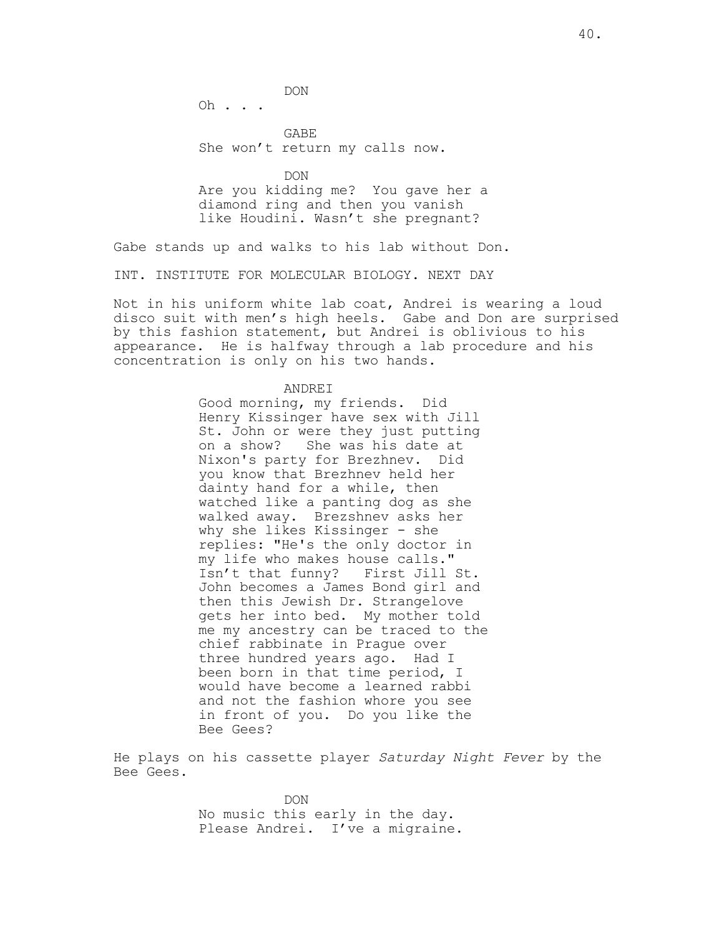Oh . . .

GABE She won't return my calls now.

DON

Are you kidding me? You gave her a diamond ring and then you vanish like Houdini. Wasn't she pregnant?

Gabe stands up and walks to his lab without Don.

INT. INSTITUTE FOR MOLECULAR BIOLOGY. NEXT DAY

Not in his uniform white lab coat, Andrei is wearing a loud disco suit with men's high heels. Gabe and Don are surprised by this fashion statement, but Andrei is oblivious to his appearance. He is halfway through a lab procedure and his concentration is only on his two hands.

#### ANDREI

Good morning, my friends. Did Henry Kissinger have sex with Jill St. John or were they just putting on a show? She was his date at Nixon's party for Brezhnev. Did you know that Brezhnev held her dainty hand for a while, then watched like a panting dog as she walked away. Brezshnev asks her why she likes Kissinger - she replies: "He's the only doctor in my life who makes house calls."<br>Isn't that funny? First Jill St. Isn't that funny? John becomes a James Bond girl and then this Jewish Dr. Strangelove gets her into bed. My mother told me my ancestry can be traced to the chief rabbinate in Prague over three hundred years ago. Had I been born in that time period, I would have become a learned rabbi and not the fashion whore you see in front of you. Do you like the Bee Gees?

He plays on his cassette player *Saturday Night Fever* by the Bee Gees.

> DON No music this early in the day. Please Andrei. I've a migraine.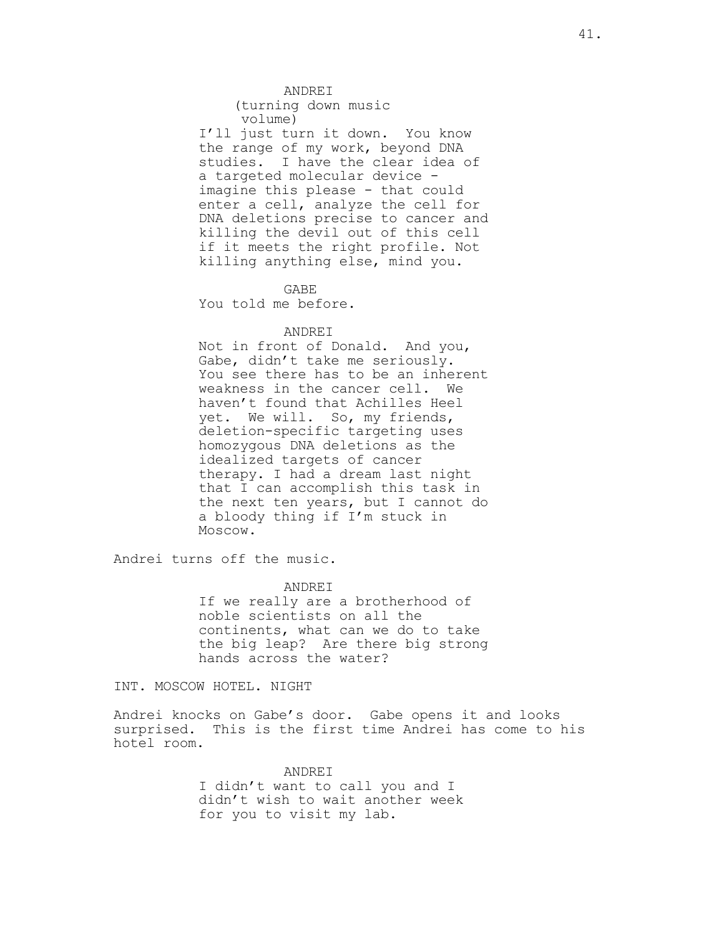ANDREI

(turning down music volume)

I'll just turn it down. You know the range of my work, beyond DNA studies. I have the clear idea of a targeted molecular device imagine this please - that could enter a cell, analyze the cell for DNA deletions precise to cancer and killing the devil out of this cell if it meets the right profile. Not killing anything else, mind you.

GABE

You told me before.

#### ANDREI

Not in front of Donald. And you, Gabe, didn't take me seriously. You see there has to be an inherent weakness in the cancer cell. We haven't found that Achilles Heel yet. We will. So, my friends, deletion-specific targeting uses homozygous DNA deletions as the idealized targets of cancer therapy. I had a dream last night that I can accomplish this task in the next ten years, but I cannot do a bloody thing if I'm stuck in Moscow.

Andrei turns off the music.

ANDREI

If we really are a brotherhood of noble scientists on all the continents, what can we do to take the big leap? Are there big strong hands across the water?

INT. MOSCOW HOTEL. NIGHT

Andrei knocks on Gabe's door. Gabe opens it and looks surprised. This is the first time Andrei has come to his hotel room.

> ANDREI I didn't want to call you and I didn't wish to wait another week for you to visit my lab.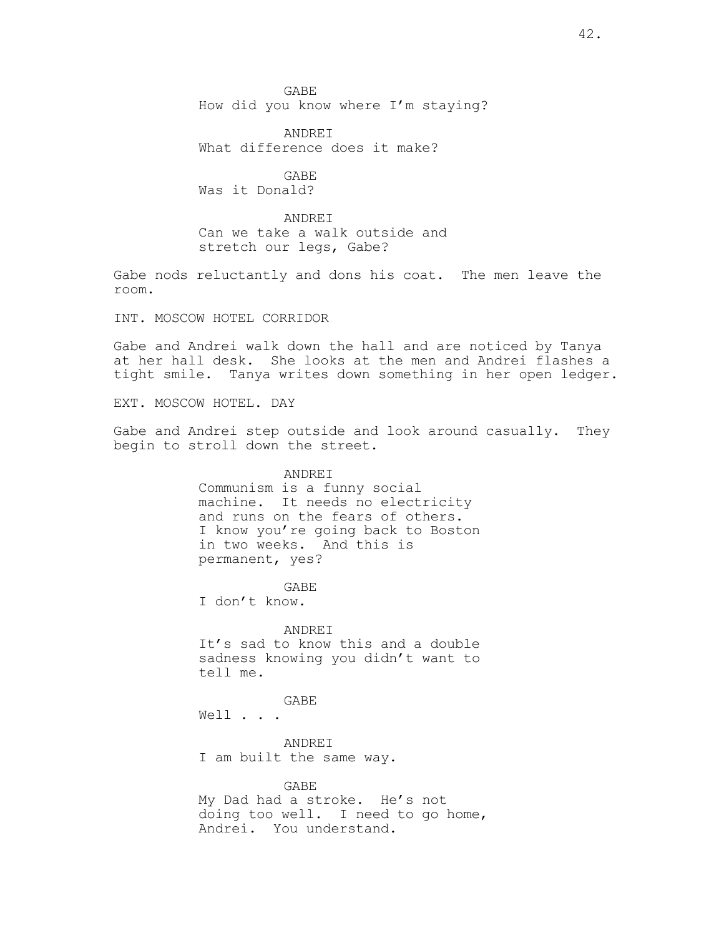GABE How did you know where I'm staying?

ANDREI What difference does it make?

GABE Was it Donald?

ANDREI Can we take a walk outside and stretch our legs, Gabe?

Gabe nods reluctantly and dons his coat. The men leave the room.

INT. MOSCOW HOTEL CORRIDOR

Gabe and Andrei walk down the hall and are noticed by Tanya at her hall desk. She looks at the men and Andrei flashes a tight smile. Tanya writes down something in her open ledger.

EXT. MOSCOW HOTEL. DAY

Gabe and Andrei step outside and look around casually. They begin to stroll down the street.

> ANDREI Communism is a funny social machine. It needs no electricity and runs on the fears of others. I know you're going back to Boston in two weeks. And this is permanent, yes?

GABE I don't know.

ANDREI It's sad to know this and a double sadness knowing you didn't want to tell me.

GABE Well . . .

ANDREI I am built the same way.

GABE My Dad had a stroke. He's not doing too well. I need to go home, Andrei. You understand.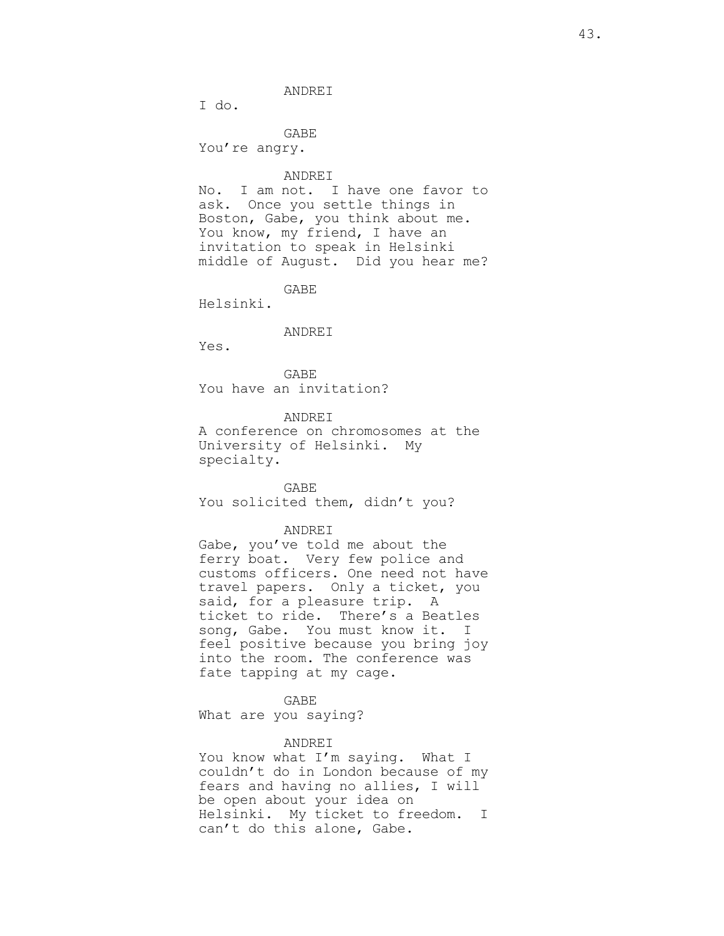ANDREI

I do.

GABE You're angry.

ANDREI

No. I am not. I have one favor to ask. Once you settle things in Boston, Gabe, you think about me. You know, my friend, I have an invitation to speak in Helsinki middle of August. Did you hear me?

GABE

Helsinki.

## ANDREI

Yes.

GABE You have an invitation?

ANDREI

A conference on chromosomes at the University of Helsinki. My specialty.

GABE You solicited them, didn't you?

ANDREI

Gabe, you've told me about the ferry boat. Very few police and customs officers. One need not have travel papers. Only a ticket, you said, for a pleasure trip. A ticket to ride. There's a Beatles song, Gabe. You must know it. I feel positive because you bring joy into the room. The conference was fate tapping at my cage.

GABE

What are you saying?

#### ANDREI

You know what I'm saying. What I couldn't do in London because of my fears and having no allies, I will be open about your idea on Helsinki. My ticket to freedom. I can't do this alone, Gabe.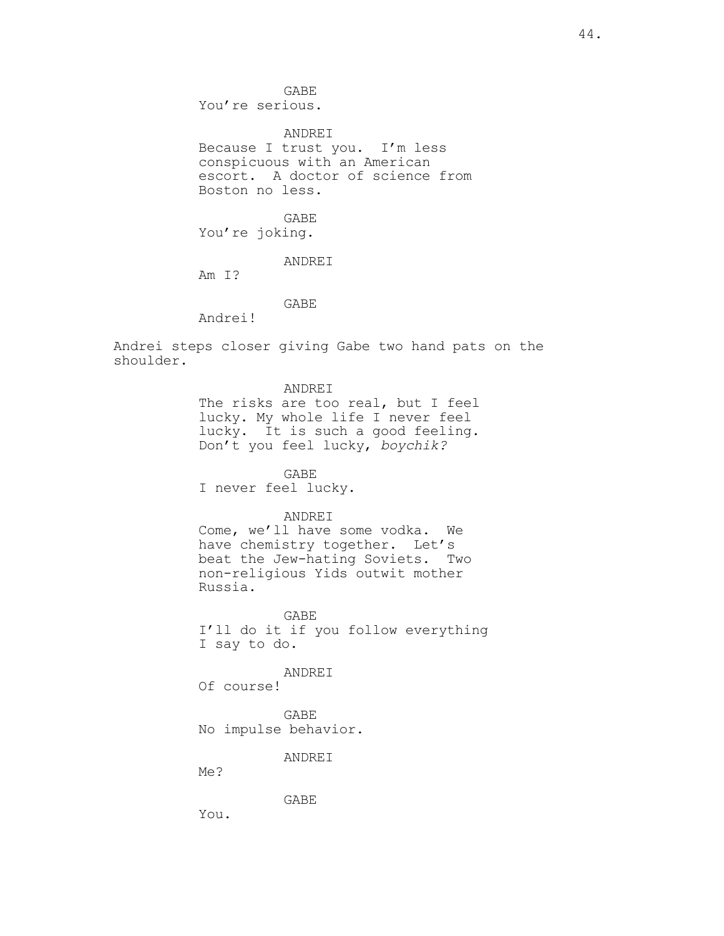GABE You're serious.

ANDREI Because I trust you. I'm less conspicuous with an American escort. A doctor of science from Boston no less.

GABE You're joking.

ANDREI

Am I?

GABE

Andrei!

Andrei steps closer giving Gabe two hand pats on the shoulder.

ANDREI

The risks are too real, but I feel lucky. My whole life I never feel lucky. It is such a good feeling. Don't you feel lucky, *boychik?*

GABE I never feel lucky.

## ANDREI

Come, we'll have some vodka. We have chemistry together. Let's beat the Jew-hating Soviets. Two non-religious Yids outwit mother Russia.

GABE I'll do it if you follow everything I say to do.

ANDREI

Of course!

GABE No impulse behavior.

ANDREI

Me?

GABE

You.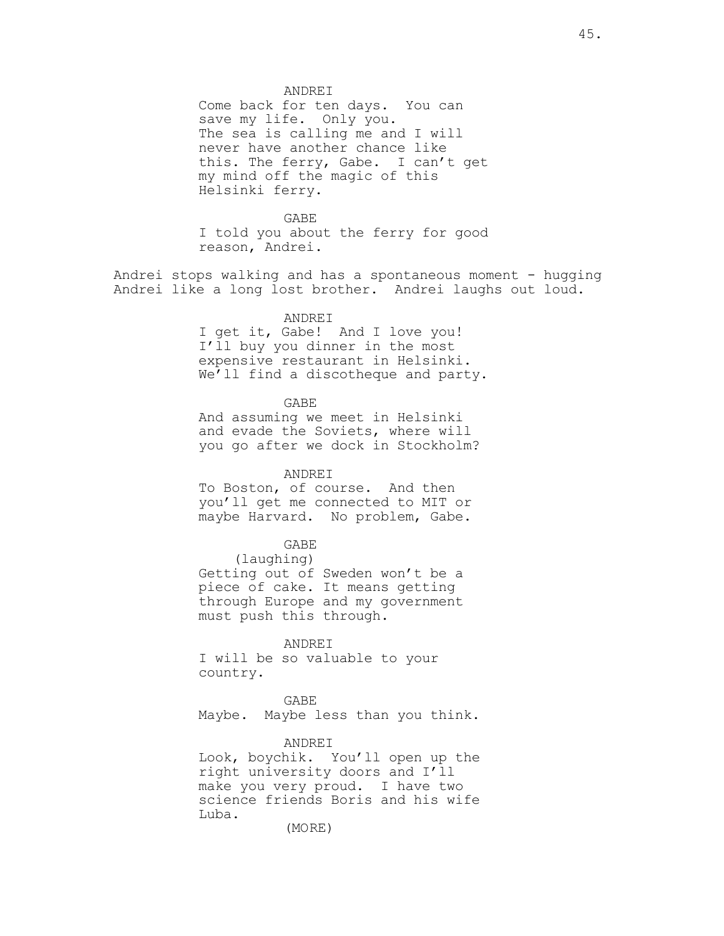ANDREI

Come back for ten days. You can save my life. Only you. The sea is calling me and I will never have another chance like this. The ferry, Gabe. I can't get my mind off the magic of this Helsinki ferry.

GABE I told you about the ferry for good reason, Andrei.

Andrei stops walking and has a spontaneous moment - hugging Andrei like a long lost brother. Andrei laughs out loud.

ANDREI

I get it, Gabe! And I love you! I'll buy you dinner in the most expensive restaurant in Helsinki. We'll find a discotheque and party.

GABE

And assuming we meet in Helsinki and evade the Soviets, where will you go after we dock in Stockholm?

ANDREI

To Boston, of course. And then you'll get me connected to MIT or maybe Harvard. No problem, Gabe.

GABE

(laughing)

Getting out of Sweden won't be a piece of cake. It means getting through Europe and my government must push this through.

ANDREI

I will be so valuable to your country.

GABE Maybe. Maybe less than you think.

#### ANDREI

Look, boychik. You'll open up the right university doors and I'll make you very proud. I have two science friends Boris and his wife Luba.

(MORE)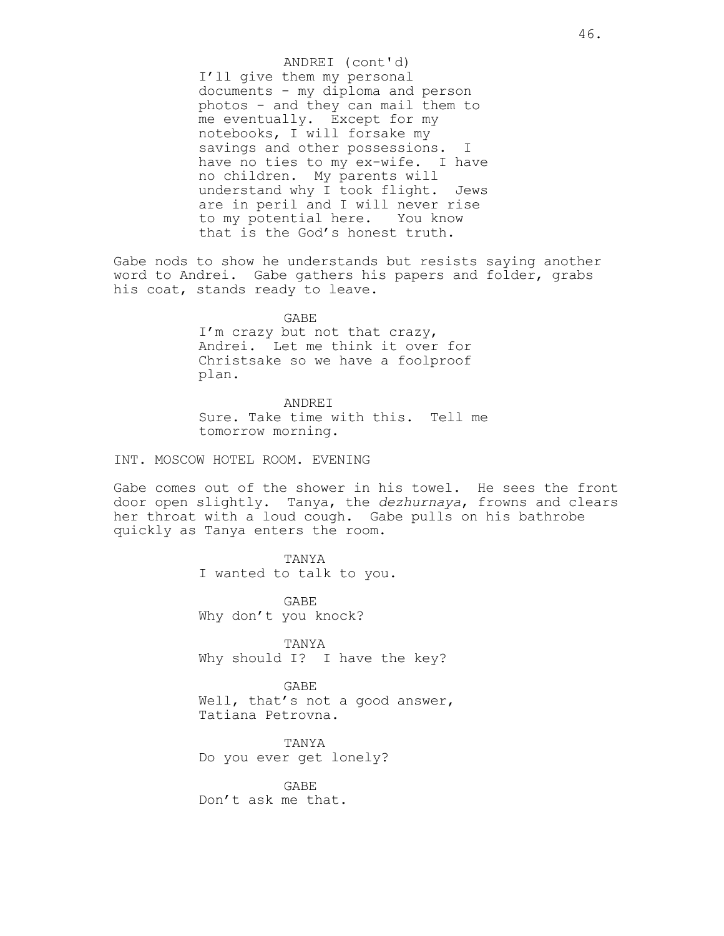I'll give them my personal documents - my diploma and person photos - and they can mail them to me eventually. Except for my notebooks, I will forsake my savings and other possessions. I have no ties to my ex-wife. I have no children. My parents will understand why I took flight. Jews are in peril and I will never rise to my potential here. You know that is the God's honest truth. ANDREI (cont'd)

Gabe nods to show he understands but resists saying another word to Andrei. Gabe gathers his papers and folder, grabs his coat, stands ready to leave.

> GABE I'm crazy but not that crazy, Andrei. Let me think it over for Christsake so we have a foolproof plan.

ANDREI Sure. Take time with this. Tell me tomorrow morning.

INT. MOSCOW HOTEL ROOM. EVENING

Gabe comes out of the shower in his towel. He sees the front door open slightly. Tanya, the *dezhurnaya*, frowns and clears her throat with a loud cough. Gabe pulls on his bathrobe quickly as Tanya enters the room.

> TANYA I wanted to talk to you.

GABE Why don't you knock?

TANYA Why should I? I have the key?

GABE Well, that's not a good answer, Tatiana Petrovna.

TANYA Do you ever get lonely?

GABE Don't ask me that.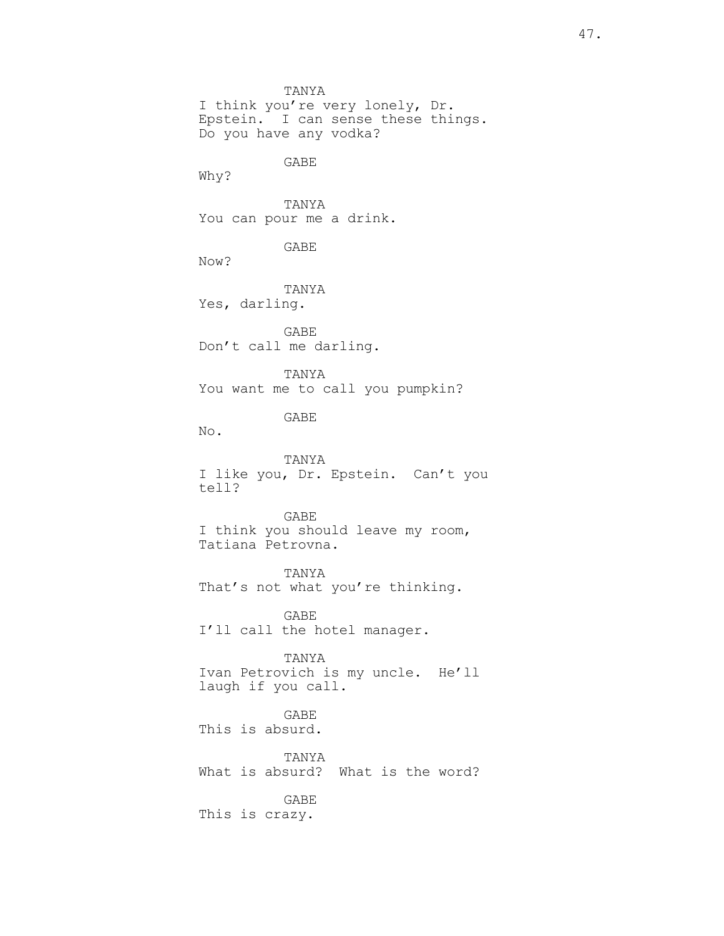TANYA I think you're very lonely, Dr. Epstein. I can sense these things. Do you have any vodka? GABE Why? TANYA You can pour me a drink. GABE Now? TANYA Yes, darling. GABE Don't call me darling. TANYA You want me to call you pumpkin? GABE No. TANYA I like you, Dr. Epstein. Can't you tell? GABE I think you should leave my room, Tatiana Petrovna. TANYA That's not what you're thinking. GABE I'll call the hotel manager. TANYA Ivan Petrovich is my uncle. He'll laugh if you call. GABE This is absurd. TANYA What is absurd? What is the word? GABE This is crazy.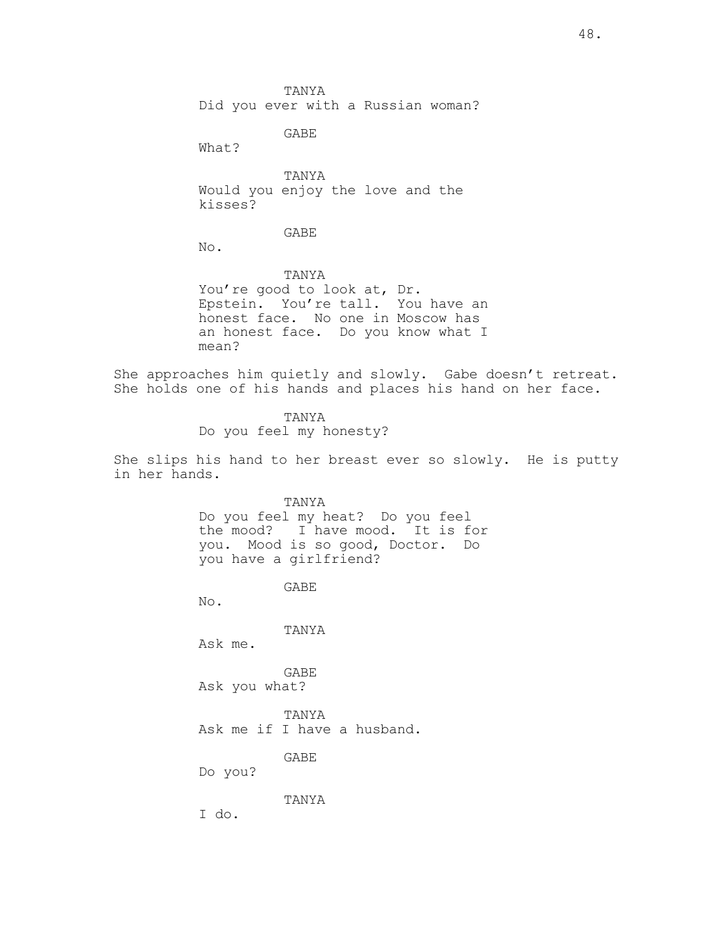TANYA Did you ever with a Russian woman?

GABE

What?

TANYA Would you enjoy the love and the kisses?

GABE

No.

TANYA You're good to look at, Dr. Epstein. You're tall. You have an honest face. No one in Moscow has an honest face. Do you know what I mean?

She approaches him quietly and slowly. Gabe doesn't retreat. She holds one of his hands and places his hand on her face.

> TANYA Do you feel my honesty?

She slips his hand to her breast ever so slowly. He is putty in her hands.

> TANYA Do you feel my heat? Do you feel the mood? I have mood. It is for you. Mood is so good, Doctor. Do you have a girlfriend?

> > GABE

No.

TANYA

Ask me.

GABE Ask you what?

TANYA Ask me if I have a husband.

GABE

Do you?

TANYA

I do.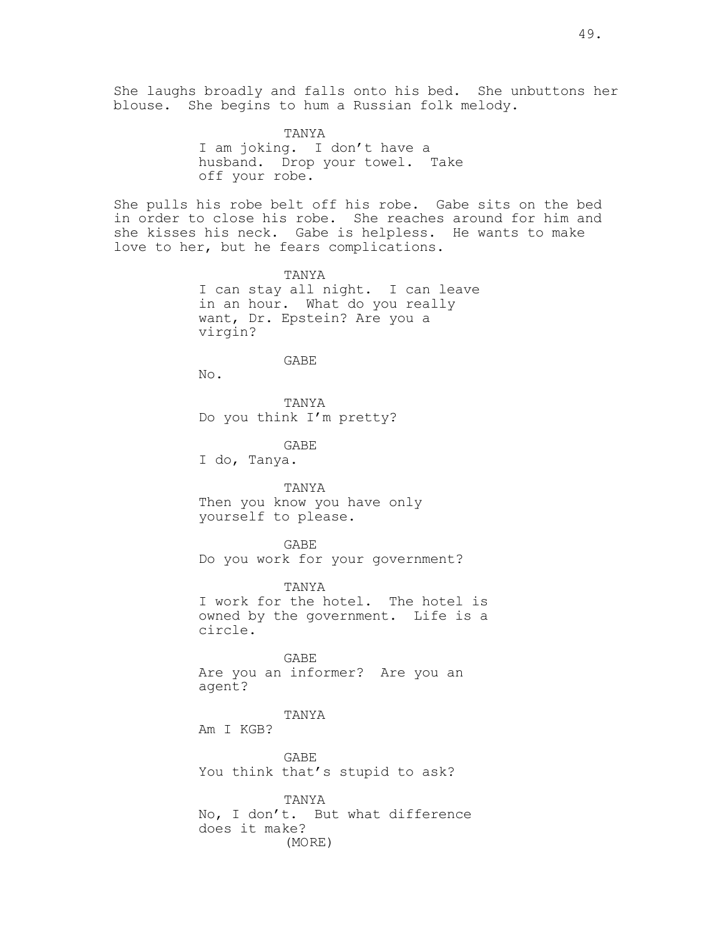She laughs broadly and falls onto his bed. She unbuttons her blouse. She begins to hum a Russian folk melody.

> TANYA I am joking. I don't have a husband. Drop your towel. Take off your robe.

She pulls his robe belt off his robe. Gabe sits on the bed in order to close his robe. She reaches around for him and she kisses his neck. Gabe is helpless. He wants to make love to her, but he fears complications.

> TANYA I can stay all night. I can leave in an hour. What do you really want, Dr. Epstein? Are you a virgin?

### GABE

No.

TANYA Do you think I'm pretty?

GABE

I do, Tanya.

TANYA Then you know you have only yourself to please.

GABE

Do you work for your government?

TANYA I work for the hotel. The hotel is owned by the government. Life is a circle.

GABE Are you an informer? Are you an agent?

TANYA

Am I KGB?

GABE You think that's stupid to ask?

TANYA No, I don't. But what difference does it make? (MORE)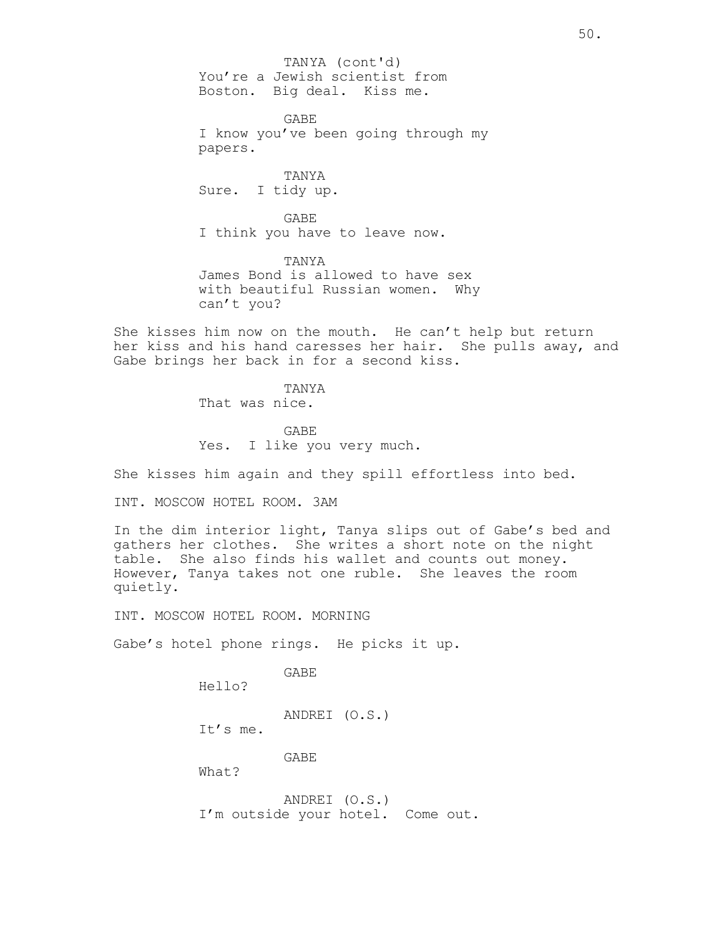You're a Jewish scientist from Boston. Big deal. Kiss me. TANYA (cont'd)

GABE I know you've been going through my papers.

TANYA Sure. I tidy up.

GABE I think you have to leave now.

TANYA James Bond is allowed to have sex with beautiful Russian women. Why can't you?

She kisses him now on the mouth. He can't help but return her kiss and his hand caresses her hair. She pulls away, and Gabe brings her back in for a second kiss.

> TANYA That was nice.

GABE Yes. I like you very much.

She kisses him again and they spill effortless into bed.

INT. MOSCOW HOTEL ROOM. 3AM

In the dim interior light, Tanya slips out of Gabe's bed and gathers her clothes. She writes a short note on the night table. She also finds his wallet and counts out money. However, Tanya takes not one ruble. She leaves the room quietly.

INT. MOSCOW HOTEL ROOM. MORNING

Gabe's hotel phone rings. He picks it up.

GABE

Hello?

ANDREI (O.S.)

It's me.

GABE

What?

ANDREI (O.S.) I'm outside your hotel. Come out.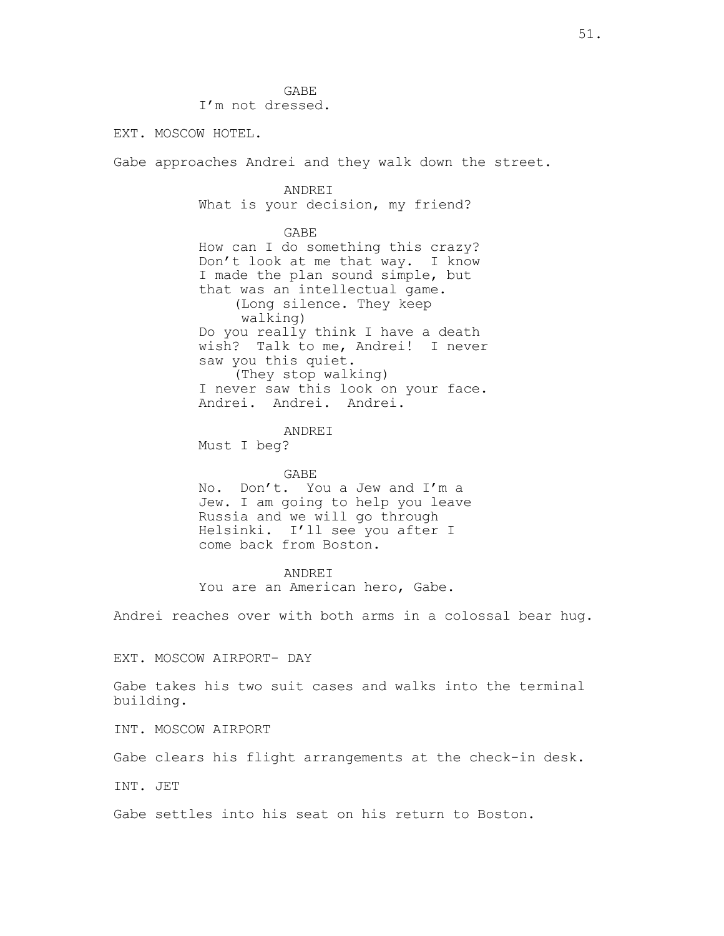GABE I'm not dressed.

EXT. MOSCOW HOTEL.

Gabe approaches Andrei and they walk down the street.

ANDREI What is your decision, my friend?

GABE

How can I do something this crazy? Don't look at me that way. I know I made the plan sound simple, but that was an intellectual game. (Long silence. They keep walking) Do you really think I have a death wish? Talk to me, Andrei! I never saw you this quiet. (They stop walking) I never saw this look on your face. Andrei. Andrei. Andrei.

ANDREI

Must I beg?

#### GABE

No. Don't. You a Jew and I'm a Jew. I am going to help you leave Russia and we will go through Helsinki. I'll see you after I come back from Boston.

ANDREI You are an American hero, Gabe.

Andrei reaches over with both arms in a colossal bear hug.

EXT. MOSCOW AIRPORT- DAY

Gabe takes his two suit cases and walks into the terminal building.

INT. MOSCOW AIRPORT

Gabe clears his flight arrangements at the check-in desk.

INT. JET

Gabe settles into his seat on his return to Boston.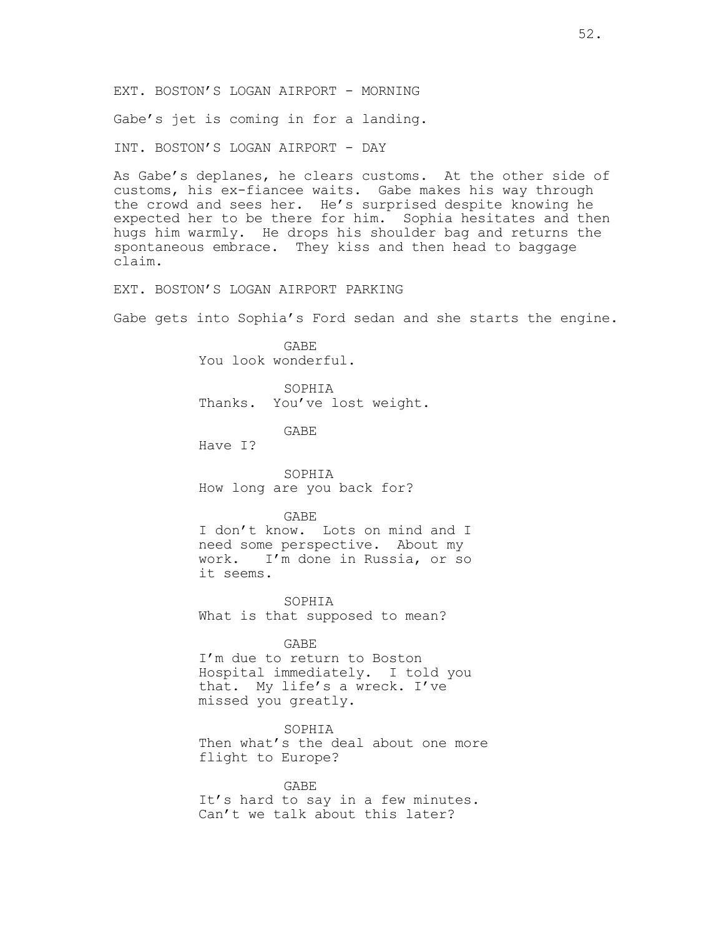Gabe's jet is coming in for a landing.

INT. BOSTON'S LOGAN AIRPORT - DAY

As Gabe's deplanes, he clears customs. At the other side of customs, his ex-fiancee waits. Gabe makes his way through the crowd and sees her. He's surprised despite knowing he expected her to be there for him. Sophia hesitates and then hugs him warmly. He drops his shoulder bag and returns the spontaneous embrace. They kiss and then head to baggage claim.

EXT. BOSTON'S LOGAN AIRPORT PARKING

Gabe gets into Sophia's Ford sedan and she starts the engine.

GABE You look wonderful.

SOPHIA Thanks. You've lost weight.

GABE

Have I?

SOPHIA How long are you back for?

#### GABE

I don't know. Lots on mind and I need some perspective. About my work. I'm done in Russia, or so it seems.

SOPHIA What is that supposed to mean?

GABE

I'm due to return to Boston Hospital immediately. I told you that. My life's a wreck. I've missed you greatly.

SOPHIA Then what's the deal about one more flight to Europe?

GABE It's hard to say in a few minutes. Can't we talk about this later?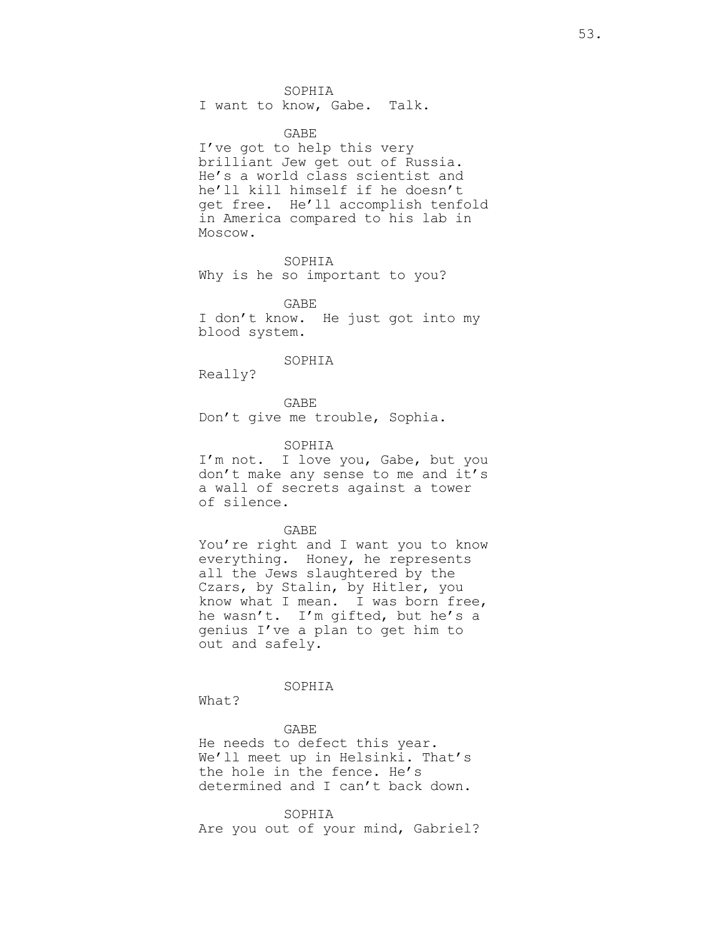SOPHIA

I want to know, Gabe. Talk.

GABE

I've got to help this very brilliant Jew get out of Russia. He's a world class scientist and he'll kill himself if he doesn't get free. He'll accomplish tenfold in America compared to his lab in Moscow.

SOPHIA Why is he so important to you?

GABE I don't know. He just got into my blood system.

SOPHIA

Really?

GABE Don't give me trouble, Sophia.

SOPHIA

I'm not. I love you, Gabe, but you don't make any sense to me and it's a wall of secrets against a tower of silence.

GABE

You're right and I want you to know everything. Honey, he represents all the Jews slaughtered by the Czars, by Stalin, by Hitler, you know what I mean. I was born free, he wasn't. I'm gifted, but he's a genius I've a plan to get him to out and safely.

SOPHIA

What?

GABE He needs to defect this year. We'll meet up in Helsinki. That's the hole in the fence. He's determined and I can't back down.

SOPHIA Are you out of your mind, Gabriel?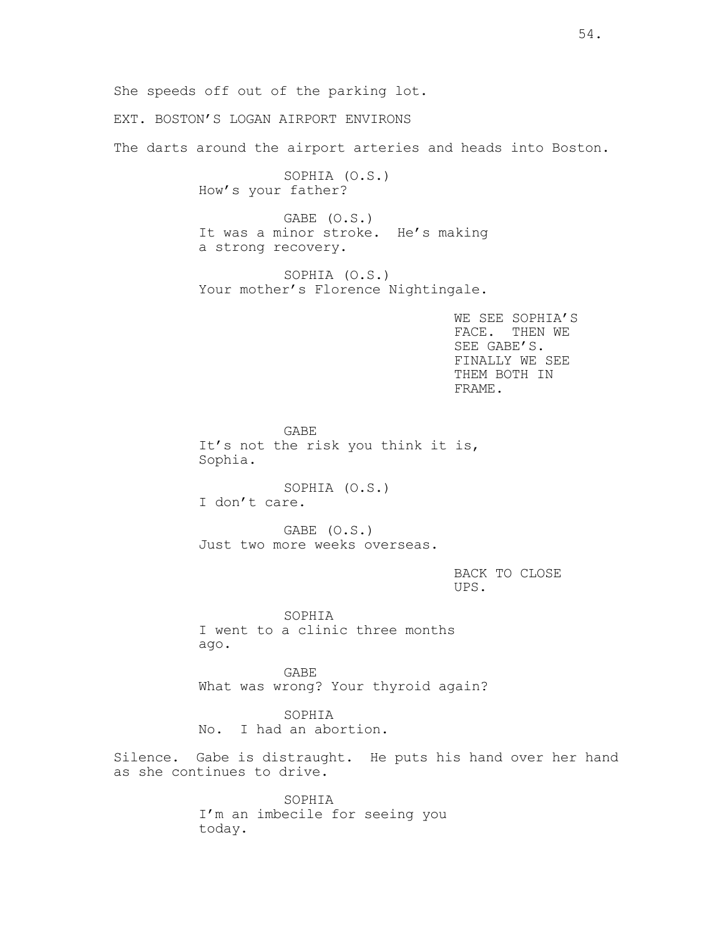She speeds off out of the parking lot.

EXT. BOSTON'S LOGAN AIRPORT ENVIRONS

The darts around the airport arteries and heads into Boston.

SOPHIA (O.S.) How's your father?

GABE (O.S.) It was a minor stroke. He's making a strong recovery.

SOPHIA (O.S.) Your mother's Florence Nightingale.

> WE SEE SOPHIA'S FACE. THEN WE SEE GABE'S. FINALLY WE SEE THEM BOTH IN FRAME.

GABE It's not the risk you think it is, Sophia.

SOPHIA (O.S.) I don't care.

GABE (O.S.) Just two more weeks overseas.

# BACK TO CLOSE UPS.

SOPHIA I went to a clinic three months ago.

GABE What was wrong? Your thyroid again?

SOPHIA No. I had an abortion.

Silence. Gabe is distraught. He puts his hand over her hand as she continues to drive.

> SOPHIA I'm an imbecile for seeing you today.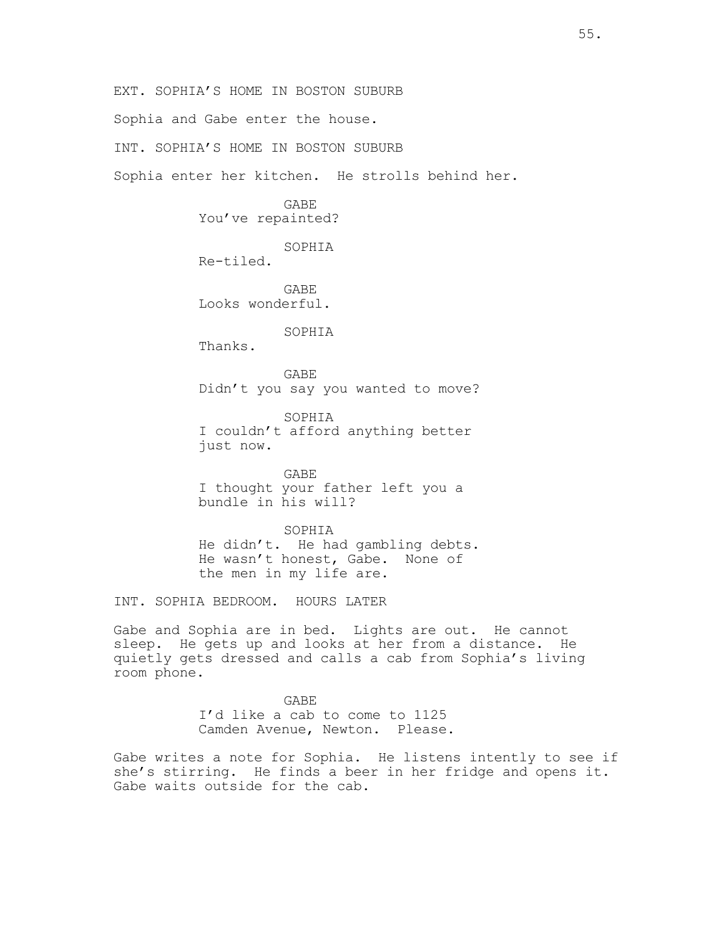EXT. SOPHIA'S HOME IN BOSTON SUBURB

Sophia and Gabe enter the house.

INT. SOPHIA'S HOME IN BOSTON SUBURB

Sophia enter her kitchen. He strolls behind her.

GABE You've repainted?

SOPHIA

Re-tiled.

GABE Looks wonderful.

SOPHIA

Thanks.

GABE Didn't you say you wanted to move?

SOPHIA I couldn't afford anything better just now.

GABE I thought your father left you a bundle in his will?

SOPHIA He didn't. He had gambling debts. He wasn't honest, Gabe. None of the men in my life are.

INT. SOPHIA BEDROOM. HOURS LATER

Gabe and Sophia are in bed. Lights are out. He cannot sleep. He gets up and looks at her from a distance. He quietly gets dressed and calls a cab from Sophia's living room phone.

> GABE I'd like a cab to come to 1125 Camden Avenue, Newton. Please.

Gabe writes a note for Sophia. He listens intently to see if she's stirring. He finds a beer in her fridge and opens it. Gabe waits outside for the cab.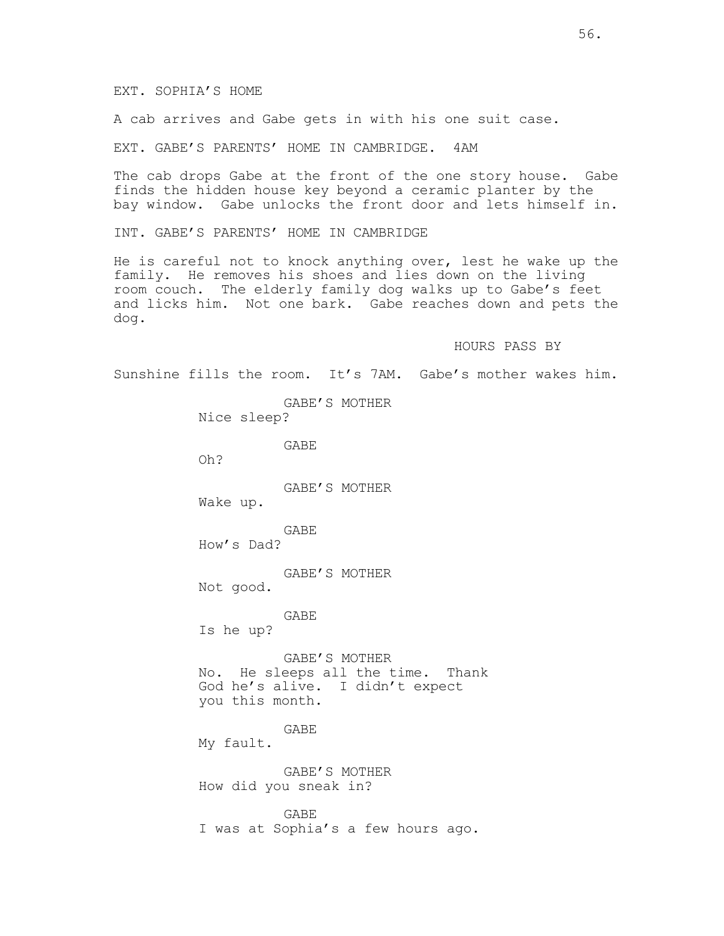A cab arrives and Gabe gets in with his one suit case.

EXT. GABE'S PARENTS' HOME IN CAMBRIDGE. 4AM

The cab drops Gabe at the front of the one story house. Gabe finds the hidden house key beyond a ceramic planter by the bay window. Gabe unlocks the front door and lets himself in.

INT. GABE'S PARENTS' HOME IN CAMBRIDGE

He is careful not to knock anything over, lest he wake up the family. He removes his shoes and lies down on the living room couch. The elderly family dog walks up to Gabe's feet and licks him. Not one bark. Gabe reaches down and pets the dog.

HOURS PASS BY

Sunshine fills the room. It's 7AM. Gabe's mother wakes him.

GABE'S MOTHER Nice sleep? GABE Oh? GABE'S MOTHER Wake up. GABE How's Dad? GABE'S MOTHER Not good. GABE Is he up? GABE'S MOTHER No. He sleeps all the time. Thank God he's alive. I didn't expect you this month. GABE My fault. GABE'S MOTHER How did you sneak in? GABE

I was at Sophia's a few hours ago.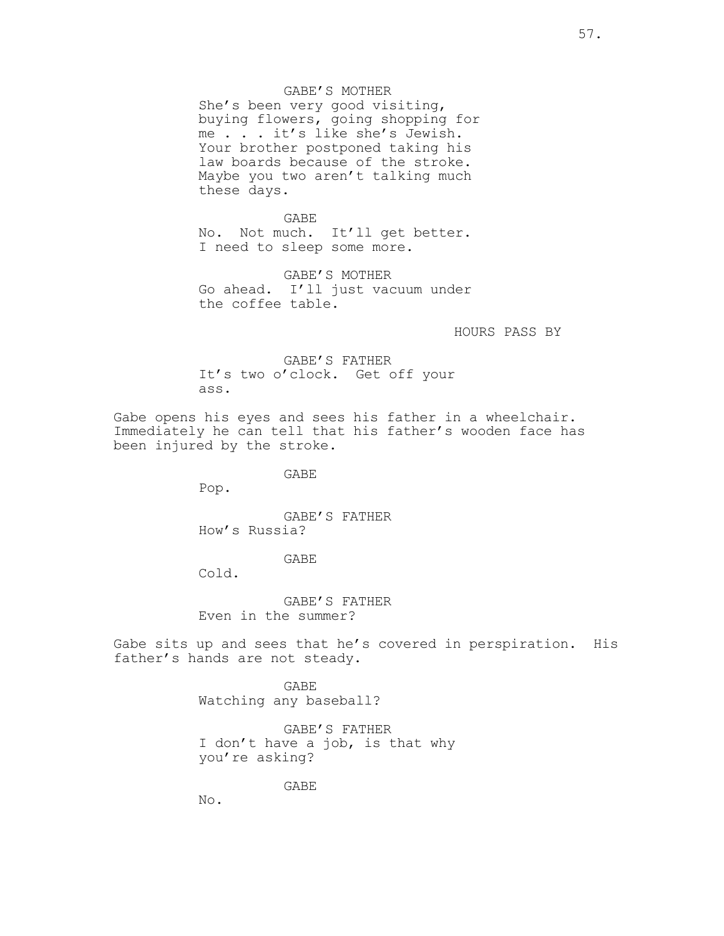GABE'S MOTHER

She's been very good visiting, buying flowers, going shopping for me . . . it's like she's Jewish. Your brother postponed taking his law boards because of the stroke. Maybe you two aren't talking much these days.

GABE No. Not much. It'll get better. I need to sleep some more.

GABE'S MOTHER Go ahead. I'll just vacuum under the coffee table.

HOURS PASS BY

GABE'S FATHER It's two o'clock. Get off your ass.

Gabe opens his eyes and sees his father in a wheelchair. Immediately he can tell that his father's wooden face has been injured by the stroke.

GABE

Pop.

GABE'S FATHER How's Russia?

### GABE

Cold.

GABE'S FATHER Even in the summer?

Gabe sits up and sees that he's covered in perspiration. His father's hands are not steady.

> GABE Watching any baseball?

GABE'S FATHER I don't have a job, is that why you're asking?

GABE

No.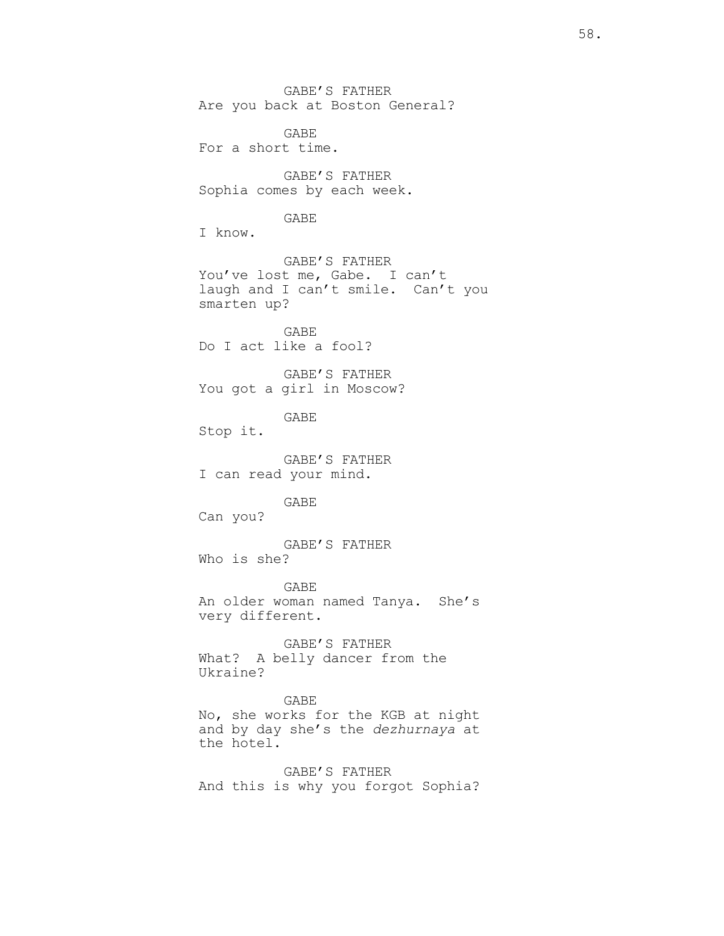GABE'S FATHER Are you back at Boston General?

GABE For a short time.

GABE'S FATHER Sophia comes by each week.

## GABE

I know.

GABE'S FATHER You've lost me, Gabe. I can't laugh and I can't smile. Can't you smarten up?

GABE Do I act like a fool?

GABE'S FATHER You got a girl in Moscow?

GABE

Stop it.

GABE'S FATHER I can read your mind.

GABE

Can you?

GABE'S FATHER Who is she?

GABE An older woman named Tanya. She's very different.

GABE'S FATHER What? A belly dancer from the Ukraine?

### GABE

No, she works for the KGB at night and by day she's the *dezhurnaya* at the hotel.

GABE'S FATHER And this is why you forgot Sophia?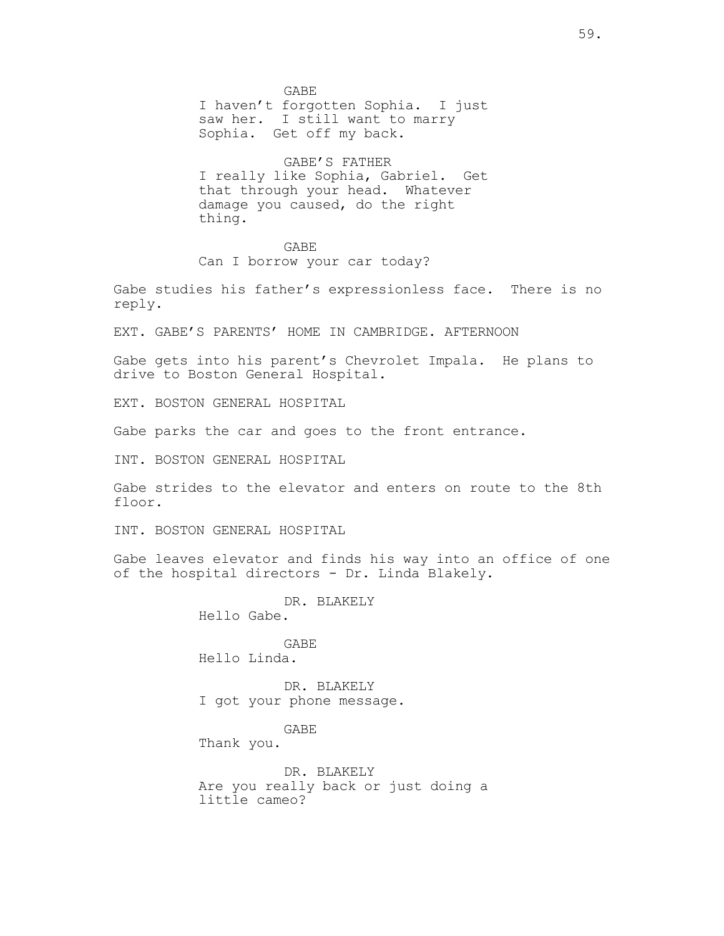GABE I haven't forgotten Sophia. I just saw her. I still want to marry Sophia. Get off my back.

GABE'S FATHER I really like Sophia, Gabriel. Get that through your head. Whatever damage you caused, do the right thing.

#### GABE

Can I borrow your car today?

Gabe studies his father's expressionless face. There is no reply.

EXT. GABE'S PARENTS' HOME IN CAMBRIDGE. AFTERNOON

Gabe gets into his parent's Chevrolet Impala. He plans to drive to Boston General Hospital.

EXT. BOSTON GENERAL HOSPITAL

Gabe parks the car and goes to the front entrance.

INT. BOSTON GENERAL HOSPITAL

Gabe strides to the elevator and enters on route to the 8th floor.

INT. BOSTON GENERAL HOSPITAL

Gabe leaves elevator and finds his way into an office of one of the hospital directors - Dr. Linda Blakely.

DR. BLAKELY

Hello Gabe.

GABE Hello Linda.

DR. BLAKELY I got your phone message.

GABE

Thank you.

DR. BLAKELY Are you really back or just doing a little cameo?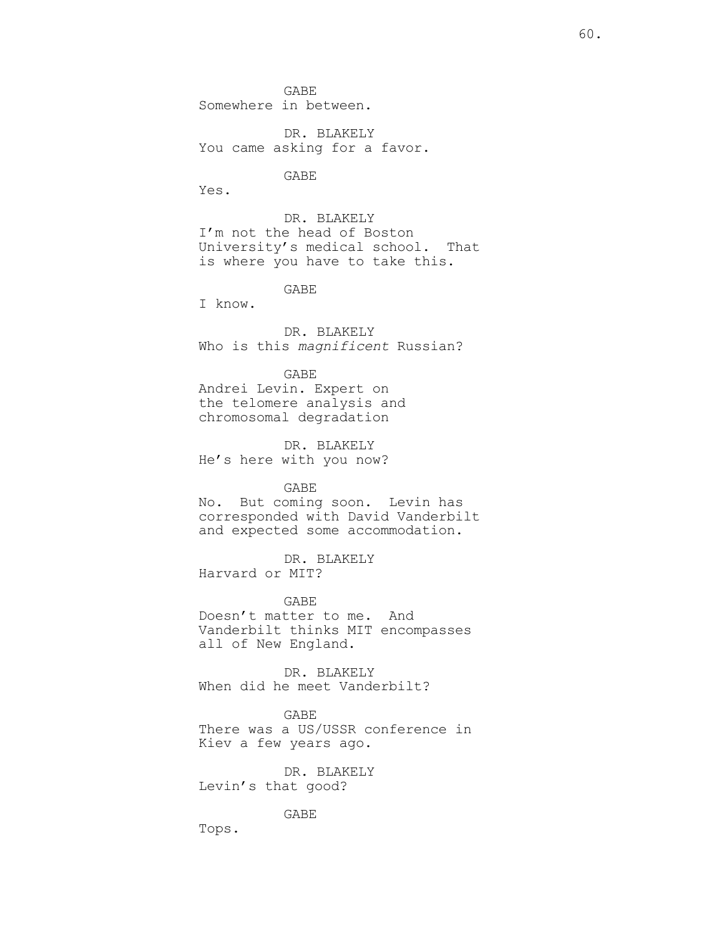GABE Somewhere in between.

DR. BLAKELY You came asking for a favor.

GABE

Yes.

DR. BLAKELY I'm not the head of Boston University's medical school. That is where you have to take this.

GABE

I know.

DR. BLAKELY Who is this *magnificent* Russian?

GABE Andrei Levin. Expert on the telomere analysis and chromosomal degradation

DR. BLAKELY He's here with you now?

GABE

No. But coming soon. Levin has corresponded with David Vanderbilt and expected some accommodation.

DR. BLAKELY Harvard or MIT?

GABE Doesn't matter to me. And Vanderbilt thinks MIT encompasses all of New England.

DR. BLAKELY When did he meet Vanderbilt?

GABE There was a US/USSR conference in Kiev a few years ago.

DR. BLAKELY Levin's that good?

GABE

Tops.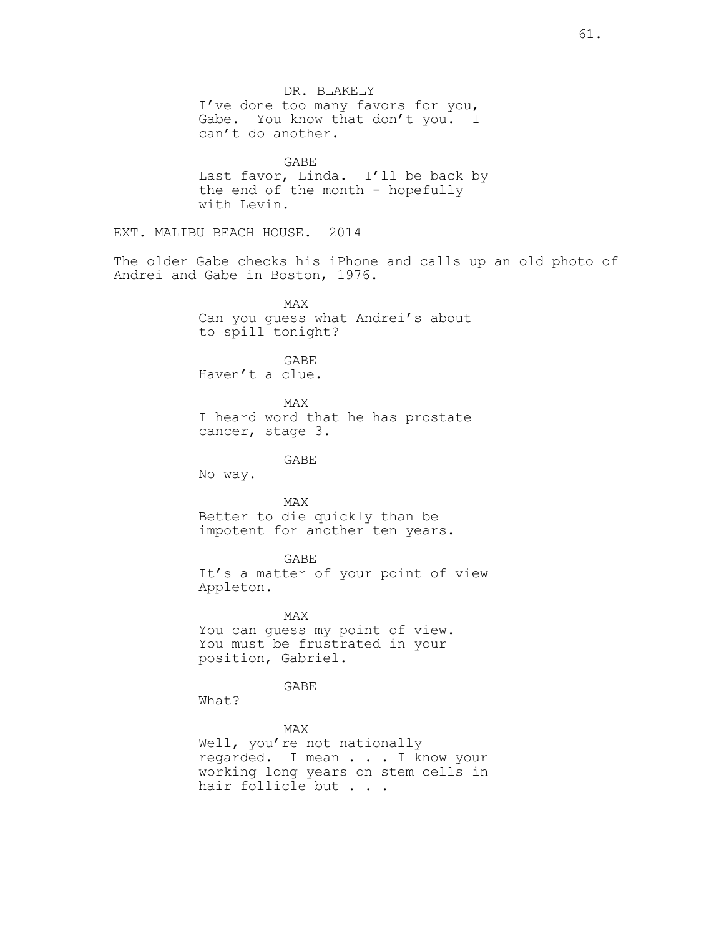DR. BLAKELY I've done too many favors for you, Gabe. You know that don't you. I can't do another. GABE Last favor, Linda. I'll be back by the end of the month - hopefully with Levin. EXT. MALIBU BEACH HOUSE. 2014 The older Gabe checks his iPhone and calls up an old photo of Andrei and Gabe in Boston, 1976. MAX Can you guess what Andrei's about to spill tonight? GABE Haven't a clue. MAX I heard word that he has prostate cancer, stage 3. GABE No way. MAX Better to die quickly than be impotent for another ten years. GABE It's a matter of your point of view Appleton. MAX You can guess my point of view. You must be frustrated in your position, Gabriel. GABE What? MAX Well, you're not nationally regarded. I mean . . . I know your working long years on stem cells in hair follicle but . . .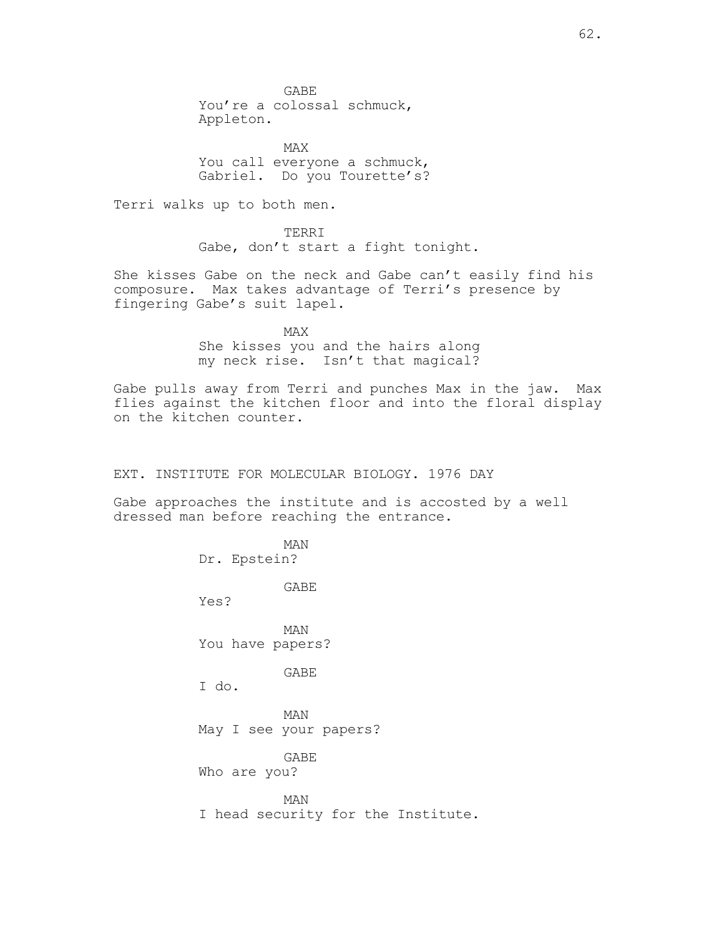GABE You're a colossal schmuck, Appleton.

MAX You call everyone a schmuck, Gabriel. Do you Tourette's?

Terri walks up to both men.

TERRI Gabe, don't start a fight tonight.

She kisses Gabe on the neck and Gabe can't easily find his composure. Max takes advantage of Terri's presence by fingering Gabe's suit lapel.

> MAX She kisses you and the hairs along my neck rise. Isn't that magical?

Gabe pulls away from Terri and punches Max in the jaw. Max flies against the kitchen floor and into the floral display on the kitchen counter.

EXT. INSTITUTE FOR MOLECULAR BIOLOGY. 1976 DAY

Gabe approaches the institute and is accosted by a well dressed man before reaching the entrance.

> MAN Dr. Epstein? GABE Yes? MAN You have papers? GABE I do. MAN May I see your papers? GABE Who are you? MAN I head security for the Institute.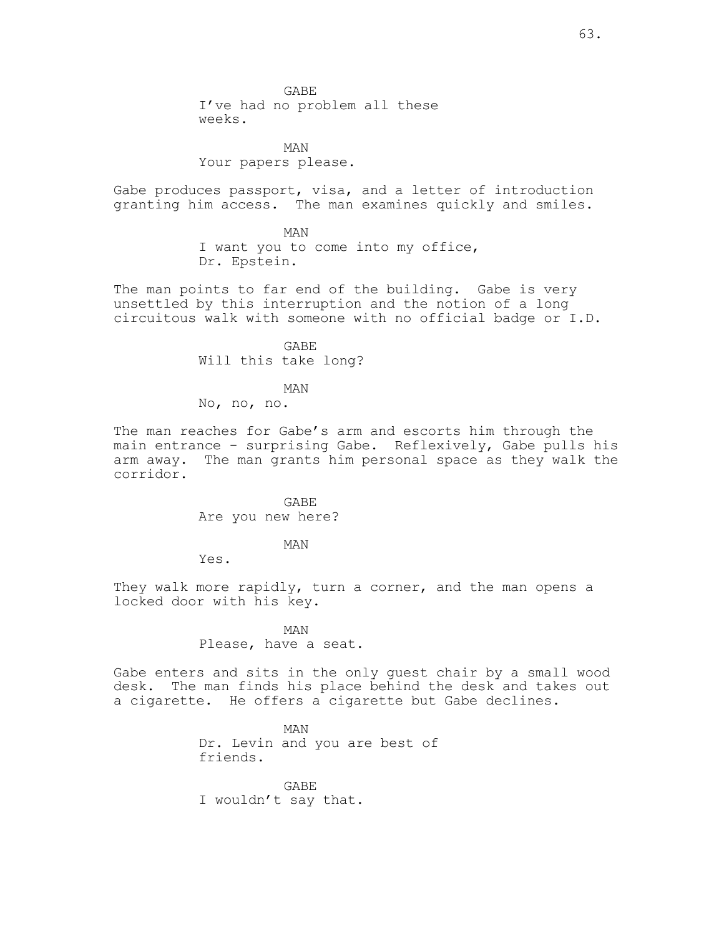GABE I've had no problem all these weeks.

MAN Your papers please.

Gabe produces passport, visa, and a letter of introduction granting him access. The man examines quickly and smiles.

> MAN I want you to come into my office, Dr. Epstein.

The man points to far end of the building. Gabe is very unsettled by this interruption and the notion of a long circuitous walk with someone with no official badge or I.D.

> GABE Will this take long?

> > MAN

No, no, no.

The man reaches for Gabe's arm and escorts him through the main entrance - surprising Gabe. Reflexively, Gabe pulls his arm away. The man grants him personal space as they walk the corridor.

> GABE Are you new here?

> > MAN

Yes.

They walk more rapidly, turn a corner, and the man opens a locked door with his key.

> MAN Please, have a seat.

Gabe enters and sits in the only guest chair by a small wood desk. The man finds his place behind the desk and takes out a cigarette. He offers a cigarette but Gabe declines.

> MAN Dr. Levin and you are best of friends.

GABE I wouldn't say that.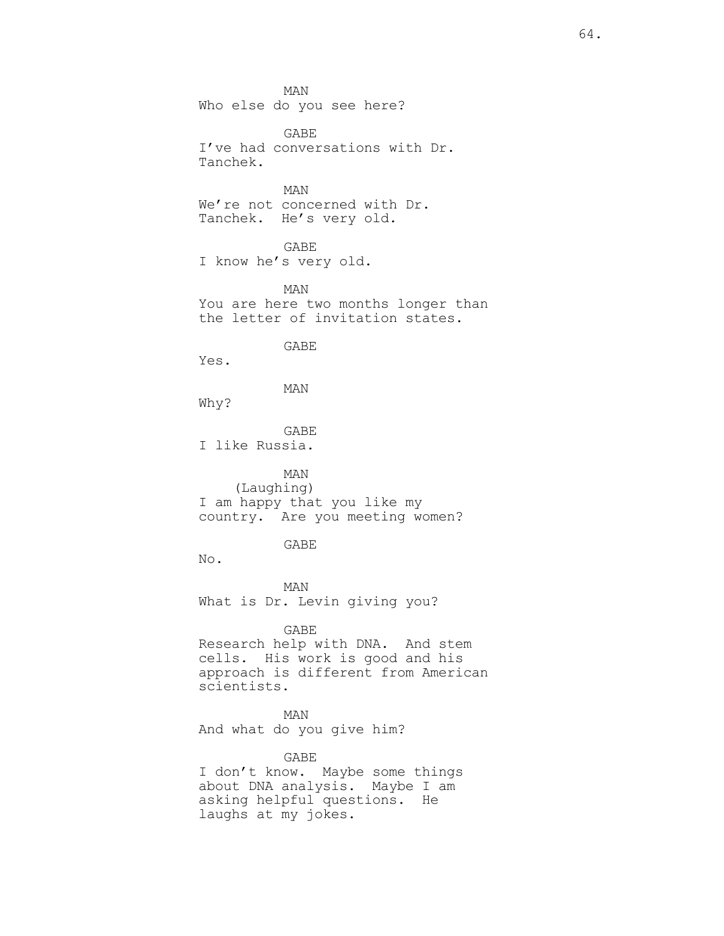MAN Who else do you see here?

GABE I've had conversations with Dr. Tanchek.

MAN We're not concerned with Dr. Tanchek. He's very old.

GABE I know he's very old.

MAN You are here two months longer than the letter of invitation states.

GABE

Yes.

MAN

Why?

GABE I like Russia.

MAN (Laughing) I am happy that you like my country. Are you meeting women?

GABE

No.

MAN What is Dr. Levin giving you?

GABE

Research help with DNA. And stem cells. His work is good and his approach is different from American scientists.

MAN And what do you give him?

GABE I don't know. Maybe some things about DNA analysis. Maybe I am asking helpful questions. He laughs at my jokes.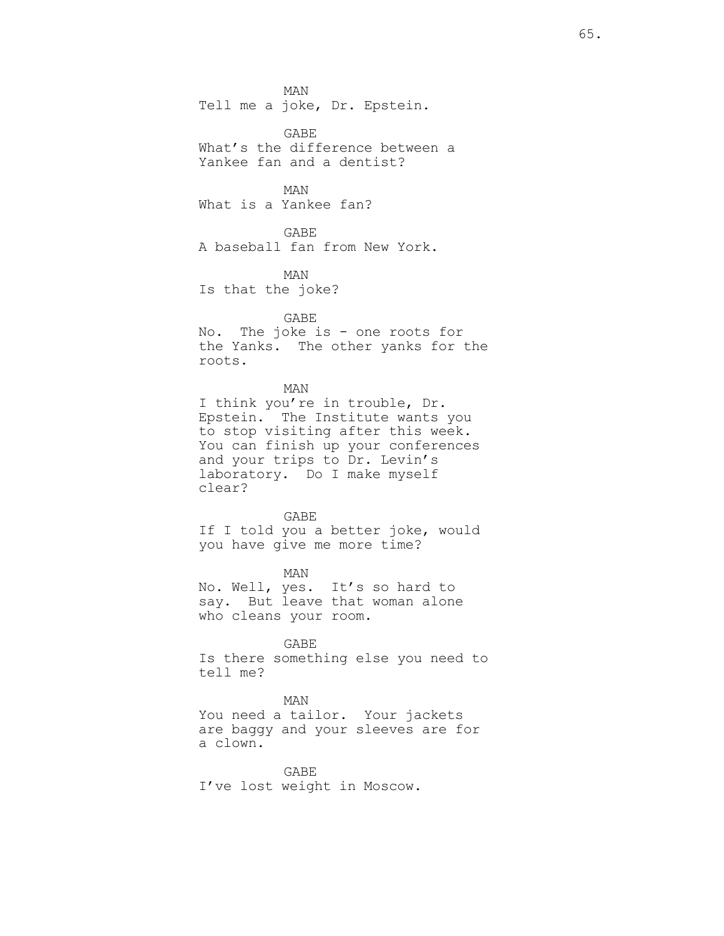MAN Tell me a joke, Dr. Epstein.

GABE What's the difference between a Yankee fan and a dentist?

MAN What is a Yankee fan?

GABE A baseball fan from New York.

MAN Is that the joke?

## GABE

No. The joke is - one roots for the Yanks. The other yanks for the roots.

MAN

I think you're in trouble, Dr. Epstein. The Institute wants you to stop visiting after this week. You can finish up your conferences and your trips to Dr. Levin's laboratory. Do I make myself clear?

GABE

If I told you a better joke, would you have give me more time?

MAN No. Well, yes. It's so hard to say. But leave that woman alone who cleans your room.

GABE Is there something else you need to tell me?

### MAN

You need a tailor. Your jackets are baggy and your sleeves are for a clown.

GABE I've lost weight in Moscow.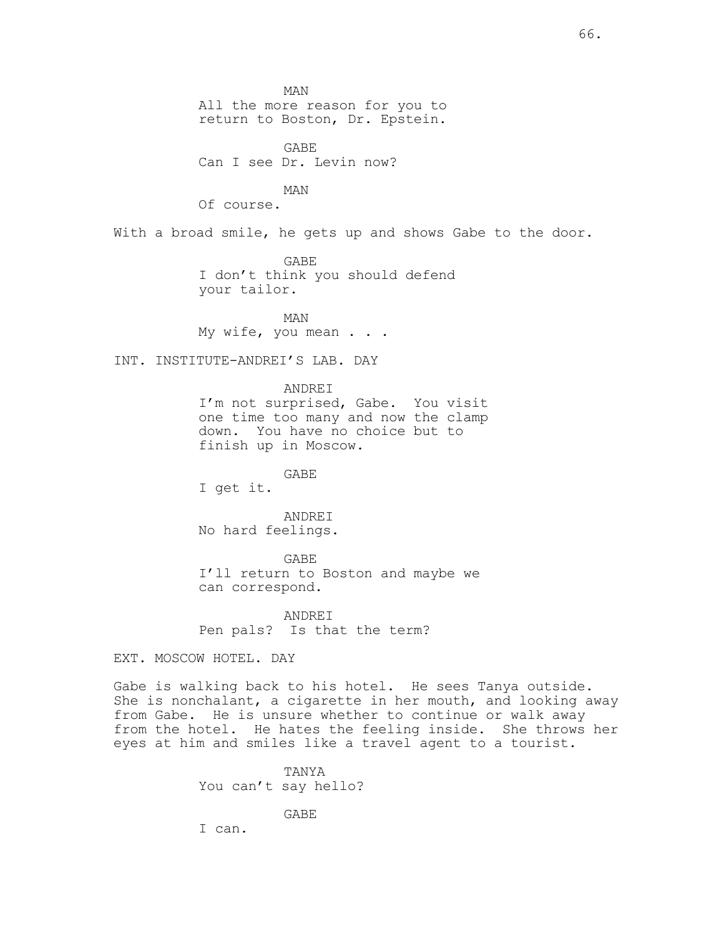MAN All the more reason for you to return to Boston, Dr. Epstein.

GABE Can I see Dr. Levin now?

MAN

Of course.

With a broad smile, he gets up and shows Gabe to the door.

GABE I don't think you should defend your tailor.

MAN My wife, you mean . . .

INT. INSTITUTE-ANDREI'S LAB. DAY

ANDREI

I'm not surprised, Gabe. You visit one time too many and now the clamp down. You have no choice but to finish up in Moscow.

GABE

I get it.

ANDREI No hard feelings.

GABE I'll return to Boston and maybe we can correspond.

ANDREI Pen pals? Is that the term?

EXT. MOSCOW HOTEL. DAY

Gabe is walking back to his hotel. He sees Tanya outside. She is nonchalant, a cigarette in her mouth, and looking away from Gabe. He is unsure whether to continue or walk away from the hotel. He hates the feeling inside. She throws her eyes at him and smiles like a travel agent to a tourist.

> TANYA You can't say hello?

> > GABE

I can.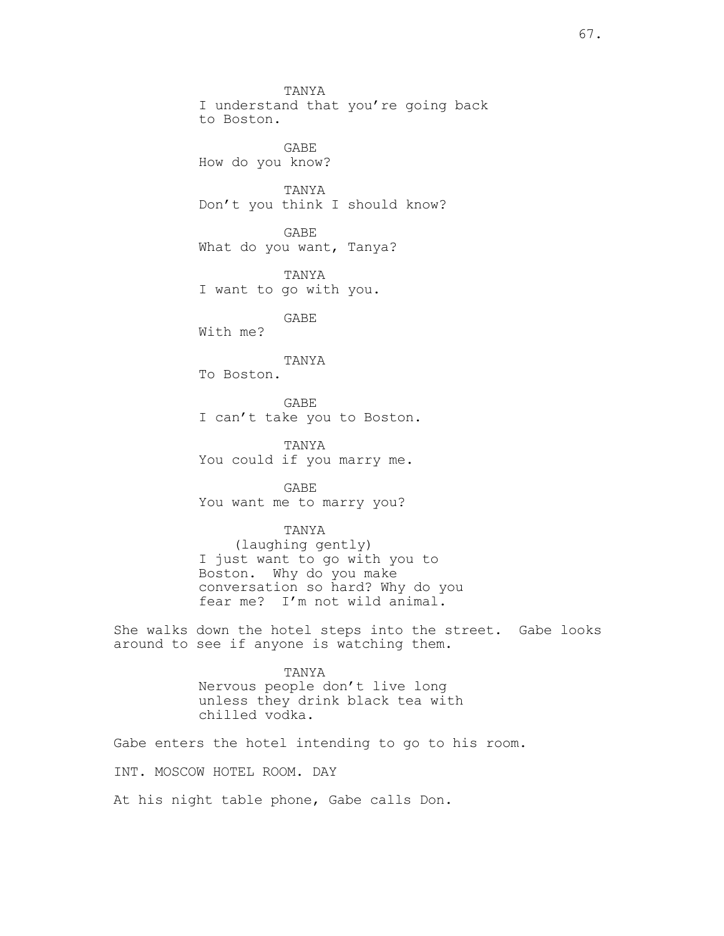TANYA I understand that you're going back to Boston. GABE How do you know? TANYA Don't you think I should know? GABE What do you want, Tanya? TANYA I want to go with you. GABE With me?

## TANYA

To Boston.

GABE I can't take you to Boston.

TANYA You could if you marry me.

GABE You want me to marry you?

## TANYA

(laughing gently) I just want to go with you to Boston. Why do you make conversation so hard? Why do you fear me? I'm not wild animal.

She walks down the hotel steps into the street. Gabe looks around to see if anyone is watching them.

## TANYA Nervous people don't live long unless they drink black tea with chilled vodka.

Gabe enters the hotel intending to go to his room. INT. MOSCOW HOTEL ROOM. DAY

At his night table phone, Gabe calls Don.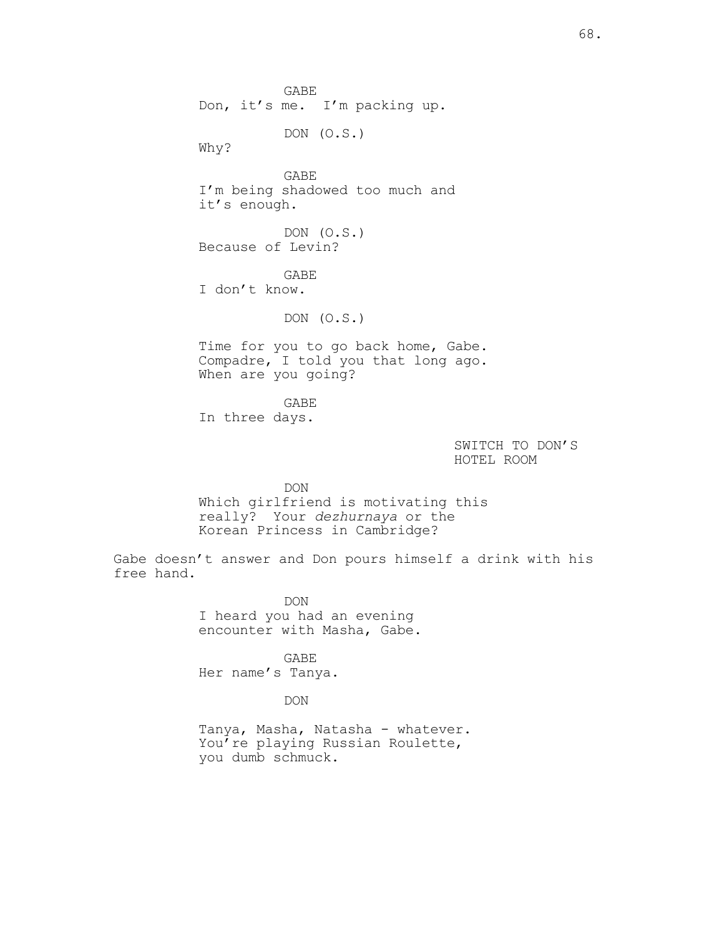GABE Don, it's me. I'm packing up.

DON (O.S.)

Why?

GABE I'm being shadowed too much and it's enough.

DON (O.S.) Because of Levin?

GABE I don't know.

DON (O.S.)

Time for you to go back home, Gabe. Compadre, I told you that long ago. When are you going?

GABE In three days.

> SWITCH TO DON'S HOTEL ROOM

DON Which girlfriend is motivating this really? Your *dezhurnaya* or the Korean Princess in Cambridge?

Gabe doesn't answer and Don pours himself a drink with his free hand.

> DON I heard you had an evening encounter with Masha, Gabe.

GABE Her name's Tanya.

DON

Tanya, Masha, Natasha - whatever. You're playing Russian Roulette, you dumb schmuck.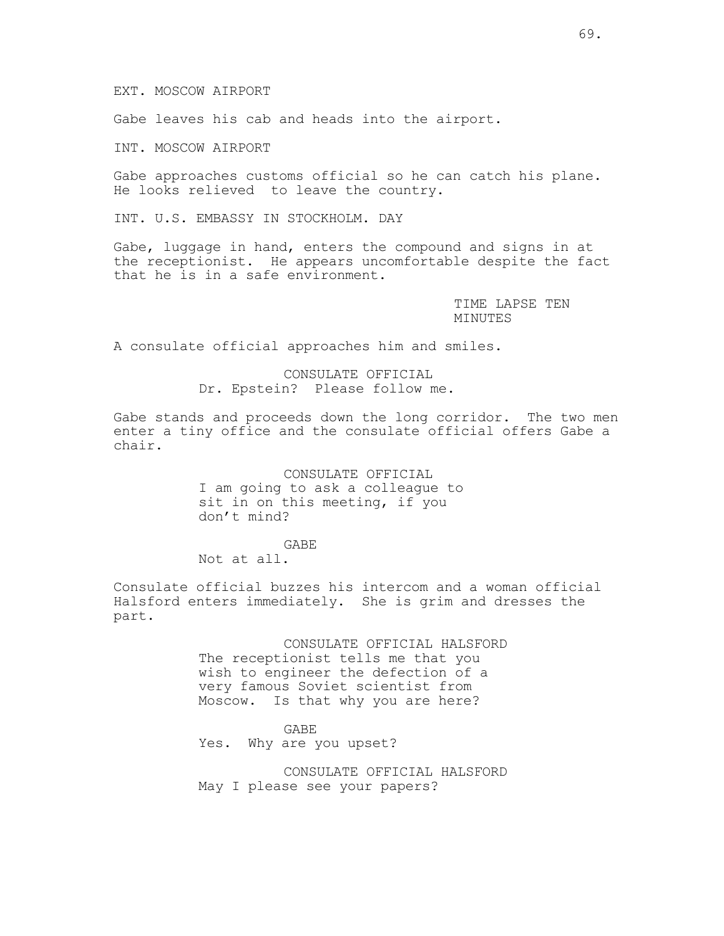EXT. MOSCOW AIRPORT

Gabe leaves his cab and heads into the airport.

INT. MOSCOW AIRPORT

Gabe approaches customs official so he can catch his plane. He looks relieved to leave the country.

INT. U.S. EMBASSY IN STOCKHOLM. DAY

Gabe, luggage in hand, enters the compound and signs in at the receptionist. He appears uncomfortable despite the fact that he is in a safe environment.

> TIME LAPSE TEN MINUTES

A consulate official approaches him and smiles.

CONSULATE OFFICIAL Dr. Epstein? Please follow me.

Gabe stands and proceeds down the long corridor. The two men enter a tiny office and the consulate official offers Gabe a chair.

> CONSULATE OFFICIAL I am going to ask a colleague to sit in on this meeting, if you don't mind?

GABE Not at all.

Consulate official buzzes his intercom and a woman official Halsford enters immediately. She is grim and dresses the part.

> CONSULATE OFFICIAL HALSFORD The receptionist tells me that you wish to engineer the defection of a very famous Soviet scientist from Moscow. Is that why you are here?

> > GABE

Yes. Why are you upset?

CONSULATE OFFICIAL HALSFORD May I please see your papers?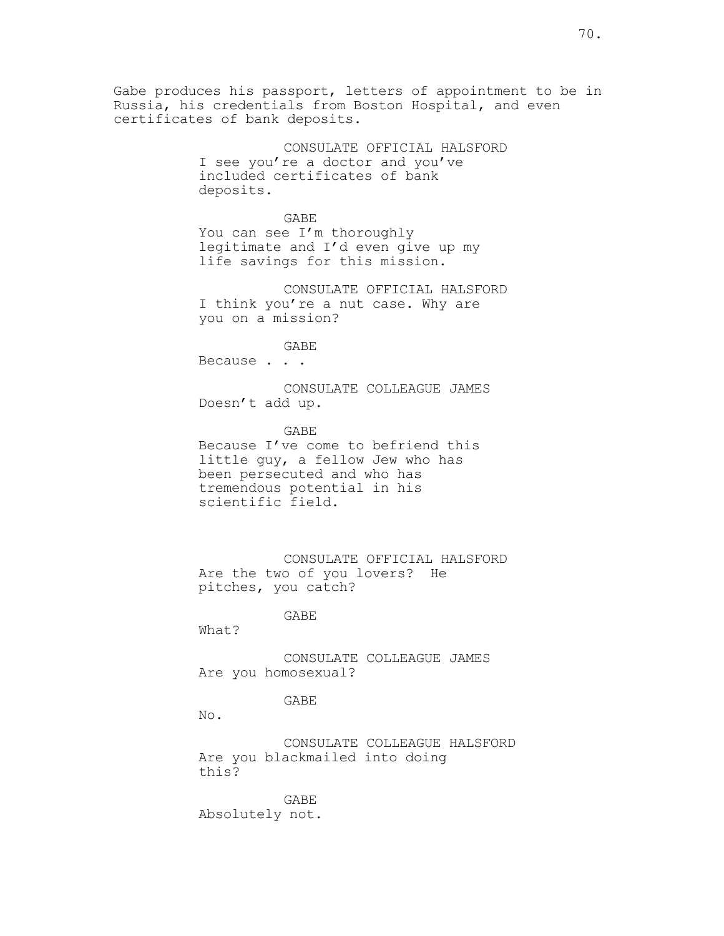Gabe produces his passport, letters of appointment to be in Russia, his credentials from Boston Hospital, and even certificates of bank deposits.

> CONSULATE OFFICIAL HALSFORD I see you're a doctor and you've included certificates of bank deposits.

GABE You can see I'm thoroughly legitimate and I'd even give up my life savings for this mission.

CONSULATE OFFICIAL HALSFORD I think you're a nut case. Why are you on a mission?

GABE

Because . . .

CONSULATE COLLEAGUE JAMES Doesn't add up.

GABE Because I've come to befriend this little guy, a fellow Jew who has been persecuted and who has tremendous potential in his scientific field.

CONSULATE OFFICIAL HALSFORD Are the two of you lovers? He pitches, you catch?

### GABE

What?

CONSULATE COLLEAGUE JAMES Are you homosexual?

#### GABE

No.

CONSULATE COLLEAGUE HALSFORD Are you blackmailed into doing this?

GABE Absolutely not.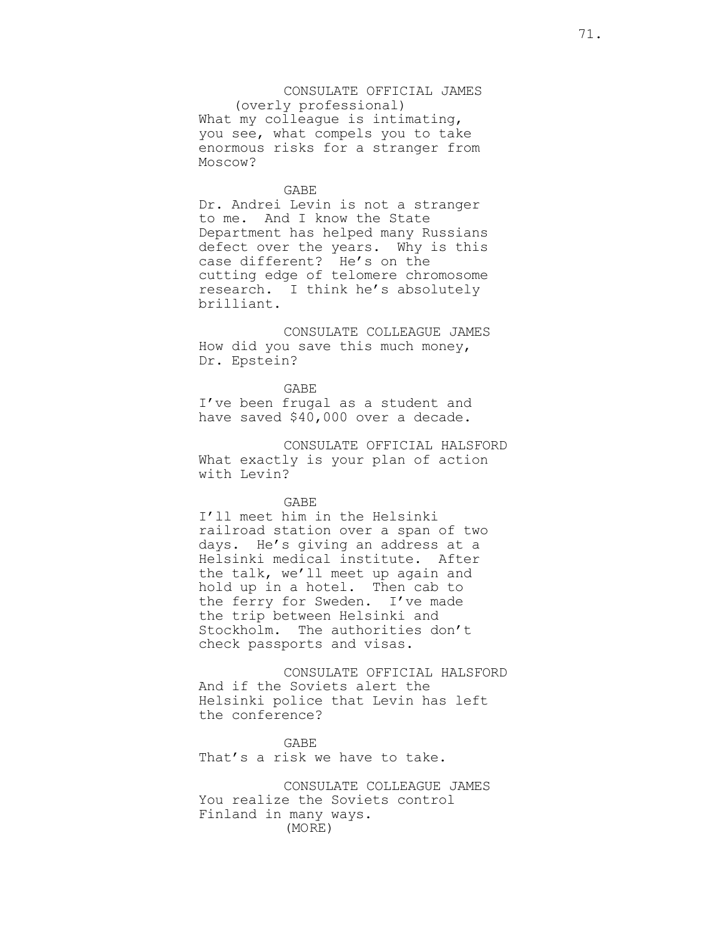## CONSULATE OFFICIAL JAMES

(overly professional) What my colleague is intimating, you see, what compels you to take enormous risks for a stranger from Moscow?

#### GABE

Dr. Andrei Levin is not a stranger to me. And I know the State Department has helped many Russians defect over the years. Why is this case different? He's on the cutting edge of telomere chromosome research. I think he's absolutely brilliant.

CONSULATE COLLEAGUE JAMES How did you save this much money, Dr. Epstein?

#### GABE

I've been frugal as a student and have saved \$40,000 over a decade.

CONSULATE OFFICIAL HALSFORD What exactly is your plan of action with Levin?

### GABE

I'll meet him in the Helsinki railroad station over a span of two days. He's giving an address at a Helsinki medical institute. After the talk, we'll meet up again and hold up in a hotel. Then cab to the ferry for Sweden. I've made the trip between Helsinki and Stockholm. The authorities don't check passports and visas.

CONSULATE OFFICIAL HALSFORD And if the Soviets alert the Helsinki police that Levin has left the conference?

GABE That's a risk we have to take.

CONSULATE COLLEAGUE JAMES You realize the Soviets control Finland in many ways. (MORE)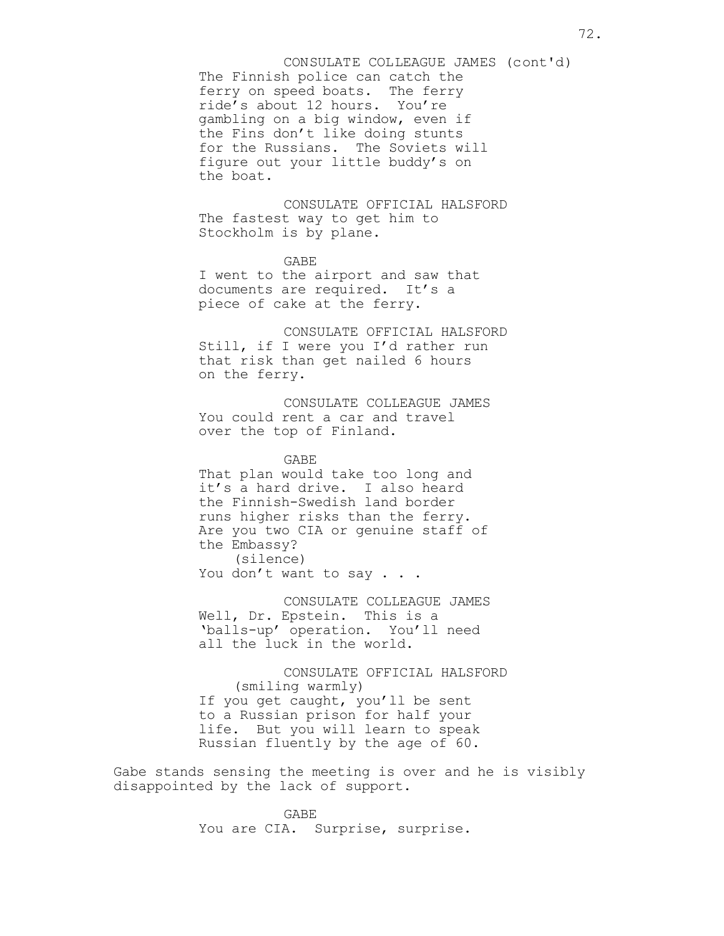The Finnish police can catch the ferry on speed boats. The ferry ride's about 12 hours. You're gambling on a big window, even if the Fins don't like doing stunts for the Russians. The Soviets will figure out your little buddy's on the boat. CONSULATE COLLEAGUE JAMES (cont'd)

CONSULATE OFFICIAL HALSFORD The fastest way to get him to Stockholm is by plane.

GABE I went to the airport and saw that documents are required. It's a piece of cake at the ferry.

CONSULATE OFFICIAL HALSFORD Still, if I were you I'd rather run that risk than get nailed 6 hours on the ferry.

CONSULATE COLLEAGUE JAMES You could rent a car and travel over the top of Finland.

GABE That plan would take too long and it's a hard drive. I also heard the Finnish-Swedish land border runs higher risks than the ferry. Are you two CIA or genuine staff of the Embassy? (silence) You don't want to say . . .

CONSULATE COLLEAGUE JAMES Well, Dr. Epstein. This is a

'balls-up' operation. You'll need all the luck in the world.

CONSULATE OFFICIAL HALSFORD (smiling warmly) If you get caught, you'll be sent to a Russian prison for half your life. But you will learn to speak Russian fluently by the age of 60.

Gabe stands sensing the meeting is over and he is visibly disappointed by the lack of support.

> GABE You are CIA. Surprise, surprise.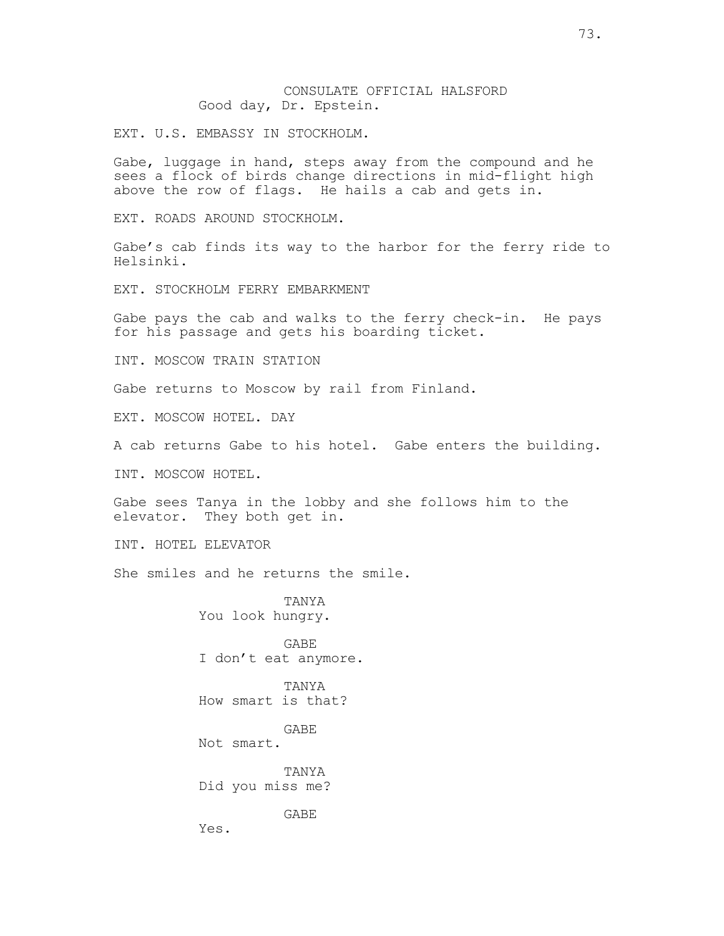## CONSULATE OFFICIAL HALSFORD Good day, Dr. Epstein.

EXT. U.S. EMBASSY IN STOCKHOLM.

Gabe, luggage in hand, steps away from the compound and he sees a flock of birds change directions in mid-flight high above the row of flags. He hails a cab and gets in.

EXT. ROADS AROUND STOCKHOLM.

Gabe's cab finds its way to the harbor for the ferry ride to Helsinki.

EXT. STOCKHOLM FERRY EMBARKMENT

Gabe pays the cab and walks to the ferry check-in. He pays for his passage and gets his boarding ticket.

INT. MOSCOW TRAIN STATION

Gabe returns to Moscow by rail from Finland.

EXT. MOSCOW HOTEL. DAY

A cab returns Gabe to his hotel. Gabe enters the building.

INT. MOSCOW HOTEL.

Gabe sees Tanya in the lobby and she follows him to the elevator. They both get in.

INT. HOTEL ELEVATOR

She smiles and he returns the smile.

TANYA You look hungry.

GABE I don't eat anymore.

TANYA How smart is that?

GABE

Not smart.

TANYA Did you miss me?

GABE

Yes.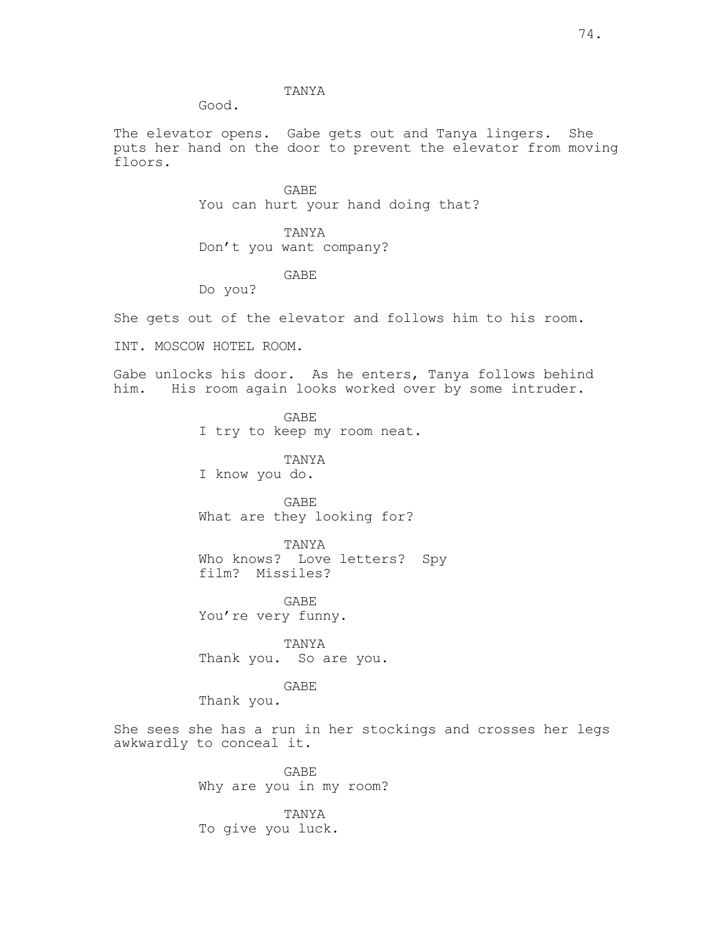## TANYA

Good.

The elevator opens. Gabe gets out and Tanya lingers. She puts her hand on the door to prevent the elevator from moving floors.

> GABE You can hurt your hand doing that?

TANYA Don't you want company?

GABE

Do you?

She gets out of the elevator and follows him to his room.

INT. MOSCOW HOTEL ROOM.

Gabe unlocks his door. As he enters, Tanya follows behind him. His room again looks worked over by some intruder.

> GABE I try to keep my room neat.

TANYA I know you do.

GABE What are they looking for?

TANYA Who knows? Love letters? Spy film? Missiles?

GABE You're very funny.

TANYA Thank you. So are you.

GABE

Thank you.

She sees she has a run in her stockings and crosses her legs awkwardly to conceal it.

> GABE Why are you in my room?

TANYA To give you luck.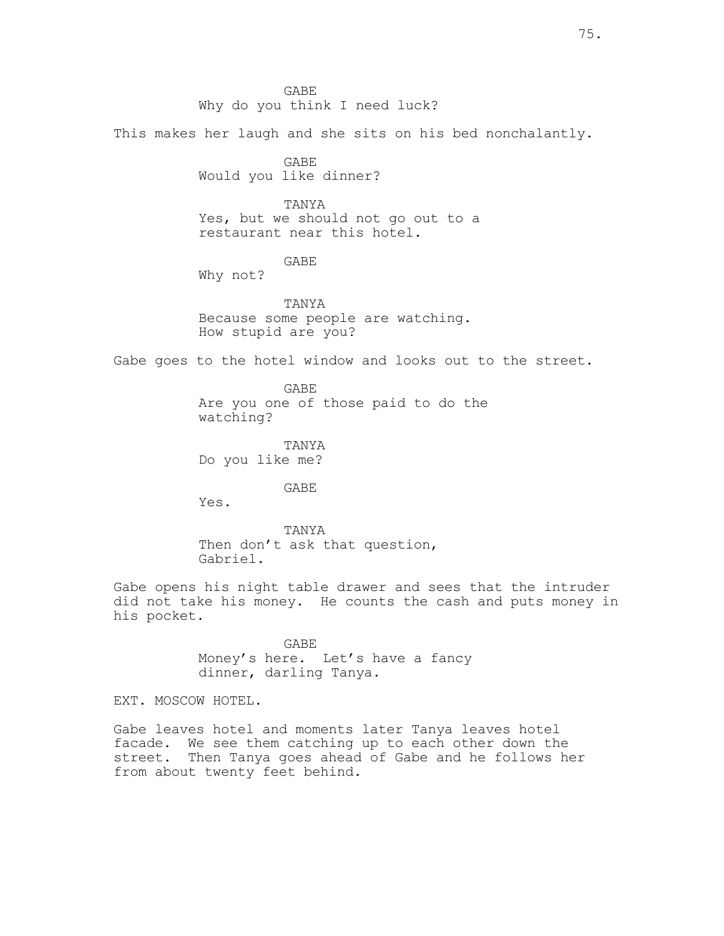GABE Why do you think I need luck?

This makes her laugh and she sits on his bed nonchalantly.

GABE Would you like dinner?

TANYA Yes, but we should not go out to a restaurant near this hotel.

GABE

Why not?

TANYA Because some people are watching. How stupid are you?

Gabe goes to the hotel window and looks out to the street.

GABE Are you one of those paid to do the watching?

TANYA Do you like me?

GABE

Yes.

TANYA Then don't ask that question, Gabriel.

Gabe opens his night table drawer and sees that the intruder did not take his money. He counts the cash and puts money in his pocket.

> GABE Money's here. Let's have a fancy dinner, darling Tanya.

EXT. MOSCOW HOTEL.

Gabe leaves hotel and moments later Tanya leaves hotel facade. We see them catching up to each other down the street. Then Tanya goes ahead of Gabe and he follows her from about twenty feet behind.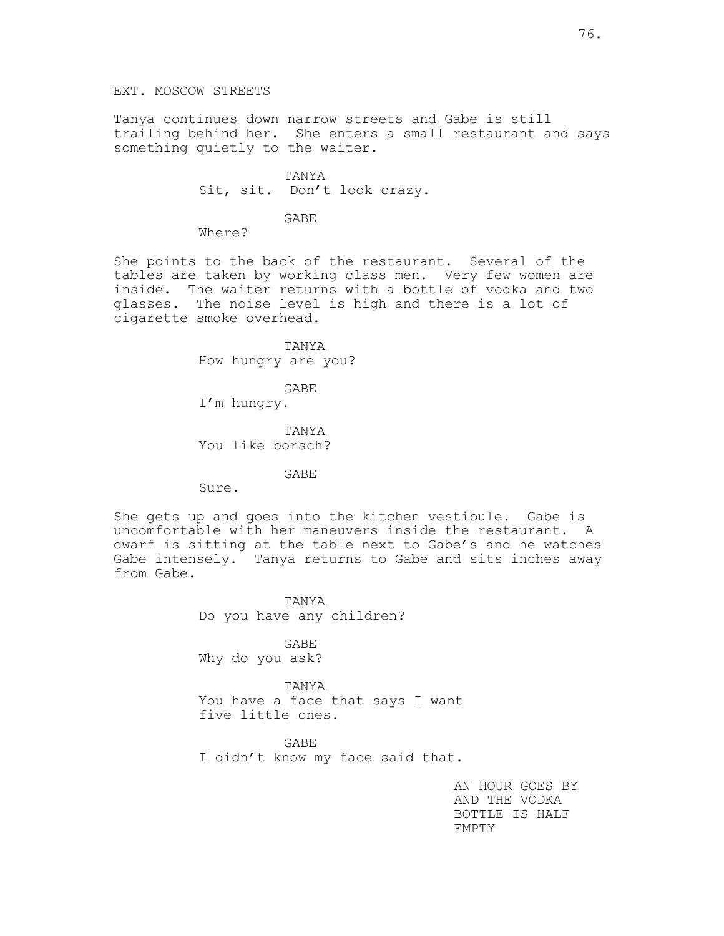Tanya continues down narrow streets and Gabe is still trailing behind her. She enters a small restaurant and says something quietly to the waiter.

> TANYA Sit, sit. Don't look crazy.

> > GABE

Where?

She points to the back of the restaurant. Several of the tables are taken by working class men. Very few women are inside. The waiter returns with a bottle of vodka and two glasses. The noise level is high and there is a lot of cigarette smoke overhead.

> TANYA How hungry are you?

GABE I'm hungry.

TANYA You like borsch?

GABE

Sure.

She gets up and goes into the kitchen vestibule. Gabe is uncomfortable with her maneuvers inside the restaurant. A dwarf is sitting at the table next to Gabe's and he watches Gabe intensely. Tanya returns to Gabe and sits inches away from Gabe.

> TANYA Do you have any children?

GABE Why do you ask?

TANYA You have a face that says I want five little ones.

GABE I didn't know my face said that.

> AN HOUR GOES BY AND THE VODKA BOTTLE IS HALF EMPTY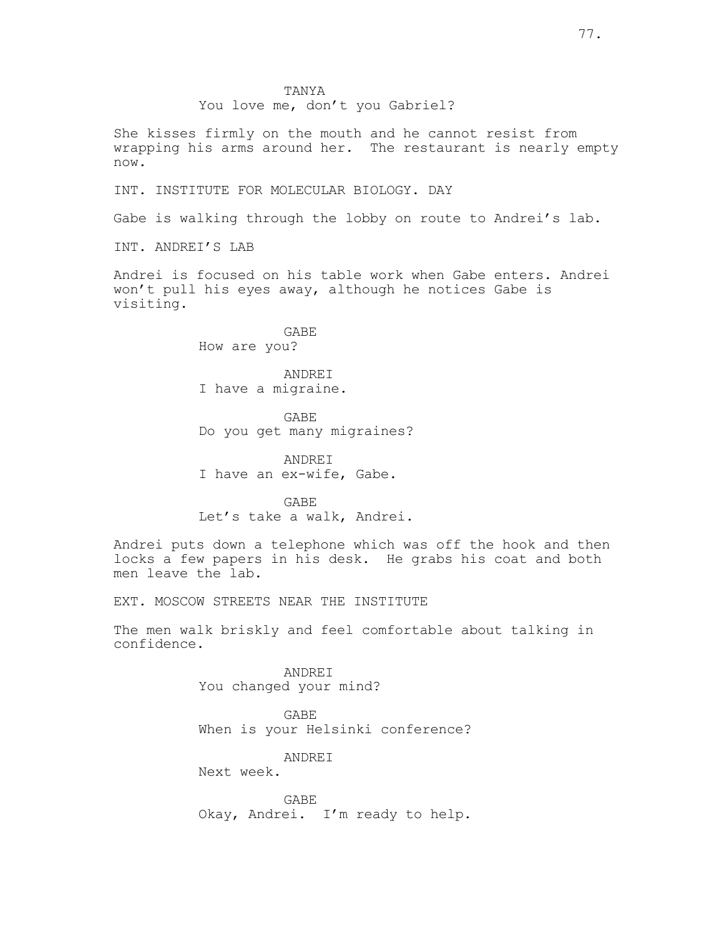## You love me, don't you Gabriel?

She kisses firmly on the mouth and he cannot resist from wrapping his arms around her. The restaurant is nearly empty now.

INT. INSTITUTE FOR MOLECULAR BIOLOGY. DAY

Gabe is walking through the lobby on route to Andrei's lab.

INT. ANDREI'S LAB

Andrei is focused on his table work when Gabe enters. Andrei won't pull his eyes away, although he notices Gabe is visiting.

> GABE How are you?

ANDREI I have a migraine.

GABE Do you get many migraines?

ANDREI I have an ex-wife, Gabe.

GABE Let's take a walk, Andrei.

Andrei puts down a telephone which was off the hook and then locks a few papers in his desk. He grabs his coat and both men leave the lab.

EXT. MOSCOW STREETS NEAR THE INSTITUTE

The men walk briskly and feel comfortable about talking in confidence.

> ANDREI You changed your mind?

GABE When is your Helsinki conference?

ANDREI

Next week.

GABE Okay, Andrei. I'm ready to help.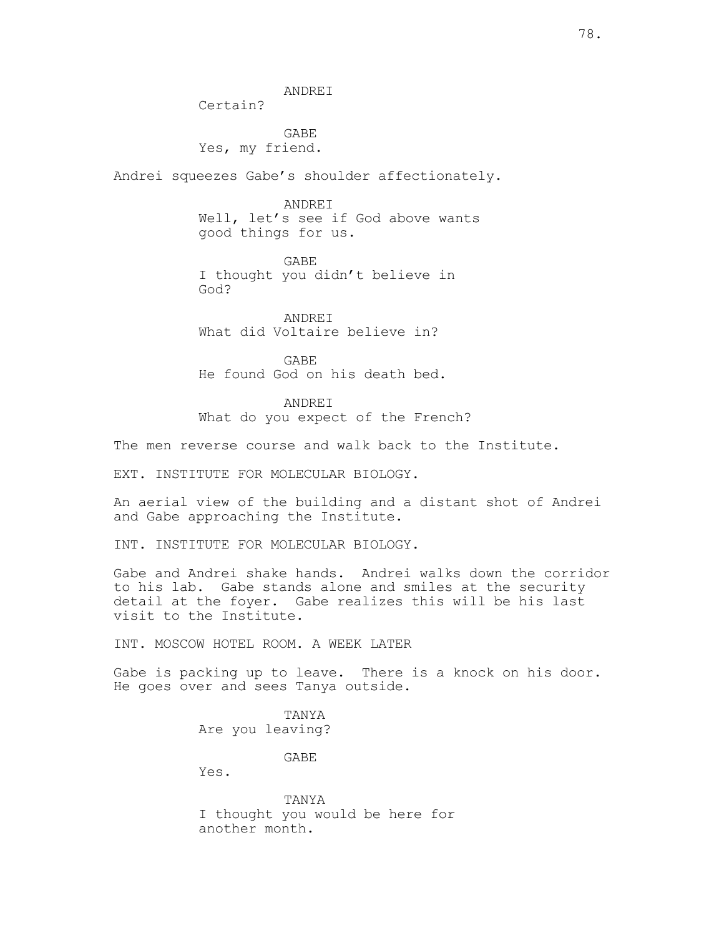ANDREI

Certain?

GABE Yes, my friend.

Andrei squeezes Gabe's shoulder affectionately.

ANDREI Well, let's see if God above wants good things for us.

GABE I thought you didn't believe in God?

ANDREI What did Voltaire believe in?

GABE He found God on his death bed.

ANDREI What do you expect of the French?

The men reverse course and walk back to the Institute.

EXT. INSTITUTE FOR MOLECULAR BIOLOGY.

An aerial view of the building and a distant shot of Andrei and Gabe approaching the Institute.

INT. INSTITUTE FOR MOLECULAR BIOLOGY.

Gabe and Andrei shake hands. Andrei walks down the corridor to his lab. Gabe stands alone and smiles at the security detail at the foyer. Gabe realizes this will be his last visit to the Institute.

INT. MOSCOW HOTEL ROOM. A WEEK LATER

Gabe is packing up to leave. There is a knock on his door. He goes over and sees Tanya outside.

> TANYA Are you leaving?

> > GABE

Yes.

TANYA I thought you would be here for another month.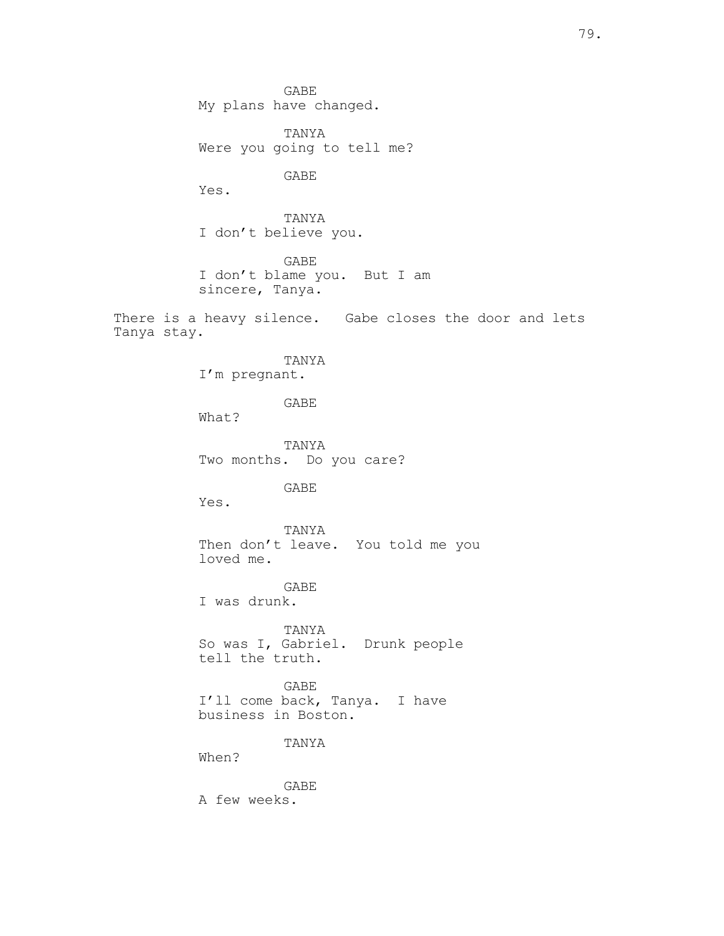GABE My plans have changed. TANYA Were you going to tell me?

GABE

Yes.

TANYA I don't believe you.

GABE I don't blame you. But I am sincere, Tanya.

There is a heavy silence. Gabe closes the door and lets Tanya stay.

> TANYA I'm pregnant.

> > GABE

What?

TANYA Two months. Do you care?

GABE

Yes.

TANYA Then don't leave. You told me you loved me.

GABE I was drunk.

TANYA So was I, Gabriel. Drunk people tell the truth.

GABE I'll come back, Tanya. I have business in Boston.

TANYA

When?

GABE A few weeks.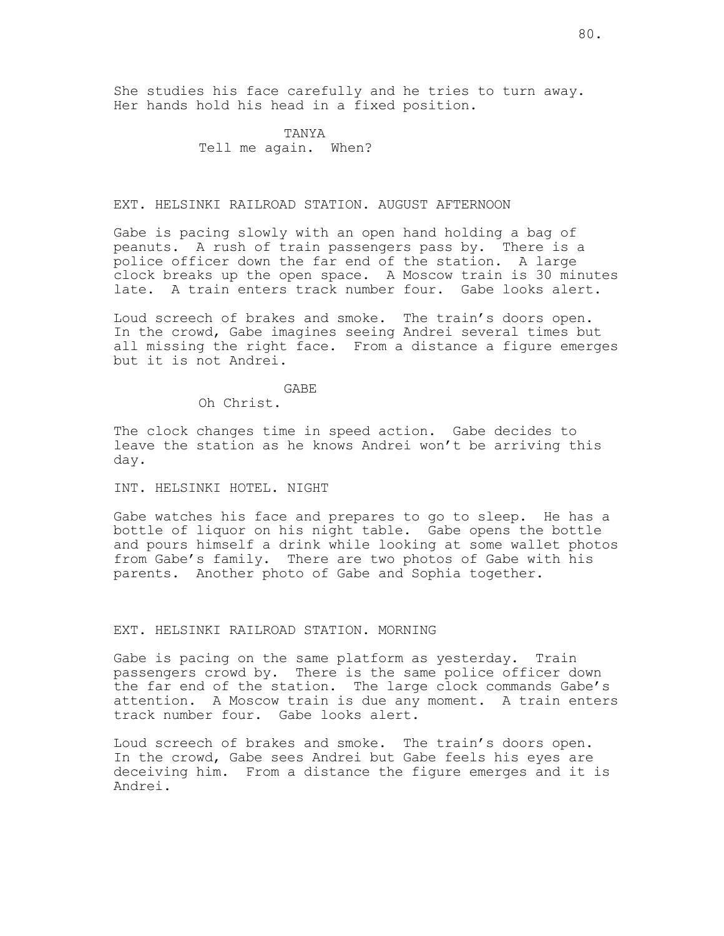She studies his face carefully and he tries to turn away. Her hands hold his head in a fixed position.

> TANYA Tell me again. When?

## EXT. HELSINKI RAILROAD STATION. AUGUST AFTERNOON

Gabe is pacing slowly with an open hand holding a bag of peanuts. A rush of train passengers pass by. There is a police officer down the far end of the station. A large clock breaks up the open space. A Moscow train is 30 minutes late. A train enters track number four. Gabe looks alert.

Loud screech of brakes and smoke. The train's doors open. In the crowd, Gabe imagines seeing Andrei several times but all missing the right face. From a distance a figure emerges but it is not Andrei.

GABE

Oh Christ.

The clock changes time in speed action. Gabe decides to leave the station as he knows Andrei won't be arriving this day.

## INT. HELSINKI HOTEL. NIGHT

Gabe watches his face and prepares to go to sleep. He has a bottle of liquor on his night table. Gabe opens the bottle and pours himself a drink while looking at some wallet photos from Gabe's family. There are two photos of Gabe with his parents. Another photo of Gabe and Sophia together.

### EXT. HELSINKI RAILROAD STATION. MORNING

Gabe is pacing on the same platform as yesterday. Train passengers crowd by. There is the same police officer down the far end of the station. The large clock commands Gabe's attention. A Moscow train is due any moment. A train enters track number four. Gabe looks alert.

Loud screech of brakes and smoke. The train's doors open. In the crowd, Gabe sees Andrei but Gabe feels his eyes are deceiving him. From a distance the figure emerges and it is Andrei.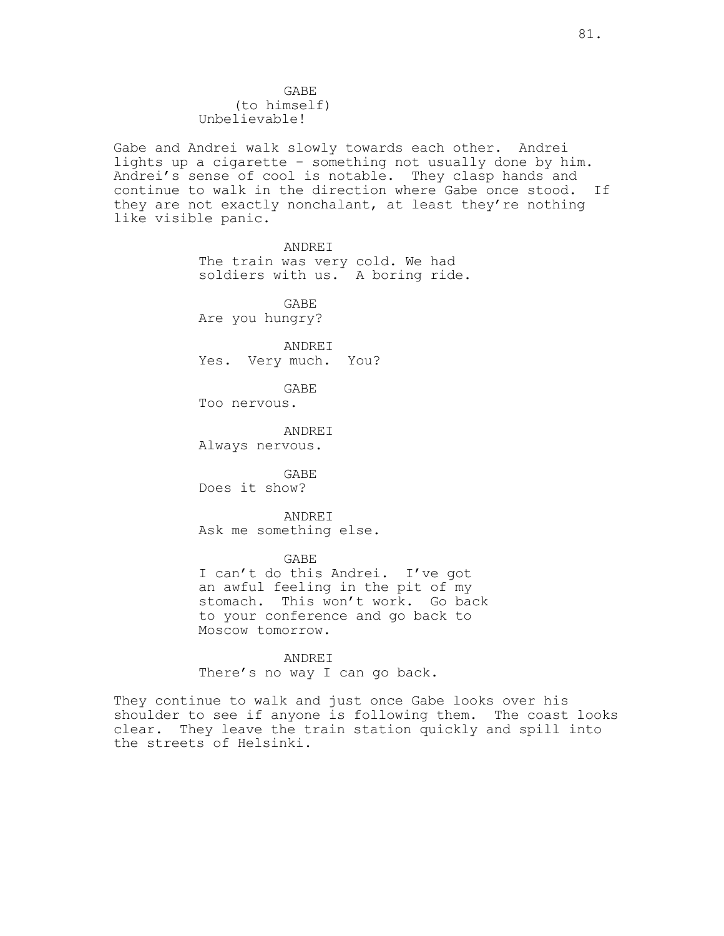GABE (to himself) Unbelievable!

Gabe and Andrei walk slowly towards each other. Andrei lights up a cigarette - something not usually done by him. Andrei's sense of cool is notable. They clasp hands and continue to walk in the direction where Gabe once stood. If they are not exactly nonchalant, at least they're nothing like visible panic.

> ANDREI The train was very cold. We had soldiers with us. A boring ride.

GABE Are you hungry?

ANDREI Yes. Very much. You?

GABE

Too nervous.

ANDREI Always nervous.

GABE Does it show?

ANDREI Ask me something else.

GABE

I can't do this Andrei. I've got an awful feeling in the pit of my stomach. This won't work. Go back to your conference and go back to Moscow tomorrow.

ANDREI There's no way I can go back.

They continue to walk and just once Gabe looks over his shoulder to see if anyone is following them. The coast looks clear. They leave the train station quickly and spill into the streets of Helsinki.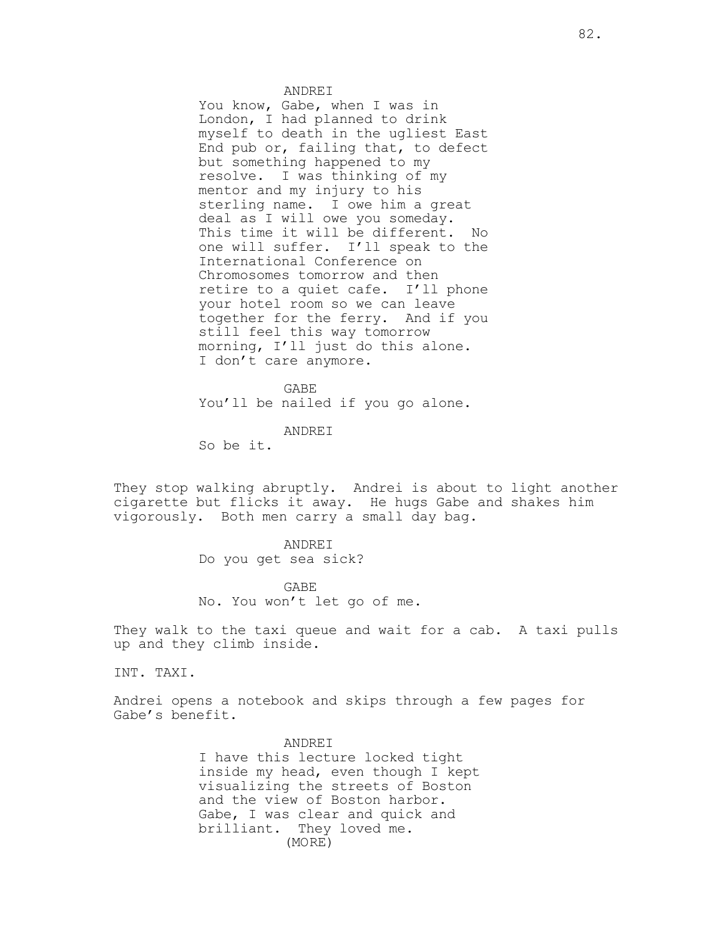#### ANDREI

You know, Gabe, when I was in London, I had planned to drink myself to death in the ugliest East End pub or, failing that, to defect but something happened to my resolve. I was thinking of my mentor and my injury to his sterling name. I owe him a great deal as I will owe you someday. This time it will be different. No one will suffer. I'll speak to the International Conference on Chromosomes tomorrow and then retire to a quiet cafe. I'll phone your hotel room so we can leave together for the ferry. And if you still feel this way tomorrow morning, I'll just do this alone. I don't care anymore.

GABE You'll be nailed if you go alone.

ANDREI

So be it.

They stop walking abruptly. Andrei is about to light another cigarette but flicks it away. He hugs Gabe and shakes him vigorously. Both men carry a small day bag.

> ANDREI Do you get sea sick?

GABE No. You won't let go of me.

They walk to the taxi queue and wait for a cab. A taxi pulls up and they climb inside.

INT. TAXI.

Andrei opens a notebook and skips through a few pages for Gabe's benefit.

> ANDREI I have this lecture locked tight inside my head, even though I kept visualizing the streets of Boston and the view of Boston harbor. Gabe, I was clear and quick and brilliant. They loved me. (MORE)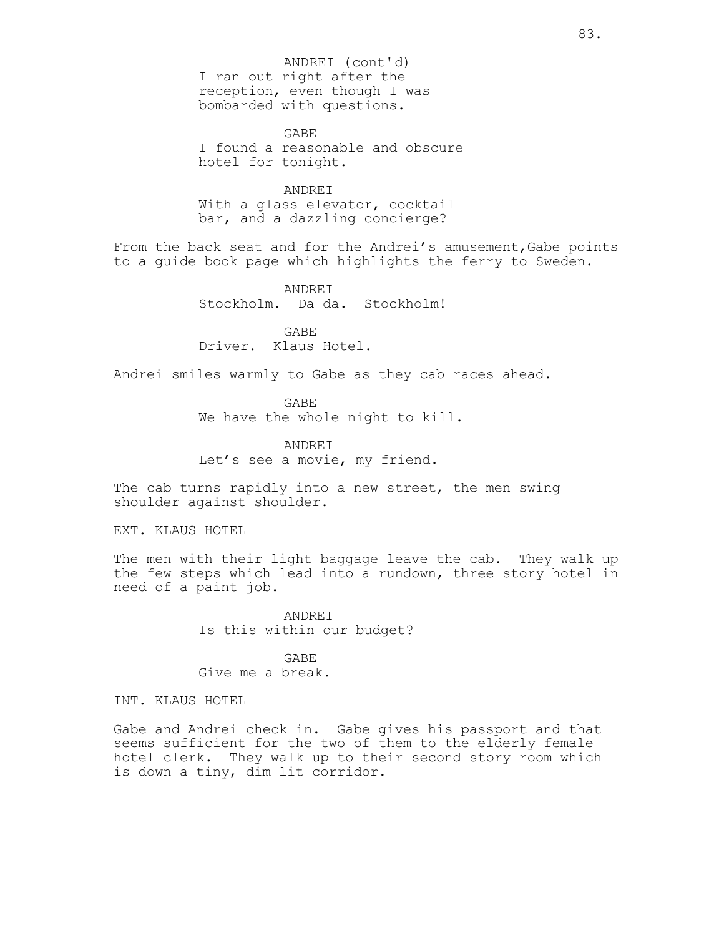I ran out right after the reception, even though I was bombarded with questions. ANDREI (cont'd)

GABE I found a reasonable and obscure hotel for tonight.

ANDREI With a glass elevator, cocktail bar, and a dazzling concierge?

From the back seat and for the Andrei's amusement,Gabe points to a guide book page which highlights the ferry to Sweden.

> ANDREI Stockholm. Da da. Stockholm!

GABE Driver. Klaus Hotel.

Andrei smiles warmly to Gabe as they cab races ahead.

GABE We have the whole night to kill.

ANDREI Let's see a movie, my friend.

The cab turns rapidly into a new street, the men swing shoulder against shoulder.

EXT. KLAUS HOTEL

The men with their light baggage leave the cab. They walk up the few steps which lead into a rundown, three story hotel in need of a paint job.

> ANDREI Is this within our budget?

GABE Give me a break.

INT. KLAUS HOTEL

Gabe and Andrei check in. Gabe gives his passport and that seems sufficient for the two of them to the elderly female hotel clerk. They walk up to their second story room which is down a tiny, dim lit corridor.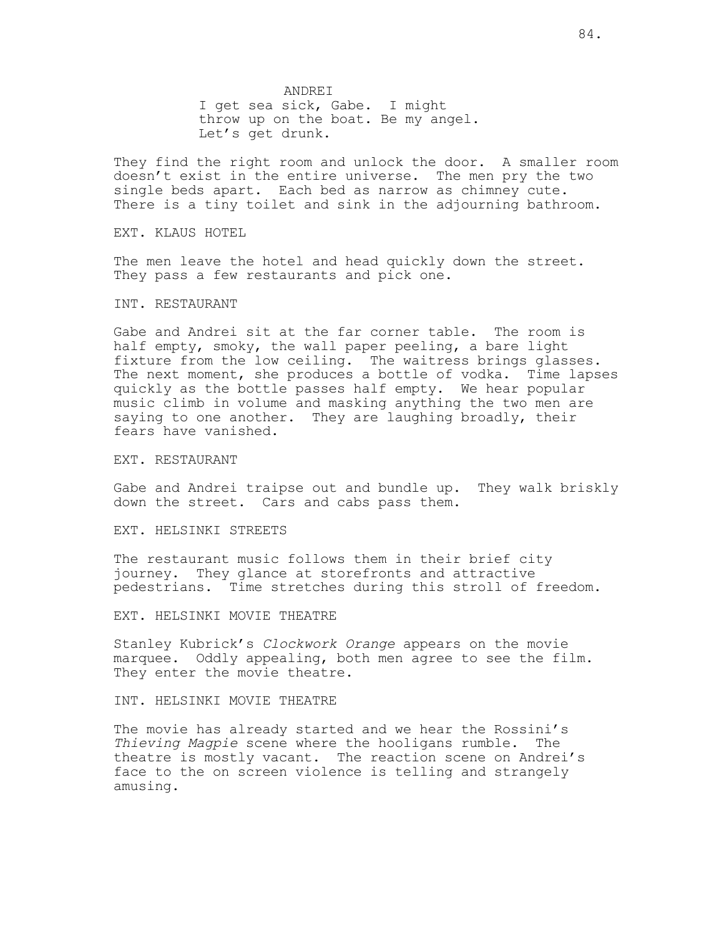ANDREI I get sea sick, Gabe. I might throw up on the boat. Be my angel. Let's get drunk.

They find the right room and unlock the door. A smaller room doesn't exist in the entire universe. The men pry the two single beds apart. Each bed as narrow as chimney cute. There is a tiny toilet and sink in the adjourning bathroom.

EXT. KLAUS HOTEL

The men leave the hotel and head quickly down the street. They pass a few restaurants and pick one.

INT. RESTAURANT

Gabe and Andrei sit at the far corner table. The room is half empty, smoky, the wall paper peeling, a bare light fixture from the low ceiling. The waitress brings glasses. The next moment, she produces a bottle of vodka. Time lapses quickly as the bottle passes half empty. We hear popular music climb in volume and masking anything the two men are saying to one another. They are laughing broadly, their fears have vanished.

EXT. RESTAURANT

Gabe and Andrei traipse out and bundle up. They walk briskly down the street. Cars and cabs pass them.

EXT. HELSINKI STREETS

The restaurant music follows them in their brief city journey. They glance at storefronts and attractive pedestrians. Time stretches during this stroll of freedom.

EXT. HELSINKI MOVIE THEATRE

Stanley Kubrick's *Clockwork Orange* appears on the movie marquee. Oddly appealing, both men agree to see the film. They enter the movie theatre.

INT. HELSINKI MOVIE THEATRE

The movie has already started and we hear the Rossini's *Thieving Magpie* scene where the hooligans rumble. The theatre is mostly vacant. The reaction scene on Andrei's face to the on screen violence is telling and strangely amusing.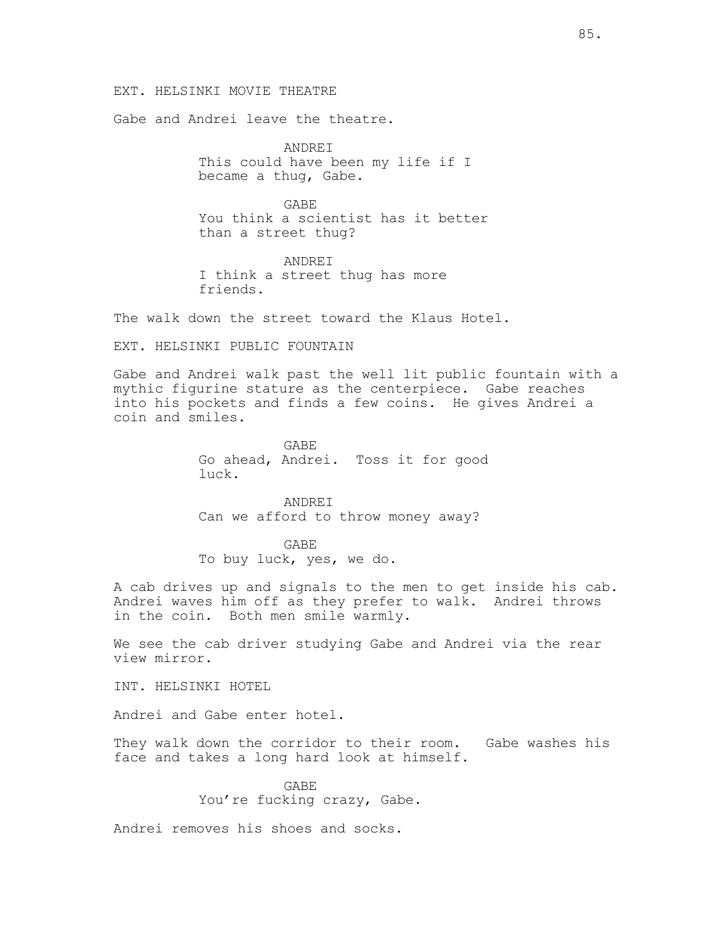## EXT. HELSINKI MOVIE THEATRE

Gabe and Andrei leave the theatre.

ANDREI This could have been my life if I became a thug, Gabe.

GABE You think a scientist has it better than a street thug?

ANDREI I think a street thug has more friends.

The walk down the street toward the Klaus Hotel.

EXT. HELSINKI PUBLIC FOUNTAIN

Gabe and Andrei walk past the well lit public fountain with a mythic figurine stature as the centerpiece. Gabe reaches into his pockets and finds a few coins. He gives Andrei a coin and smiles.

> GABE Go ahead, Andrei. Toss it for good luck.

ANDREI Can we afford to throw money away?

GABE To buy luck, yes, we do.

A cab drives up and signals to the men to get inside his cab. Andrei waves him off as they prefer to walk. Andrei throws in the coin. Both men smile warmly.

We see the cab driver studying Gabe and Andrei via the rear view mirror.

INT. HELSINKI HOTEL

Andrei and Gabe enter hotel.

They walk down the corridor to their room. Gabe washes his face and takes a long hard look at himself.

> GABE You're fucking crazy, Gabe.

Andrei removes his shoes and socks.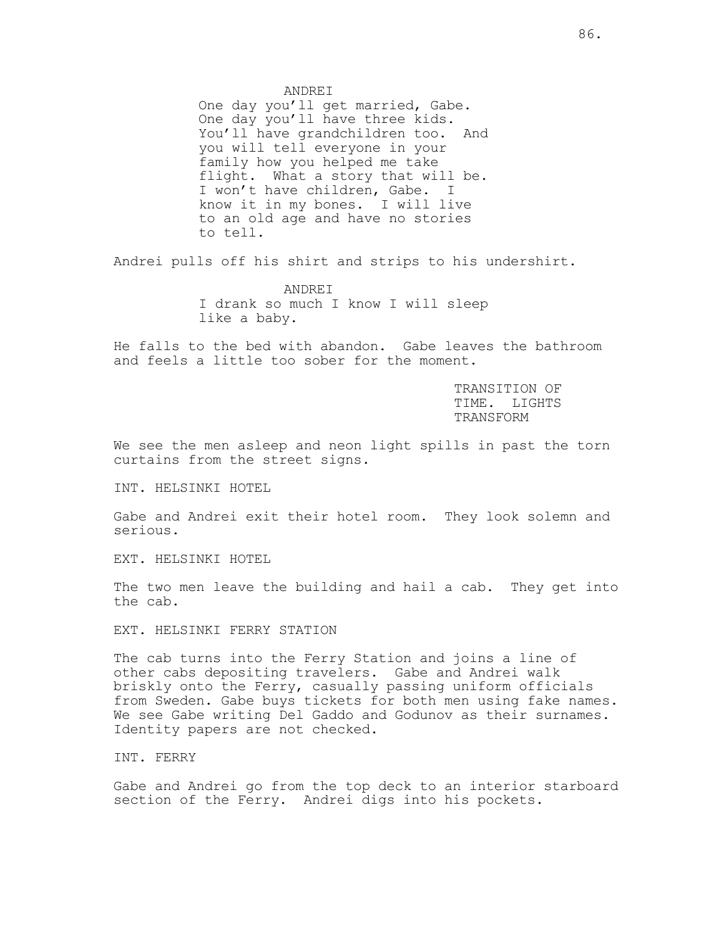ANDREI

One day you'll get married, Gabe. One day you'll have three kids. You'll have grandchildren too. And you will tell everyone in your family how you helped me take flight. What a story that will be. I won't have children, Gabe. I know it in my bones. I will live to an old age and have no stories to tell.

Andrei pulls off his shirt and strips to his undershirt.

ANDREI I drank so much I know I will sleep like a baby.

He falls to the bed with abandon. Gabe leaves the bathroom and feels a little too sober for the moment.

> TRANSITION OF TIME. LIGHTS TRANSFORM

We see the men asleep and neon light spills in past the torn curtains from the street signs.

INT. HELSINKI HOTEL

Gabe and Andrei exit their hotel room. They look solemn and serious.

EXT. HELSINKI HOTEL

The two men leave the building and hail a cab. They get into the cab.

EXT. HELSINKI FERRY STATION

The cab turns into the Ferry Station and joins a line of other cabs depositing travelers. Gabe and Andrei walk briskly onto the Ferry, casually passing uniform officials from Sweden. Gabe buys tickets for both men using fake names. We see Gabe writing Del Gaddo and Godunov as their surnames. Identity papers are not checked.

INT. FERRY

Gabe and Andrei go from the top deck to an interior starboard section of the Ferry. Andrei digs into his pockets.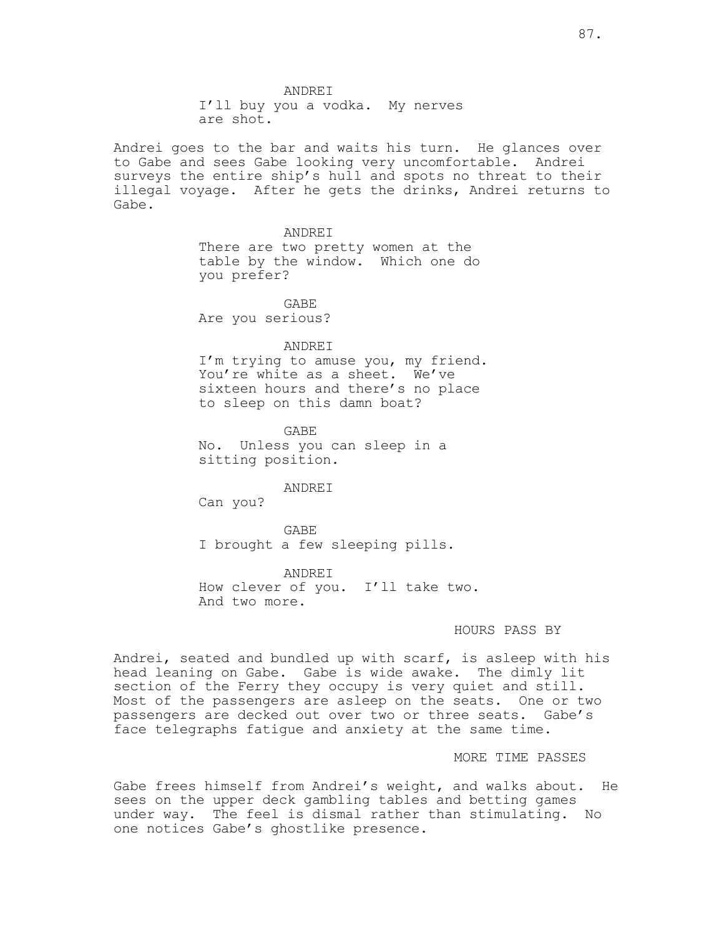I'll buy you a vodka. My nerves are shot.

Andrei goes to the bar and waits his turn. He glances over to Gabe and sees Gabe looking very uncomfortable. Andrei surveys the entire ship's hull and spots no threat to their illegal voyage. After he gets the drinks, Andrei returns to Gabe.

#### ANDREI

There are two pretty women at the table by the window. Which one do you prefer?

GABE Are you serious?

#### ANDREI

I'm trying to amuse you, my friend. You're white as a sheet. We've sixteen hours and there's no place to sleep on this damn boat?

GABE No. Unless you can sleep in a sitting position.

ANDREI

Can you?

GABE I brought a few sleeping pills.

ANDREI How clever of you. I'll take two. And two more.

### HOURS PASS BY

Andrei, seated and bundled up with scarf, is asleep with his head leaning on Gabe. Gabe is wide awake. The dimly lit section of the Ferry they occupy is very quiet and still. Most of the passengers are asleep on the seats. One or two passengers are decked out over two or three seats. Gabe's face telegraphs fatigue and anxiety at the same time.

## MORE TIME PASSES

Gabe frees himself from Andrei's weight, and walks about. He sees on the upper deck gambling tables and betting games under way. The feel is dismal rather than stimulating. No one notices Gabe's ghostlike presence.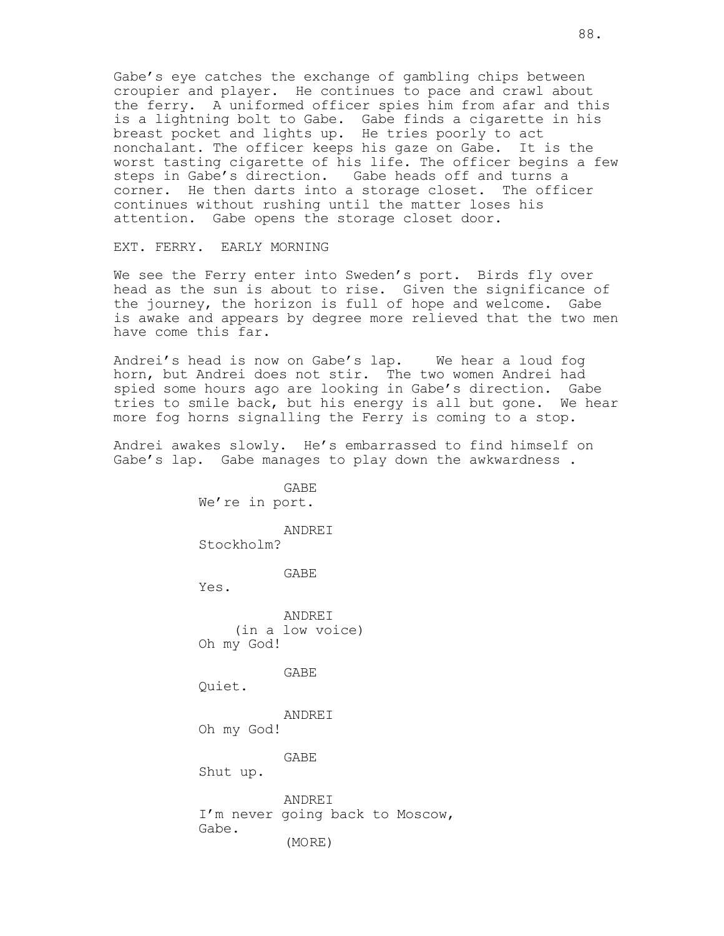Gabe's eye catches the exchange of gambling chips between croupier and player. He continues to pace and crawl about the ferry. A uniformed officer spies him from afar and this is a lightning bolt to Gabe. Gabe finds a cigarette in his breast pocket and lights up. He tries poorly to act nonchalant. The officer keeps his gaze on Gabe. It is the worst tasting cigarette of his life. The officer begins a few steps in Gabe's direction. Gabe heads off and turns a corner. He then darts into a storage closet. The officer continues without rushing until the matter loses his attention. Gabe opens the storage closet door.

EXT. FERRY. EARLY MORNING

We see the Ferry enter into Sweden's port. Birds fly over head as the sun is about to rise. Given the significance of the journey, the horizon is full of hope and welcome. Gabe is awake and appears by degree more relieved that the two men have come this far.

Andrei's head is now on Gabe's lap. We hear a loud fog horn, but Andrei does not stir. The two women Andrei had spied some hours ago are looking in Gabe's direction. Gabe tries to smile back, but his energy is all but gone. We hear more fog horns signalling the Ferry is coming to a stop.

Andrei awakes slowly. He's embarrassed to find himself on Gabe's lap. Gabe manages to play down the awkwardness.

> GABE We're in port. ANDREI Stockholm?

> > GABE

Yes.

ANDREI (in a low voice) Oh my God!

GABE

Quiet.

ANDREI Oh my God!

GABE

Shut up.

ANDREI I'm never going back to Moscow, Gabe. (MORE)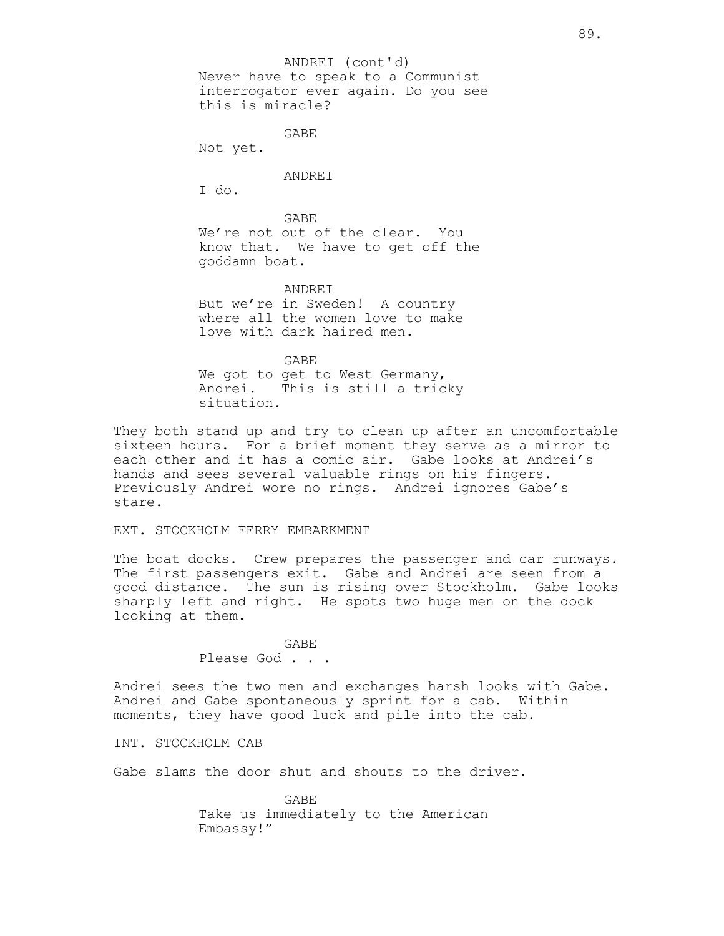ANDREI (cont'd)

Never have to speak to a Communist interrogator ever again. Do you see this is miracle?

GABE

Not yet.

ANDREI

I do.

GABE We're not out of the clear. You know that. We have to get off the goddamn boat.

ANDREI But we're in Sweden! A country where all the women love to make love with dark haired men.

GABE We got to get to West Germany, Andrei. This is still a tricky situation.

They both stand up and try to clean up after an uncomfortable sixteen hours. For a brief moment they serve as a mirror to each other and it has a comic air. Gabe looks at Andrei's hands and sees several valuable rings on his fingers. Previously Andrei wore no rings. Andrei ignores Gabe's stare.

EXT. STOCKHOLM FERRY EMBARKMENT

The boat docks. Crew prepares the passenger and car runways. The first passengers exit. Gabe and Andrei are seen from a good distance. The sun is rising over Stockholm. Gabe looks sharply left and right. He spots two huge men on the dock looking at them.

> GABE Please God . . .

Andrei sees the two men and exchanges harsh looks with Gabe. Andrei and Gabe spontaneously sprint for a cab. Within moments, they have good luck and pile into the cab.

INT. STOCKHOLM CAB

Gabe slams the door shut and shouts to the driver.

GABE Take us immediately to the American Embassy!"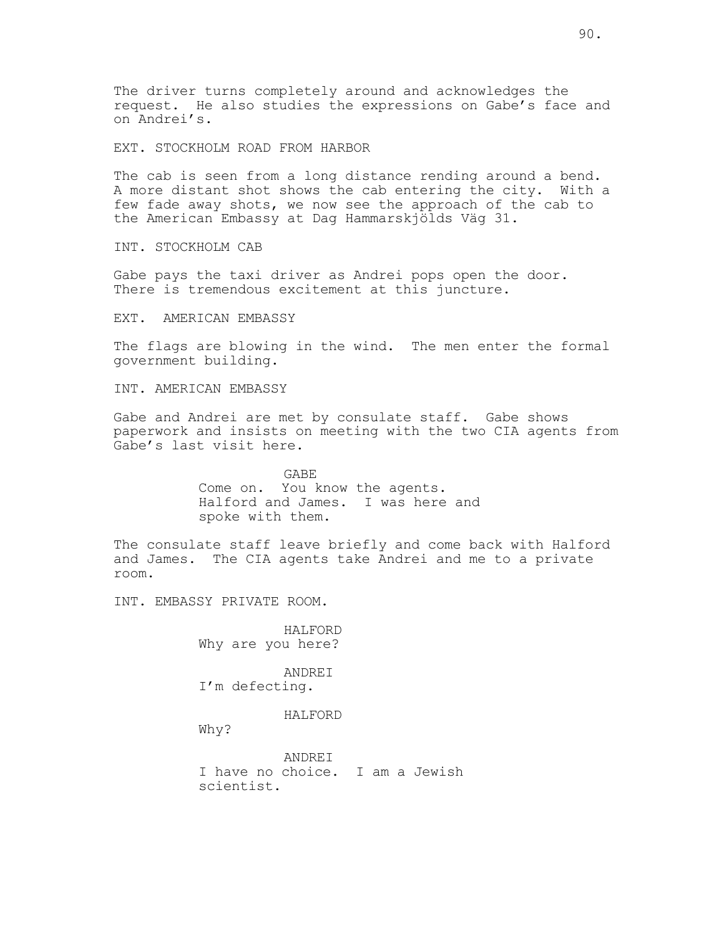The driver turns completely around and acknowledges the request. He also studies the expressions on Gabe's face and on Andrei's.

EXT. STOCKHOLM ROAD FROM HARBOR

The cab is seen from a long distance rending around a bend. A more distant shot shows the cab entering the city. With a few fade away shots, we now see the approach of the cab to the American Embassy at Dag Hammarskjölds Väg 31.

INT. STOCKHOLM CAB

Gabe pays the taxi driver as Andrei pops open the door. There is tremendous excitement at this juncture.

EXT. AMERICAN EMBASSY

The flags are blowing in the wind. The men enter the formal government building.

INT. AMERICAN EMBASSY

Gabe and Andrei are met by consulate staff. Gabe shows paperwork and insists on meeting with the two CIA agents from Gabe's last visit here.

> GABE Come on. You know the agents. Halford and James. I was here and spoke with them.

The consulate staff leave briefly and come back with Halford and James. The CIA agents take Andrei and me to a private room.

INT. EMBASSY PRIVATE ROOM.

HALFORD Why are you here?

ANDREI I'm defecting.

HALFORD

Why?

ANDREI I have no choice. I am a Jewish scientist.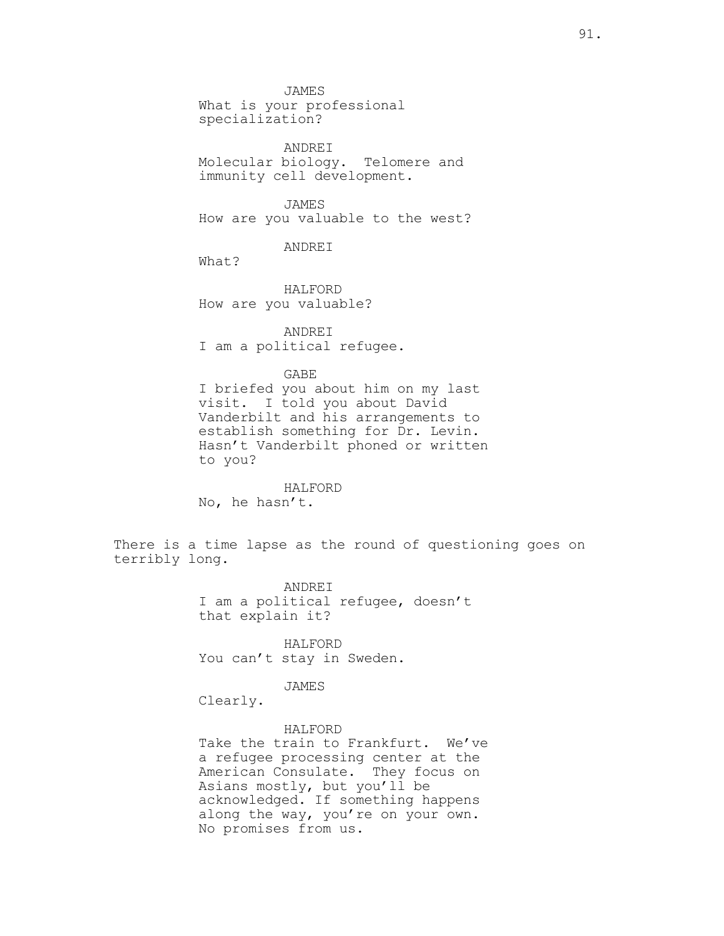JAMES What is your professional specialization?

ANDREI Molecular biology. Telomere and immunity cell development.

JAMES How are you valuable to the west?

ANDREI

What?

HALFORD How are you valuable?

ANDREI I am a political refugee.

GABE

I briefed you about him on my last visit. I told you about David Vanderbilt and his arrangements to establish something for Dr. Levin. Hasn't Vanderbilt phoned or written to you?

HALFORD No, he hasn't.

There is a time lapse as the round of questioning goes on terribly long.

> ANDREI I am a political refugee, doesn't that explain it?

HALFORD You can't stay in Sweden.

JAMES

Clearly.

HALFORD Take the train to Frankfurt. We've a refugee processing center at the American Consulate. They focus on Asians mostly, but you'll be acknowledged. If something happens along the way, you're on your own. No promises from us.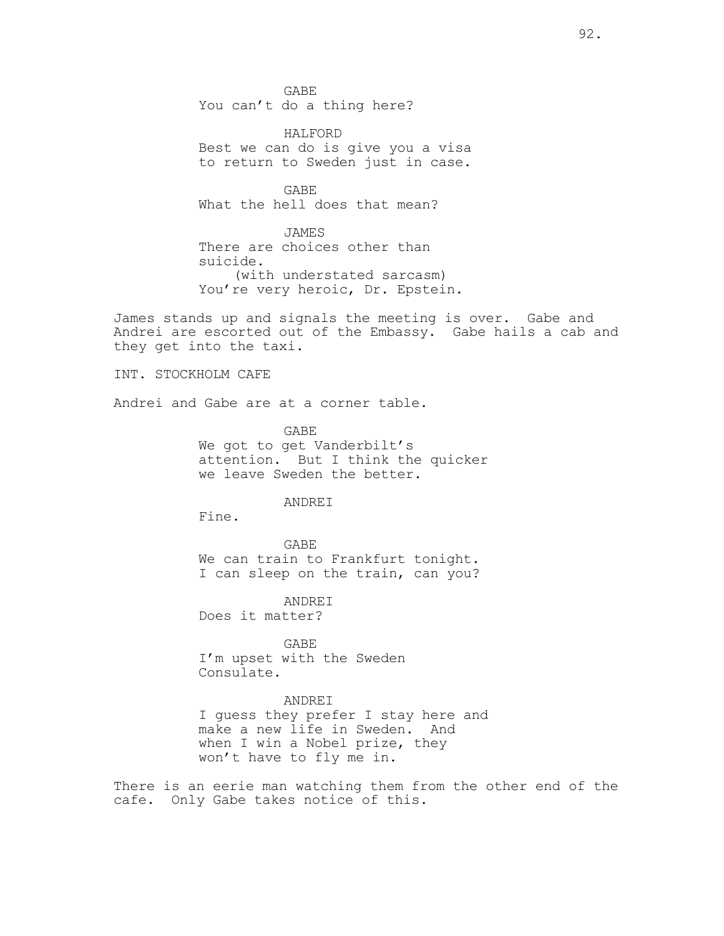GABE You can't do a thing here?

HALFORD Best we can do is give you a visa to return to Sweden just in case.

GABE What the hell does that mean?

JAMES There are choices other than suicide. (with understated sarcasm) You're very heroic, Dr. Epstein.

James stands up and signals the meeting is over. Gabe and Andrei are escorted out of the Embassy. Gabe hails a cab and they get into the taxi.

INT. STOCKHOLM CAFE

Andrei and Gabe are at a corner table.

GABE We got to get Vanderbilt's attention. But I think the quicker we leave Sweden the better.

## ANDREI

Fine.

GABE We can train to Frankfurt tonight. I can sleep on the train, can you?

ANDREI

Does it matter?

GABE I'm upset with the Sweden Consulate.

# ANDREI

I guess they prefer I stay here and make a new life in Sweden. And when I win a Nobel prize, they won't have to fly me in.

There is an eerie man watching them from the other end of the cafe. Only Gabe takes notice of this.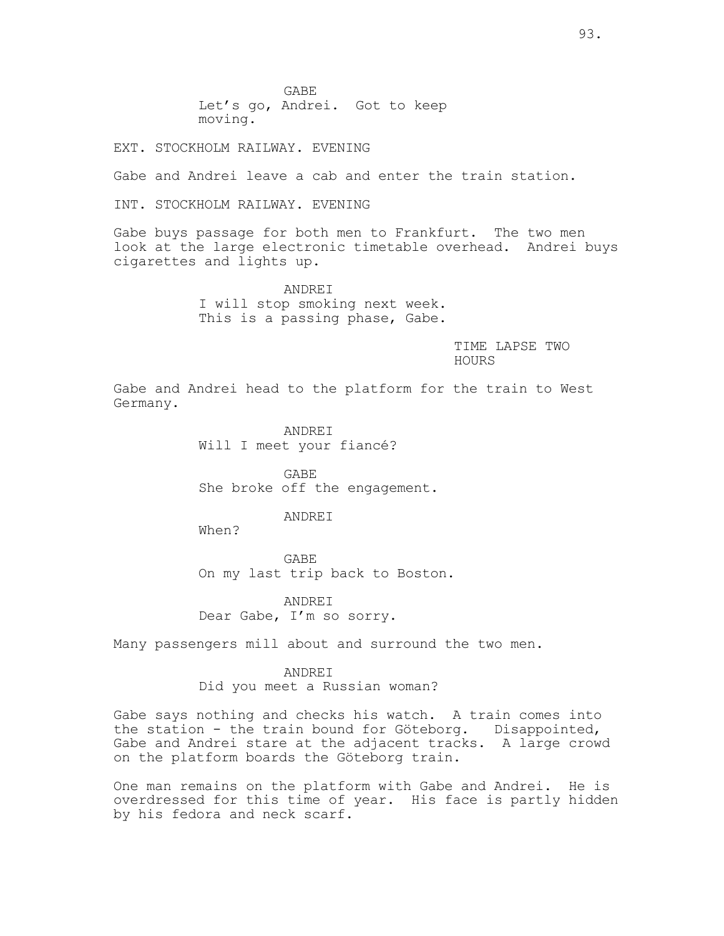GABE Let's go, Andrei. Got to keep moving.

EXT. STOCKHOLM RAILWAY. EVENING

Gabe and Andrei leave a cab and enter the train station.

INT. STOCKHOLM RAILWAY. EVENING

Gabe buys passage for both men to Frankfurt. The two men look at the large electronic timetable overhead. Andrei buys cigarettes and lights up.

> ANDREI I will stop smoking next week. This is a passing phase, Gabe.

> > TIME LAPSE TWO HOURS

Gabe and Andrei head to the platform for the train to West Germany.

> ANDREI Will I meet your fiancé?

GABE She broke off the engagement.

## ANDREI

When?

GABE On my last trip back to Boston.

ANDREI Dear Gabe, I'm so sorry.

Many passengers mill about and surround the two men.

### ANDREI

Did you meet a Russian woman?

Gabe says nothing and checks his watch. A train comes into the station - the train bound for Göteborg. Disappointed, Gabe and Andrei stare at the adjacent tracks. A large crowd on the platform boards the Göteborg train.

One man remains on the platform with Gabe and Andrei. He is overdressed for this time of year. His face is partly hidden by his fedora and neck scarf.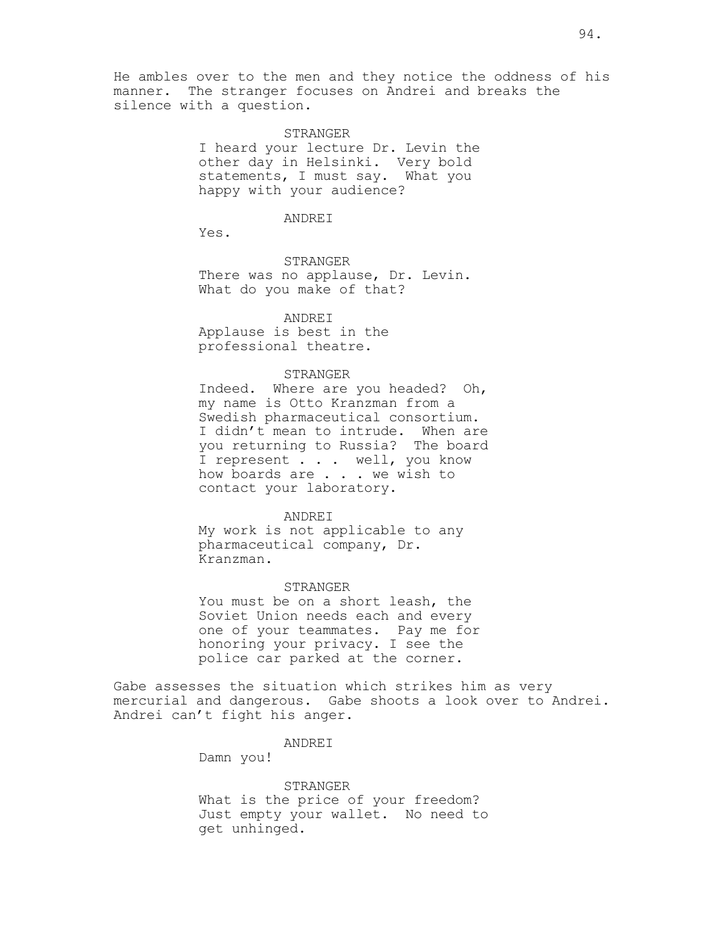He ambles over to the men and they notice the oddness of his manner. The stranger focuses on Andrei and breaks the silence with a question.

#### STRANGER

I heard your lecture Dr. Levin the other day in Helsinki. Very bold statements, I must say. What you happy with your audience?

### ANDREI

Yes.

STRANGER

There was no applause, Dr. Levin. What do you make of that?

## ANDREI

Applause is best in the professional theatre.

### STRANGER

Indeed. Where are you headed? Oh, my name is Otto Kranzman from a Swedish pharmaceutical consortium. I didn't mean to intrude. When are you returning to Russia? The board I represent . . . well, you know how boards are . . . we wish to contact your laboratory.

### ANDREI

My work is not applicable to any pharmaceutical company, Dr. Kranzman.

#### STRANGER

You must be on a short leash, the Soviet Union needs each and every one of your teammates. Pay me for honoring your privacy. I see the police car parked at the corner.

Gabe assesses the situation which strikes him as very mercurial and dangerous. Gabe shoots a look over to Andrei. Andrei can't fight his anger.

#### ANDREI

Damn you!

### STRANGER

What is the price of your freedom? Just empty your wallet. No need to get unhinged.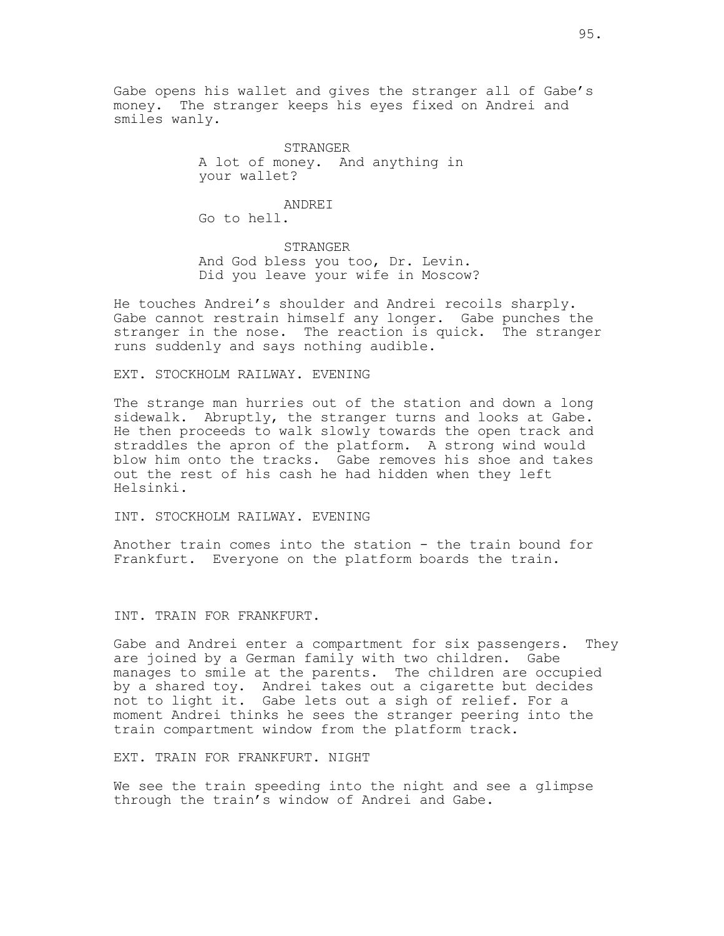Gabe opens his wallet and gives the stranger all of Gabe's money. The stranger keeps his eyes fixed on Andrei and smiles wanly.

> STRANGER A lot of money. And anything in your wallet?

ANDREI Go to hell.

STRANGER And God bless you too, Dr. Levin. Did you leave your wife in Moscow?

He touches Andrei's shoulder and Andrei recoils sharply. Gabe cannot restrain himself any longer. Gabe punches the stranger in the nose. The reaction is quick. The stranger runs suddenly and says nothing audible.

## EXT. STOCKHOLM RAILWAY. EVENING

The strange man hurries out of the station and down a long sidewalk. Abruptly, the stranger turns and looks at Gabe. He then proceeds to walk slowly towards the open track and straddles the apron of the platform. A strong wind would blow him onto the tracks. Gabe removes his shoe and takes out the rest of his cash he had hidden when they left Helsinki.

INT. STOCKHOLM RAILWAY. EVENING

Another train comes into the station - the train bound for Frankfurt. Everyone on the platform boards the train.

INT. TRAIN FOR FRANKFURT.

Gabe and Andrei enter a compartment for six passengers. They are joined by a German family with two children. Gabe manages to smile at the parents. The children are occupied by a shared toy. Andrei takes out a cigarette but decides not to light it. Gabe lets out a sigh of relief. For a moment Andrei thinks he sees the stranger peering into the train compartment window from the platform track.

EXT. TRAIN FOR FRANKFURT. NIGHT

We see the train speeding into the night and see a glimpse through the train's window of Andrei and Gabe.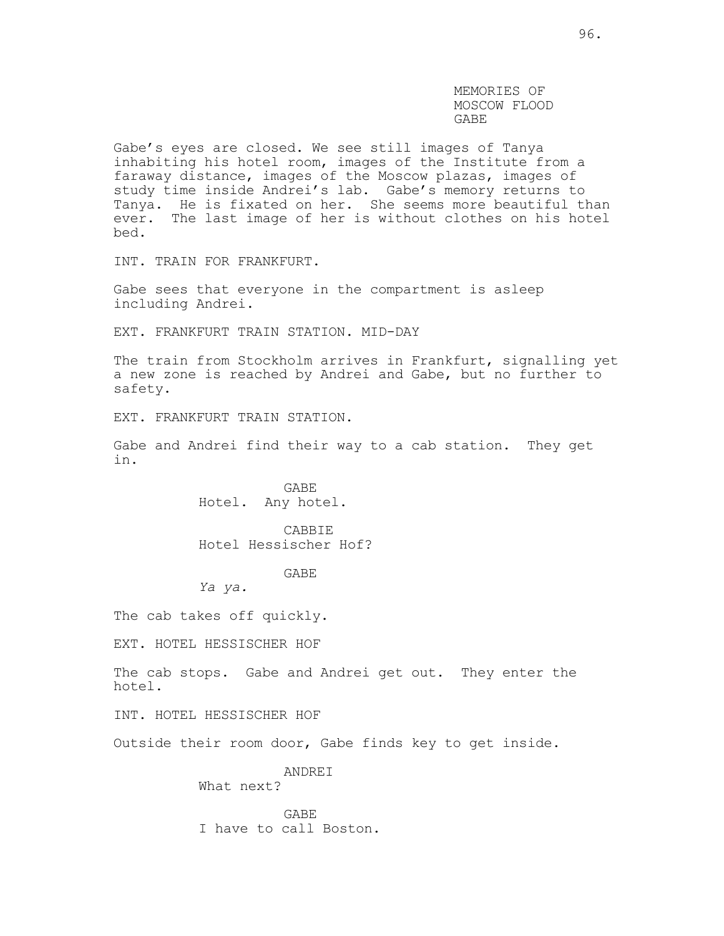MEMORIES OF MOSCOW FLOOD GABE

Gabe's eyes are closed. We see still images of Tanya inhabiting his hotel room, images of the Institute from a faraway distance, images of the Moscow plazas, images of study time inside Andrei's lab. Gabe's memory returns to Tanya. He is fixated on her. She seems more beautiful than ever. The last image of her is without clothes on his hotel bed.

INT. TRAIN FOR FRANKFURT.

Gabe sees that everyone in the compartment is asleep including Andrei.

EXT. FRANKFURT TRAIN STATION. MID-DAY

The train from Stockholm arrives in Frankfurt, signalling yet a new zone is reached by Andrei and Gabe, but no further to safety.

EXT. FRANKFURT TRAIN STATION.

Gabe and Andrei find their way to a cab station. They get in.

> GABE Hotel. Any hotel.

CABBIE Hotel Hessischer Hof?

GABE

*Ya ya.*

The cab takes off quickly.

EXT. HOTEL HESSISCHER HOF

The cab stops. Gabe and Andrei get out. They enter the hotel.

INT. HOTEL HESSISCHER HOF

Outside their room door, Gabe finds key to get inside.

ANDREI What next?

GABE I have to call Boston.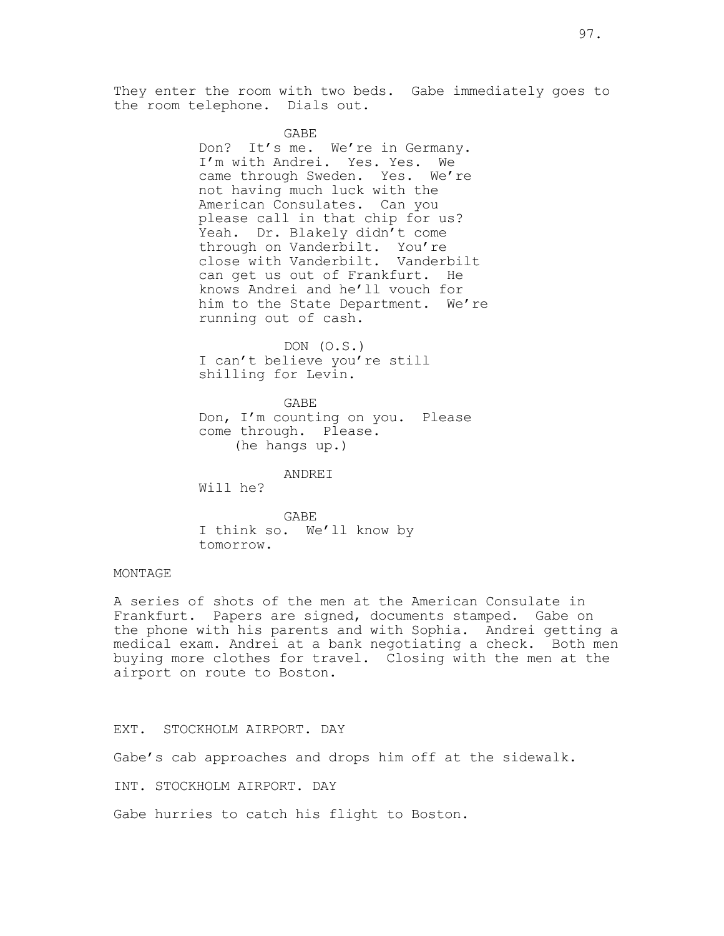97.

They enter the room with two beds. Gabe immediately goes to the room telephone. Dials out.

### GABE

Don? It's me. We're in Germany. I'm with Andrei. Yes. Yes. We came through Sweden. Yes. We're not having much luck with the American Consulates. Can you please call in that chip for us? Yeah. Dr. Blakely didn't come through on Vanderbilt. You're close with Vanderbilt. Vanderbilt can get us out of Frankfurt. He knows Andrei and he'll vouch for him to the State Department. We're running out of cash.

DON (O.S.) I can't believe you're still shilling for Levin.

GABE Don, I'm counting on you. Please come through. Please. (he hangs up.)

ANDREI

Will he?

GABE I think so. We'll know by tomorrow.

## MONTAGE

A series of shots of the men at the American Consulate in Frankfurt. Papers are signed, documents stamped. Gabe on the phone with his parents and with Sophia. Andrei getting a medical exam. Andrei at a bank negotiating a check. Both men buying more clothes for travel. Closing with the men at the airport on route to Boston.

EXT. STOCKHOLM AIRPORT. DAY

Gabe's cab approaches and drops him off at the sidewalk.

INT. STOCKHOLM AIRPORT. DAY

Gabe hurries to catch his flight to Boston.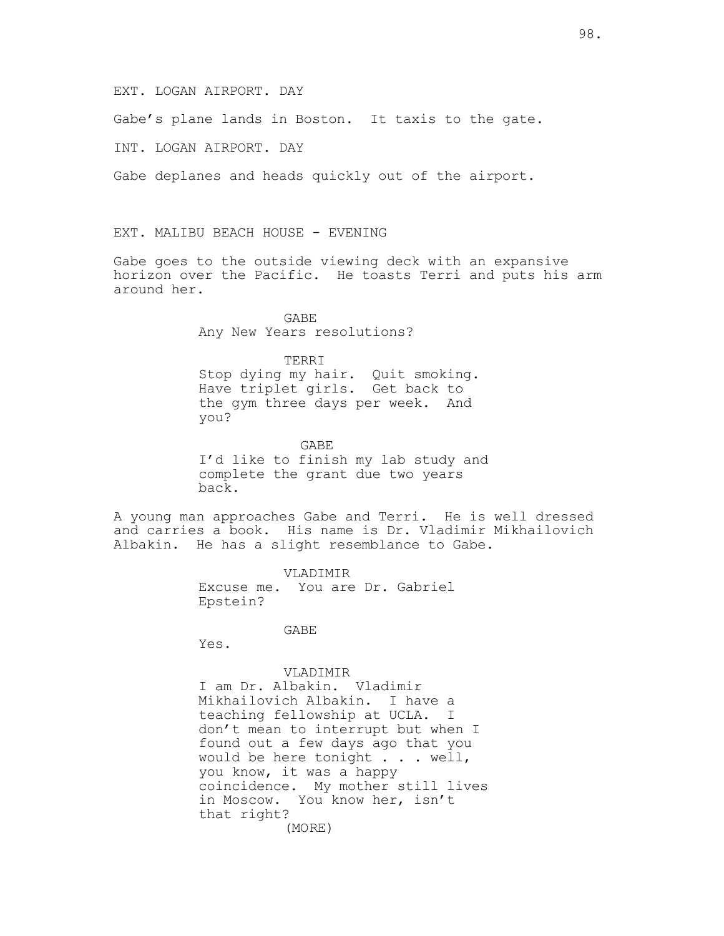### EXT. LOGAN AIRPORT. DAY

Gabe's plane lands in Boston. It taxis to the gate.

INT. LOGAN AIRPORT. DAY

Gabe deplanes and heads quickly out of the airport.

EXT. MALIBU BEACH HOUSE - EVENING

Gabe goes to the outside viewing deck with an expansive horizon over the Pacific. He toasts Terri and puts his arm around her.

> GABE Any New Years resolutions?

### TERRI

Stop dying my hair. Quit smoking. Have triplet girls. Get back to the gym three days per week. And you?

 GABE I'd like to finish my lab study and complete the grant due two years back.

A young man approaches Gabe and Terri. He is well dressed and carries a book. His name is Dr. Vladimir Mikhailovich Albakin. He has a slight resemblance to Gabe.

> VLADIMIR Excuse me. You are Dr. Gabriel Epstein?

> > GABE

Yes.

## VLADIMIR

I am Dr. Albakin. Vladimir Mikhailovich Albakin. I have a teaching fellowship at UCLA. I don't mean to interrupt but when I found out a few days ago that you would be here tonight . . . well, you know, it was a happy coincidence. My mother still lives in Moscow. You know her, isn't that right? (MORE)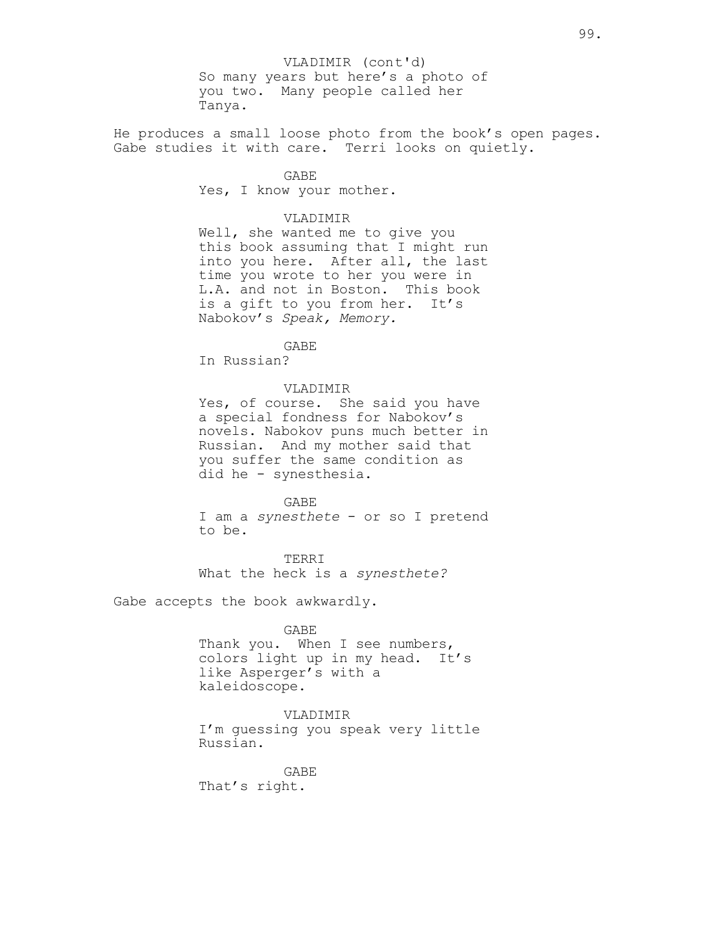So many years but here's a photo of you two. Many people called her Tanya. VLADIMIR (cont'd)

He produces a small loose photo from the book's open pages. Gabe studies it with care. Terri looks on quietly.

> GABE Yes, I know your mother.

### VLADIMIR

Well, she wanted me to give you this book assuming that I might run into you here. After all, the last time you wrote to her you were in L.A. and not in Boston. This book is a gift to you from her. It's Nabokov's *Speak, Memory.*

## GABE

In Russian?

## VLADIMIR

Yes, of course. She said you have a special fondness for Nabokov's novels. Nabokov puns much better in Russian. And my mother said that you suffer the same condition as did he - synesthesia.

#### GABE

I am a *synesthete* - or so I pretend to be.

TERRI What the heck is a *synesthete?*

Gabe accepts the book awkwardly.

### GABE

Thank you. When I see numbers, colors light up in my head. It's like Asperger's with a kaleidoscope.

## VLADIMIR

I'm guessing you speak very little Russian.

GABE That's right.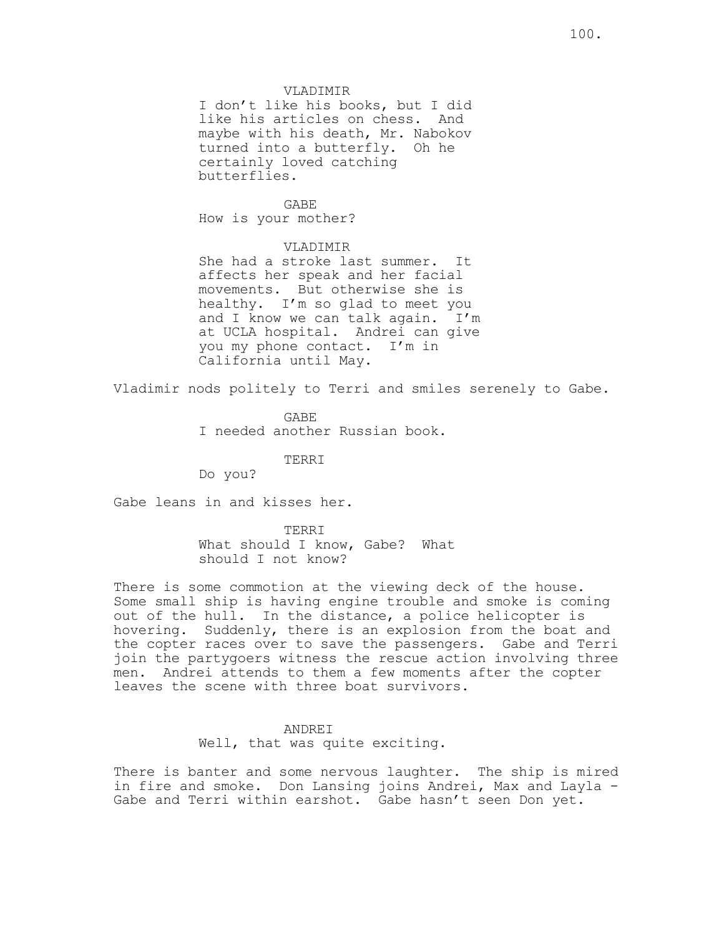I don't like his books, but I did like his articles on chess. And maybe with his death, Mr. Nabokov turned into a butterfly. Oh he certainly loved catching butterflies.

## GABE

How is your mother?

## VLADIMIR

She had a stroke last summer. It affects her speak and her facial movements. But otherwise she is healthy. I'm so glad to meet you and I know we can talk again. I'm at UCLA hospital. Andrei can give you my phone contact. I'm in California until May.

Vladimir nods politely to Terri and smiles serenely to Gabe.

GABE I needed another Russian book.

TERRI

Do you?

Gabe leans in and kisses her.

TERRI What should I know, Gabe? What should I not know?

There is some commotion at the viewing deck of the house. Some small ship is having engine trouble and smoke is coming out of the hull. In the distance, a police helicopter is hovering. Suddenly, there is an explosion from the boat and the copter races over to save the passengers. Gabe and Terri join the partygoers witness the rescue action involving three men. Andrei attends to them a few moments after the copter leaves the scene with three boat survivors.

## ANDREI

Well, that was quite exciting.

There is banter and some nervous laughter. The ship is mired in fire and smoke. Don Lansing joins Andrei, Max and Layla - Gabe and Terri within earshot. Gabe hasn't seen Don yet.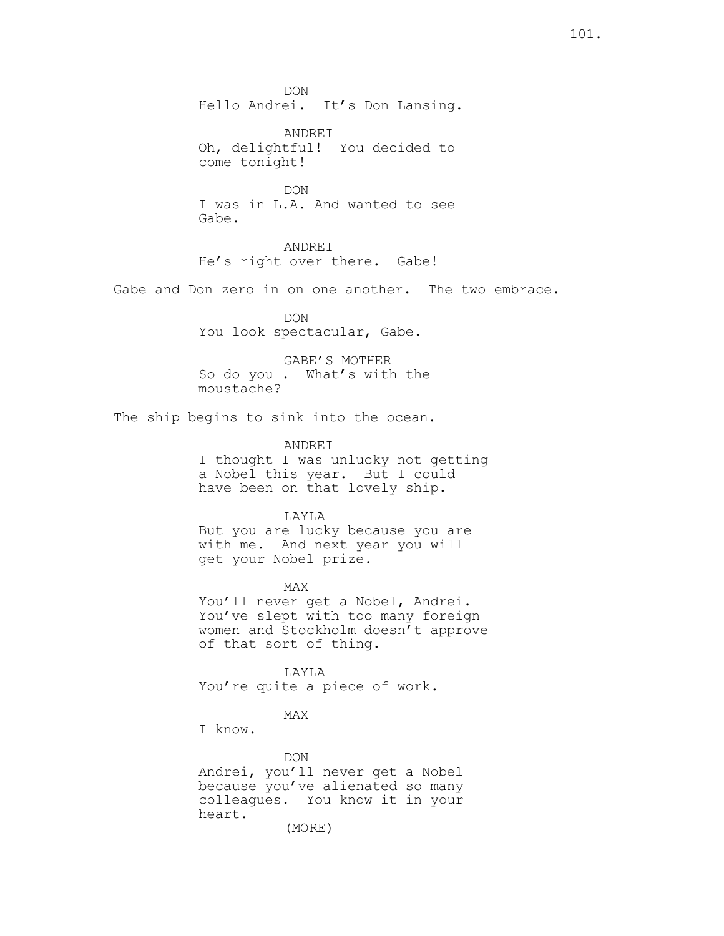DON Hello Andrei. It's Don Lansing.

ANDREI Oh, delightful! You decided to come tonight!

DON I was in L.A. And wanted to see Gabe.

ANDREI He's right over there. Gabe!

Gabe and Don zero in on one another. The two embrace.

DON You look spectacular, Gabe.

GABE'S MOTHER So do you . What's with the moustache?

The ship begins to sink into the ocean.

ANDREI

I thought I was unlucky not getting a Nobel this year. But I could have been on that lovely ship.

LAYLA

But you are lucky because you are with me. And next year you will get your Nobel prize.

MAX You'll never get a Nobel, Andrei. You've slept with too many foreign women and Stockholm doesn't approve of that sort of thing.

LAYLA You're quite a piece of work.

## MAX

I know.

DON Andrei, you'll never get a Nobel because you've alienated so many colleagues. You know it in your heart. (MORE)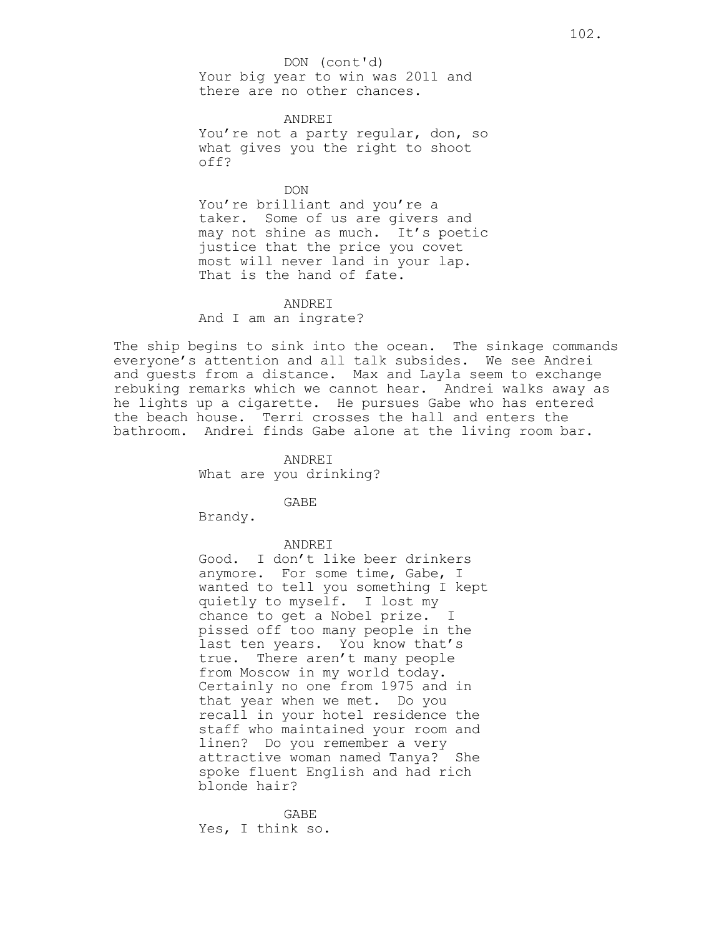ANDREI You're not a party regular, don, so what gives you the right to shoot off?

DON You're brilliant and you're a taker. Some of us are givers and may not shine as much. It's poetic justice that the price you covet most will never land in your lap. That is the hand of fate.

### ANDREI

And I am an ingrate?

The ship begins to sink into the ocean. The sinkage commands everyone's attention and all talk subsides. We see Andrei and guests from a distance. Max and Layla seem to exchange rebuking remarks which we cannot hear. Andrei walks away as he lights up a cigarette. He pursues Gabe who has entered the beach house. Terri crosses the hall and enters the bathroom. Andrei finds Gabe alone at the living room bar.

> ANDREI What are you drinking?

> > GABE

Brandy.

ANDREI

Good. I don't like beer drinkers anymore. For some time, Gabe, I wanted to tell you something I kept quietly to myself. I lost my chance to get a Nobel prize. I pissed off too many people in the last ten years. You know that's true. There aren't many people from Moscow in my world today. Certainly no one from 1975 and in that year when we met. Do you recall in your hotel residence the staff who maintained your room and linen? Do you remember a very attractive woman named Tanya? She spoke fluent English and had rich blonde hair?

GABE Yes, I think so.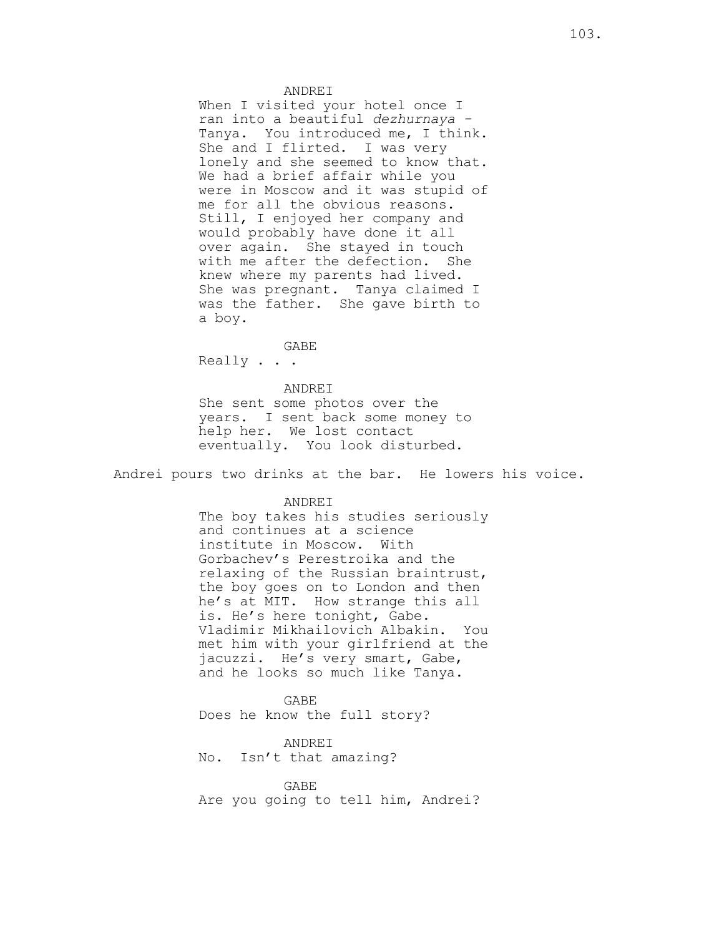### ANDREI

When I visited your hotel once I ran into a beautiful *dezhurnaya -* Tanya. You introduced me, I think. She and I flirted. I was very lonely and she seemed to know that. We had a brief affair while you were in Moscow and it was stupid of me for all the obvious reasons. Still, I enjoyed her company and would probably have done it all over again. She stayed in touch with me after the defection. She knew where my parents had lived. She was pregnant. Tanya claimed I was the father. She gave birth to a boy.

GABE Really . . .

## ANDREI She sent some photos over the years. I sent back some money to help her. We lost contact eventually. You look disturbed.

Andrei pours two drinks at the bar. He lowers his voice.

ANDREI

The boy takes his studies seriously and continues at a science institute in Moscow. With Gorbachev's Perestroika and the relaxing of the Russian braintrust, the boy goes on to London and then he's at MIT. How strange this all is. He's here tonight, Gabe. Vladimir Mikhailovich Albakin. You met him with your girlfriend at the jacuzzi. He's very smart, Gabe, and he looks so much like Tanya.

GABE Does he know the full story?

ANDREI No. Isn't that amazing?

GABE Are you going to tell him, Andrei?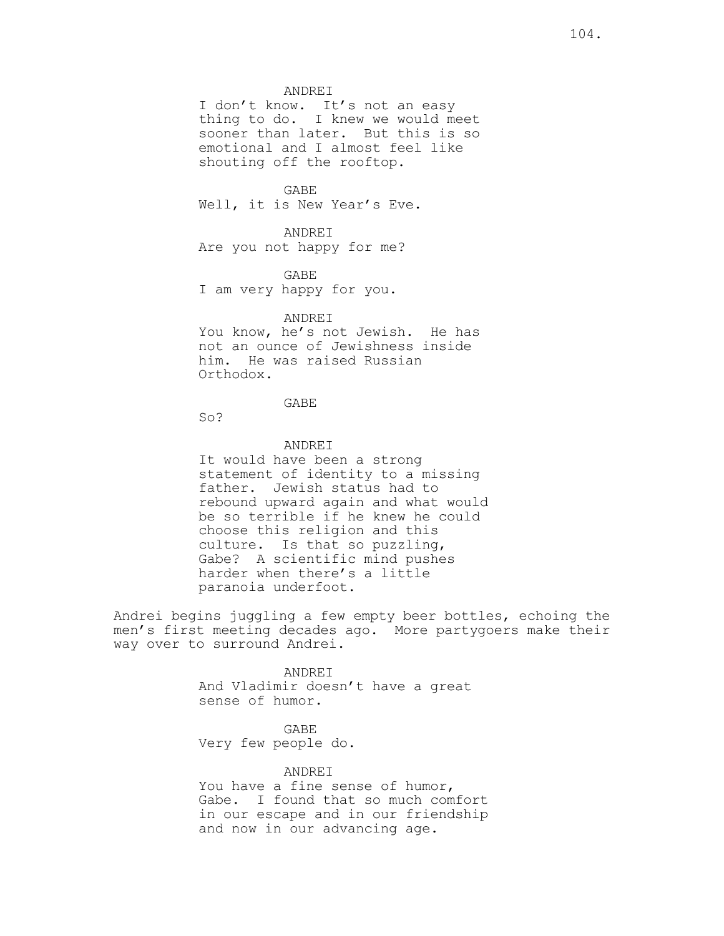ANDREI

I don't know. It's not an easy thing to do. I knew we would meet sooner than later. But this is so emotional and I almost feel like shouting off the rooftop.

GABE Well, it is New Year's Eve.

ANDREI Are you not happy for me?

GABE I am very happy for you.

## ANDREI

You know, he's not Jewish. He has not an ounce of Jewishness inside him. He was raised Russian Orthodox.

## GABE

So?

## ANDREI

It would have been a strong statement of identity to a missing father. Jewish status had to rebound upward again and what would be so terrible if he knew he could choose this religion and this culture. Is that so puzzling, Gabe? A scientific mind pushes harder when there's a little paranoia underfoot.

Andrei begins juggling a few empty beer bottles, echoing the men's first meeting decades ago. More partygoers make their way over to surround Andrei.

> **ANDRET** And Vladimir doesn't have a great sense of humor.

GABE Very few people do.

ANDREI You have a fine sense of humor, Gabe. I found that so much comfort in our escape and in our friendship and now in our advancing age.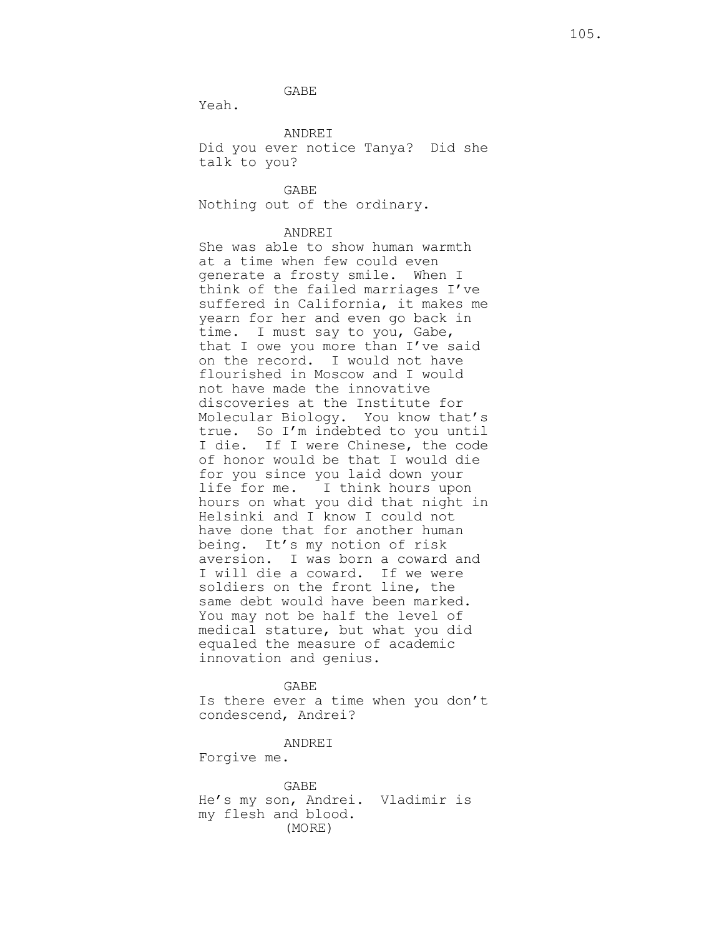GABE

Yeah.

ANDREI

Did you ever notice Tanya? Did she talk to you?

GABE Nothing out of the ordinary.

### ANDREI

She was able to show human warmth at a time when few could even generate a frosty smile. When I think of the failed marriages I've suffered in California, it makes me yearn for her and even go back in time. I must say to you, Gabe, that I owe you more than I've said on the record. I would not have flourished in Moscow and I would not have made the innovative discoveries at the Institute for Molecular Biology. You know that's true. So I'm indebted to you until I die. If I were Chinese, the code of honor would be that I would die for you since you laid down your life for me. I think hours upon hours on what you did that night in Helsinki and I know I could not have done that for another human being. It's my notion of risk aversion. I was born a coward and I will die a coward. If we were soldiers on the front line, the same debt would have been marked. You may not be half the level of medical stature, but what you did equaled the measure of academic innovation and genius.

GABE Is there ever a time when you don't condescend, Andrei?

ANDREI

Forgive me.

GABE He's my son, Andrei. Vladimir is my flesh and blood. (MORE)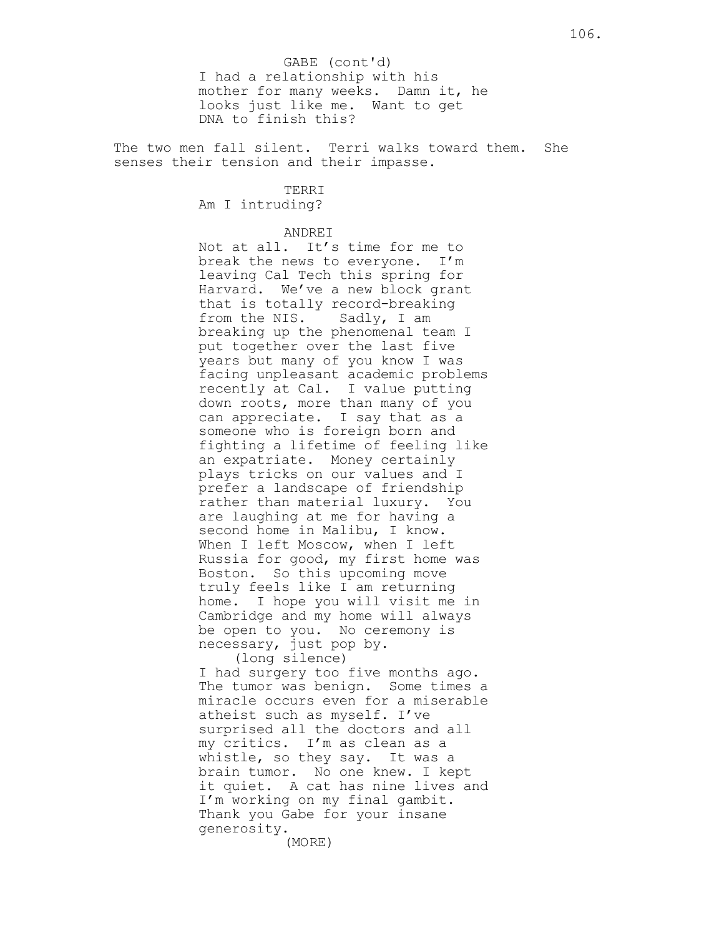I had a relationship with his mother for many weeks. Damn it, he looks just like me. Want to get DNA to finish this? GABE (cont'd)

The two men fall silent. Terri walks toward them. She senses their tension and their impasse.

TERRI

Am I intruding?

## ANDREI

Not at all. It's time for me to break the news to everyone. I'm leaving Cal Tech this spring for Harvard. We've a new block grant that is totally record-breaking from the NIS. Sadly, I am breaking up the phenomenal team I put together over the last five years but many of you know I was facing unpleasant academic problems recently at Cal. I value putting down roots, more than many of you can appreciate. I say that as a someone who is foreign born and fighting a lifetime of feeling like an expatriate. Money certainly plays tricks on our values and I prefer a landscape of friendship rather than material luxury. You are laughing at me for having a second home in Malibu, I know. When I left Moscow, when I left Russia for good, my first home was Boston. So this upcoming move truly feels like I am returning home. I hope you will visit me in Cambridge and my home will always be open to you. No ceremony is necessary, just pop by. (long silence)

I had surgery too five months ago. The tumor was benign. Some times a miracle occurs even for a miserable atheist such as myself. I've surprised all the doctors and all my critics. I'm as clean as a whistle, so they say. It was a brain tumor. No one knew. I kept it quiet. A cat has nine lives and I'm working on my final gambit. Thank you Gabe for your insane generosity.

(MORE)